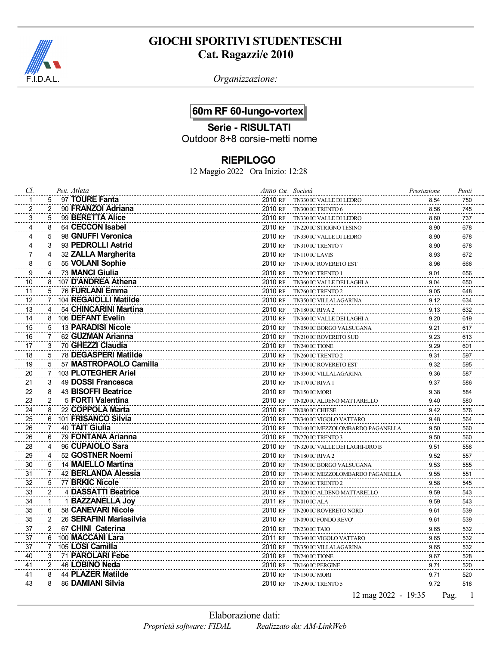

*Organizzazione:* 

**60m RF 60-lungo-vortex**

**Serie - RISULTATI** Outdoor 8+8 corsie-metti nome

#### **RIEPILOGO**

12 Maggio 2022 Ora Inizio: 12:28

| Cl.            |                | Pett. Atleta              | Anno Cat. Società |                                  | Prestazione | Punti      |
|----------------|----------------|---------------------------|-------------------|----------------------------------|-------------|------------|
| $\mathbf{1}$   | 5              | 97 TOURE Fanta            | 2010 RF           | TN330 IC VALLE DI LEDRO          | 8.54        | 750        |
| $\overline{c}$ | 2              | 90 FRANZOI Adriana        | 2010 RF           | TN300 IC TRENTO 6                | 8.56        | 745        |
| 3              | 5              | 99 BERETTA Alice          | 2010 RF           | TN330 IC VALLE DI LEDRO          | 8.60        | 737        |
| 4              | 8              | 64 CECCON Isabel          | 2010 RF           | TN220 IC STRIGNO TESINO          | 8.90        | 678        |
| 4              | 5              | 98 GNUFFI Veronica        | 2010 RF           | TN330 IC VALLE DI LEDRO          | 8.90        | 678        |
| 4              | 3              | 93 PEDROLLI Astrid        | 2010 RF           | TN310 IC TRENTO 7                | 8.90        | 678        |
| $\overline{z}$ | 4              | 32 ZALLA Margherita       | 2010 RF           | TN110 IC LAVIS                   | 8.93        | 672        |
| 8              | 5              | 55 VOLANI Sophie          | 2010 RF           | TN190 IC ROVERETO EST            | 8.96        | 666        |
| 9              | 4              | 73 MANCI Giulia           | 2010 RF           | TN250 IC TRENTO 1                | 9.01        | 656        |
| 10             |                | 8 107 D'ANDREA Athena     | 2010 RF           | TN360 IC VALLE DEI LAGHI A       | 9.04        | 650        |
| 11             | 5              | 76 FURLANI Emma           | 2010 RF           | TN260 IC TRENTO 2                | 9.05        | 648        |
| 12             | $\overline{7}$ | 104 REGAIOLLI Matilde     | 2010 RF           | TN350 IC VILLALAGARINA           | 9.12        | 634        |
| 13             | 4              | 54 CHINCARINI Martina     | 2010 RF           | TN180 IC RIVA 2                  | 9.13        | 632        |
| 14             | 8              | 106 DEFANT Evelin         | 2010 RF           | TN360 IC VALLE DEI LAGHI A       | 9.20        | 619        |
| 15             | 5              | 13 <b>PARADISI Nicole</b> | 2010 RF           | TN050 IC BORGO VALSUGANA         | 9.21        | 617        |
| 16             | 7              | 62 GUZMAN Arianna         | 2010 RF           | TN210 IC ROVERETO SUD            | 9.23        | 613        |
| 17             | 3              | 70 GHEZZI Claudia         | 2010 RF           | TN240 IC TIONE                   | 9.29        | 601        |
| 18             | 5              | 78 DEGASPERI Matilde      | 2010 RF           | TN260 IC TRENTO 2                | 9.31        | 597        |
| 19             | 5              | 57 MASTROPAOLO Camilla    | 2010 RF           | TN190 IC ROVERETO EST            | 9.32        | 595        |
| 20             |                | 103 PLOTEGHER Ariel       | 2010 RF           | TN350 IC VILLALAGARINA           | 9.36        | 587        |
| 21             | 3              | 49 DOSSI Francesca        | 2010 RF           | TN170 IC RIVA 1                  | 9.37        | 586        |
| 22             | 8              | 43 BISOFFI Beatrice       | 2010 RF           | TN150 IC MORI                    | 9.38        | 584        |
| 23             | $\mathcal{P}$  | 5 FORTI Valentina         | 2010 RF           | TN020 IC ALDENO MATTARELLO       | 9.40        | 580        |
| 24             | 8              | 22 COPPOLA Marta          | 2010 RF           | TN080 IC CHIESE                  | 9.42        | 576        |
| 25             |                | 6 101 FRISANCO Silvia     | 2010 RF           | TN340 IC VIGOLO VATTARO          | 9.48        | 564        |
| 26             | $\overline{7}$ | 40 TAIT Giulia            | 2010 RF           | TN140 IC MEZZOLOMBARDO PAGANELLA | 9.50        | 560        |
| 26             | 6              | 79 FONTANA Arianna        | 2010 RF           | TN270 IC TRENTO 3                | 9.50        | 560        |
| 28             |                | 96 CUPAIOLO Sara          | 2010 RF           | TN320 IC VALLE DEI LAGHI-DRO B   | 9.51        | 558        |
| 29             | 4              | 52 GOSTNER Noemi          | 2010 RF           | TN180 IC RIVA 2                  | 9.52        | 557        |
| 30             | 5              | 14 MAIELLO Martina        | 2010 RF           | TN050 IC BORGO VALSUGANA         | 9.53        | 555        |
| 31             |                | 42 BERLANDA Alessia       | 2010 RF           | TN140 IC MEZZOLOMBARDO PAGANELLA | 9.55        | 551        |
| 32             | 5              | 77 BRKIC Nicole           | 2010 RF           | TN260 IC TRENTO 2                | 9.58        | 545        |
| 33             | $\overline{c}$ | 4 DASSATTI Beatrice       | 2010 RF           | TN020 IC ALDENO MATTARELLO       | 9.59        | 543        |
| 34             | 1.             | 1 BAZZANELLA Joy          | 2011 RF           | TN010 IC ALA                     | 9.59        | 543        |
| 35             | 6              | <b>58 CANEVARI Nicole</b> | 2010 RF           | TN200 IC ROVERETO NORD           | 9.61        | 539        |
| 35             | $\overline{2}$ | 26 SERAFINI Mariasilvia   | 2010 RF           | TN090 IC FONDO REVO'             | 9.61        | 539        |
| 37             | $\overline{2}$ | 67 CHINI Caterina         | 2010 RF           | TN230 IC TAIO                    | 9.65        | 532        |
| 37             | 6              | 100 MACCANI Lara          | 2011 RF           | TN340 IC VIGOLO VATTARO          | 9.65        | 532        |
| 37             |                | 7 105 LOSI Camilla        | 2010 RF           | TN350 IC VILLALAGARINA           | 9.65        | 532        |
| 40             | 3              | 71 PAROLARI Febe          | 2010 RF           | TN240 IC TIONE                   | 9.67        | 528        |
| 41             | $\overline{2}$ | 46 LOBINO Neda            | 2010 RF           | TN160 IC PERGINE                 | 9.71        | 520        |
| 41             | 8              | 44 PLAZER Matilde         | 2010 RF           | TN150 IC MORI                    | 9.71        | 520        |
| 43             | 8              | 86 DAMIANI Silvia         | 2010 RF           | TN290 IC TRENTO 5                | 9.72        | 518        |
|                |                |                           |                   | 12 mag 2022 - 19:35              |             | Pag.<br>-1 |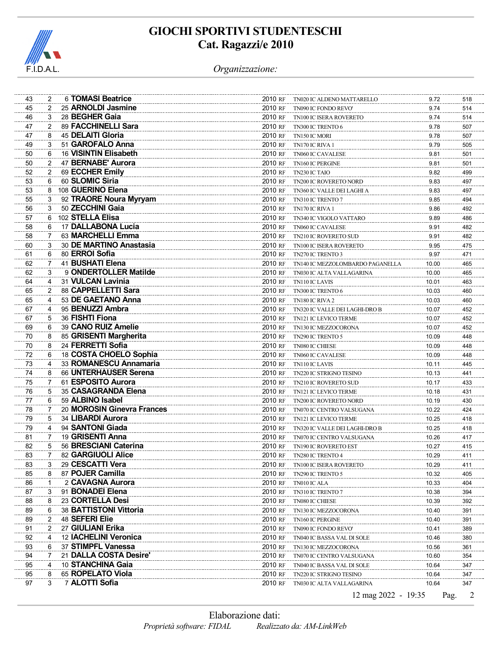

### *Organizzazione:*

| 43 | $\mathbf{2}$   | 6 TOMASI Beatrice            | 2010 RF | TN020 IC ALDENO MATTARELLO       | 9.72  | 518 |
|----|----------------|------------------------------|---------|----------------------------------|-------|-----|
| 45 | 2              | 25 ARNOLDI Jasmine           | 2010 RF | TN090 IC FONDO REVO'             | 9.74  | 514 |
| 46 | 3              | 28 BEGHER Gaia               | 2010 RF | TN100 IC ISERA ROVERETO          | 9.74  | 514 |
| 47 |                | 89 FACCHINELLI Sara          | 2010 RF | TN300 IC TRENTO 6                | 9.78  | 507 |
| 47 |                | 45 DELAITI Gloria            | 2010 RF | TN150 IC MORI                    | 9.78  | 507 |
| 49 | 3              | 51 GAROFALO Anna             | 2010 RF | TN170 IC RIVA 1                  | 9.79  | 505 |
| 50 | 6              | 16 VISINTIN Elisabeth        | 2010 RF |                                  | 9.81  | 501 |
|    |                | 47 BERNABE' Aurora           |         | TN060 IC CAVALESE                |       |     |
| 50 | $\overline{2}$ |                              | 2010 RF | TN160 IC PERGINE                 | 9.81  | 501 |
| 52 | 2              | 69 ECCHER Emily              | 2010 RF | TN230 IC TAIO                    | 9.82  | 499 |
| 53 | 6              | 60 SLOMIC Siria              | 2010 RF | TN200 IC ROVERETO NORD           | 9.83  | 497 |
| 53 | 8              | 108 GUERINO Elena            | 2010 RF | TN360 IC VALLE DEI LAGHI A       | 9.83  | 497 |
| 55 |                | 92 TRAORE Noura Myryam       | 2010 RF | TN310 IC TRENTO 7                | 9.85  | 494 |
| 56 |                | 50 ZECCHINI Gaia             | 2010 RF | TN170 IC RIVA 1                  | 9.86  | 492 |
| 57 | 6              | 102 STELLA Elisa             | 2010 RF | TN340 IC VIGOLO VATTARO          | 9.89  | 486 |
| 58 | 6              | 17 DALLABONA Lucia           | 2010 RF | TN060 IC CAVALESE                | 9.91  | 482 |
| 58 | $\overline{7}$ | 63 MARCHELLI Emma            | 2010 RF | TN210 IC ROVERETO SUD            | 9.91  | 482 |
| 60 | 3              | 30 DE MARTINO Anastasia      | 2010 RF | TN100 IC ISERA ROVERETO          | 9.95  | 475 |
| 61 | 6              | 80 ERROI Sofia               | 2010 RF | TN270 IC TRENTO 3                | 9.97  | 471 |
| 62 | 7              | 41 BUSHATI Elena             | 2010 RF | TN140 IC MEZZOLOMBARDO PAGANELLA | 10.00 | 465 |
| 62 |                | 9 ONDERTOLLER Matilde        | 2010 RF | TN030 IC ALTA VALLAGARINA        | 10.00 | 465 |
| 64 | $\overline{4}$ | 31 VULCAN Lavinia            | 2010 RF | TN110 IC LAVIS                   | 10.01 | 463 |
| 65 | $\overline{2}$ | 88 CAPPELLETTI Sara          | 2010 RF | TN300 IC TRENTO 6                | 10.03 | 460 |
| 65 | 4              | 53 DE GAETANO Anna           | 2010 RF |                                  | 10.03 | 460 |
|    |                | 95 BENUZZI Ambra             |         | TN180 IC RIVA 2                  |       |     |
| 67 | 4              | 36 FISHTI Fiona              | 2010 RF | TN320 IC VALLE DEI LAGHI-DRO B   | 10.07 | 452 |
| 67 | 5              |                              | 2010 RF | TN121 IC LEVICO TERME            | 10.07 | 452 |
| 69 | 6              | 39 CANO RUIZ Amelie          | 2010 RF | TN130 IC MEZZOCORONA             | 10.07 | 452 |
| 70 |                | 85 GRISENTI Margherita       | 2010 RF | TN290 IC TRENTO 5                | 10.09 | 448 |
| 70 | 8              | 24 FERRETTI Sofia            | 2010 RF | TN080 IC CHIESE                  | 10.09 | 448 |
| 72 | 6              | 18 COSTA CHOELO Sophia       | 2010 RF | TN060 IC CAVALESE                | 10.09 | 448 |
| 73 | 4              | 33 ROMANESCU Annamaria       | 2010 RF | TN110 IC LAVIS                   | 10.11 | 445 |
| 74 | 8              | 66 UNTERHAUSER Serena        | 2010 RF | TN220 IC STRIGNO TESINO          | 10.13 | 441 |
| 75 | $\overline{I}$ | 61 ESPOSITO Aurora           | 2010 RF | TN210 IC ROVERETO SUD            | 10.17 | 433 |
| 76 | 5              | 35 CASAGRANDA Elena          | 2010 RF | TN121 IC LEVICO TERME            | 10.18 | 431 |
| 77 | 6              | 59 ALBINO Isabel             | 2010 RF | TN200 IC ROVERETO NORD           | 10.19 | 430 |
| 78 |                | 20 MOROSIN Ginevra Frances   | 2010 RF | TN070 IC CENTRO VALSUGANA        | 10.22 | 424 |
| 79 | 5              | 34 LIBARDI Aurora            | 2010 RF | TN121 IC LEVICO TERME            | 10.25 | 418 |
| 79 | $\overline{4}$ | 94 SANTONI Giada             | 2010 RF | TN320 IC VALLE DEI LAGHI-DRO B   | 10.25 | 418 |
| 81 | $\overline{7}$ | 19 GRISENTI Anna             | 2010 RF | TN070 IC CENTRO VALSUGANA        | 10.26 | 417 |
| 82 | 5              | 56 BRESCIANI Caterina        | 2010 RF | TN190 IC ROVERETO EST            | 10.27 | 415 |
| 83 | 7              | 82 GARGIUOLI Alice           | 2010 RF | TN280 IC TRENTO 4                | 10.29 | 411 |
| 83 | 3              | 29 CESCATTI Vera             | 2010 RF |                                  |       |     |
|    |                | 87 POJER Camilla             |         | TN100 IC ISERA ROVERETO          | 10.29 | 411 |
| 85 |                |                              | 2010 RF | TN290 IC TRENTO 5                | 10.32 | 405 |
| 86 |                | 2 CAVAGNA Aurora             | 2010 RF | TN010 IC ALA                     | 10.33 | 404 |
| 87 | 3              | 91 BONADEI Elena             | 2010 RF | TN310 IC TRENTO 7                | 10.38 | 394 |
| 88 | 8              | 23 CORTELLA Desi             | 2010 RF | TN080 IC CHIESE                  | 10.39 | 392 |
| 89 | 6              | 38 BATTISTONI Vittoria       | 2010 RF | TN130 IC MEZZOCORONA             | 10.40 | 391 |
| 89 | $\overline{2}$ | 48 SEFERI Elie               | 2010 RF | TN160 IC PERGINE                 | 10.40 | 391 |
| 91 | 2              | 27 GIULIANI Erika            | 2010 RF | TN090 IC FONDO REVO              | 10.41 | 389 |
| 92 |                | 12 <b>IACHELINI Veronica</b> | 2010 RF | TN040 IC BASSA VAL DI SOLE       | 10.46 | 380 |
| 93 |                | 37 STIMPFL Vanessa           | 2010 RF | TN130 IC MEZZOCORONA             | 10.56 | 361 |
| 94 | $\overline{7}$ | 21 DALLA COSTA Desire'       | 2010 RF | TN070 IC CENTRO VALSUGANA        | 10.60 | 354 |
| 95 | $\overline{a}$ | 10 STANCHINA Gaia            | 2010 RF | TN040 IC BASSA VAL DI SOLE       | 10.64 | 347 |
| 95 | 8              | 65 ROPELATO Viola            | 2010 RF | TN220 IC STRIGNO TESINO          | 10.64 | 347 |
| 97 | 3              | 7 ALOTTI Sofia               | 2010 RF | TN030 IC ALTA VALLAGARINA        | 10.64 | 347 |
|    |                |                              |         |                                  |       |     |
|    |                |                              |         | 12 mag 2022 - 19:35              | Pag.  | 2   |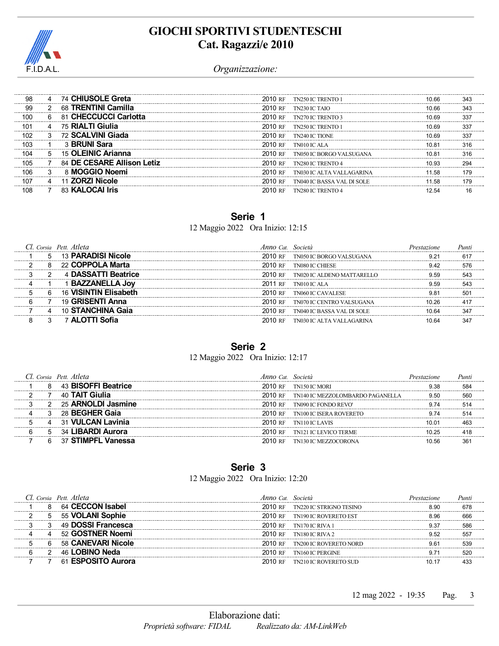

#### *Organizzazione:*

|    |   | 74 CHIUSOLE Greta          |         | 2010 RF TN250 IC TRENTO 1  | በ 66  |  |
|----|---|----------------------------|---------|----------------------------|-------|--|
| 99 |   | 68 TRENTINI Camilla        | 2010 RF | TN230 IC TAIO              | 10 66 |  |
|    |   | CHECCLICCL Carlotta<br>81  | 2010 RF | TN270 IC TRENTO 3          | 10.69 |  |
|    |   | 75 RIALTI Giulia           |         | 2010 RF TN250 IC TRENTO 1  | IN 69 |  |
|    | 3 | 72 SCALVINI Giada          |         | 2010 RF TN240 IC TIONE     | IN 69 |  |
|    |   | I INI Sara                 | 2010 RF | TN010 IC ALA               | 10.81 |  |
|    |   | 15 OLEINIC Arianna         | 2010 RF | TN050 IC BORGO VALSUGANA   |       |  |
|    |   | 84 DE CESARE Allison Letiz |         | 2010 RF TN280 IC TRENTO 4  |       |  |
|    |   | JGGIO Noemi                | 2010 RF | TN030 IC ALTA VALLAGARINA  | 1.58  |  |
|    |   | <b>IRZI Nicole</b>         | RF      | TN040 IC BASSA VAL DI SOLE | l 58  |  |
|    |   | 83 KALOCAI Iris            |         | 2010 RF TN280 IC TRENTO 4  |       |  |

### **Serie 1**

12 Maggio 2022 Ora Inizio: 12:15

| Corsia | Pett Atleta                    |           |                            |        |    |
|--------|--------------------------------|-----------|----------------------------|--------|----|
|        | 13 <b>PARADISI Nicole</b><br>5 | <b>RE</b> | TN050 IC BORGO VALSUGANA   |        |    |
|        | 22 COPPOLA Marta               | - R E     | TN080 IC CHIESE            |        |    |
|        | 4 DASSATTI Beatrice            | 2010 RF   | TN020 IC ALDENO MATTARELLO | 9.59   |    |
|        | <b>BAZZANELLA Jov</b>          | 2011 RF   | <b>TN010 IC ALA</b>        | 9.59   |    |
|        | SINTIN Flisahr                 | RE        | TN060 IC CAVALESE.         |        |    |
|        | 19 GRISENTI Anna               | ∣ RF      | TN070 IC CENTRO VAI SUGANA |        |    |
|        | 10 STANCHINA Gaia              | 2010 RF   | TN040 IC BASSA VAL DI SOLE | $n$ 64 | 34 |
|        |                                | <b>RE</b> | TN030 IC ALTA VALLAGARINA  |        |    |

### **Serie 2**

12 Maggio 2022 Ora Inizio: 12:17

|  | Corsia Pett Atleta   | Anno Cat  | Società                          |      | unti |
|--|----------------------|-----------|----------------------------------|------|------|
|  | 43 BISOFFI Beatrice  | 2010 RF   | TN150 IC MORI                    | ገ 38 |      |
|  | 40 TAIT Giulia       | 2010 RF   | TN140 IC MEZZOLOMBARDO PAGANELLA | 9.50 | 560  |
|  | 25 ARNOLDI Jasmine   | 2010 RF   | <b>TN090 IC FONDO REVO'</b>      |      |      |
|  | 28 BEGHER Gaia       | 2010 RF   | <b>TN100 IC ISERA ROVERETO</b>   |      |      |
|  | VULCAN Lavinia<br>31 | 2010 RF   | TN110 IC LAVIS                   |      |      |
|  | 34 LIBARDI Aurora    | 2010 RF   | <b>TN121 IC LEVICO TERME</b>     |      |      |
|  |                      | <b>DE</b> | TN130 IC MEZZOCORONA             |      |      |

### **Serie 3**

12 Maggio 2022 Ora Inizio: 12:20

| Corsia | Pett Atleta         |           |                                |       |  |
|--------|---------------------|-----------|--------------------------------|-------|--|
|        | CECCON Isabel<br>64 | 2010 RF   | <b>TN220 IC STRIGNO TESINO</b> | s an  |  |
|        | 55                  | 2010 RF   | IN190 IC ROVERETO EST          | 8.96  |  |
|        | 49 DOSSI Francesca  | <b>RE</b> | TN170 IC RIVA *                | ר בים |  |
|        |                     | 2010 RF   | <b>TN180 IC RIVA 2</b>         |       |  |
|        | 58 CANEVARI Nicole  | 2010 RF   | <b>TN200 IC ROVERETO NORD</b>  |       |  |
|        | 46 LOBINO Neda      | 2010 RF   | TN160 IC PERGINE               |       |  |
|        |                     | ÞЕ        | TN210 IC ROVERETO SI ID        |       |  |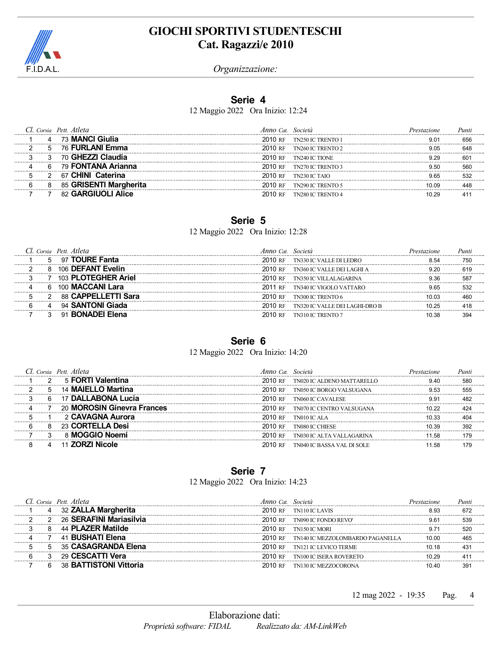

*Organizzazione:* 

**Serie 4**

12 Maggio 2022 Ora Inizio: 12:24

| Corsia |    | Pett Atleta                |              | Societa                  | 17.10NE |     |
|--------|----|----------------------------|--------------|--------------------------|---------|-----|
|        |    | . MANCI Giulia             | 2011<br>ገ RF | <b>TN250 IC TRENTO 1</b> |         |     |
| 5.     |    | 76 FURLANI Emma            | 2011<br>ገ RF | TN260 IC TRENTO 2        |         | 648 |
|        |    | 70 GHEZZI Claudia          | 2010 RF.     | <b>TN240 IC TIONE</b>    |         |     |
| ĥ      |    | 79 <b>FONTANA Arianna</b>  | 2010 RF      | <b>TN270 IC TRENTO 3</b> |         | 560 |
|        | 67 | CHINI Caterina             | ) RF         | TN230 IC TAIO            | 65      |     |
|        | 85 | <b>GRISENTI Margherita</b> | 2010 RF      | TN290 IC TRENTO 5        | IN 09   |     |
|        |    |                            | <b>DE</b>    | TN280 IC TRENTO 4        |         |     |

### **Serie 5**

12 Maggio 2022 Ora Inizio: 12:28

| Corsia |    | Pett Atleta         |           |                                | unti |
|--------|----|---------------------|-----------|--------------------------------|------|
|        |    | ∩URE Fanta          | 2010 RF   | TN330 IC VALLE DI LEDRO        | 750  |
|        |    | 106 DEFANT Evelin   | <b>RF</b> | TN360 IC VALLE DELLAGHI A      |      |
|        |    | 103 PLOTEGHER Ariel | l RF      | TN350 IC VILLALAGARINA         |      |
|        |    | 100 MACCANI Lara    | 2011 RF   | TN340 IC VIGOI O VATTARO       |      |
|        |    | 88 CAPPELLETTI Sara | <b>RE</b> | <b>TN300 IC TRENTO 6</b>       |      |
|        | 94 | SANTONI Giada       | 2010 RF   | TN320 IC VALLE DEI LAGHI-DRO B |      |
|        |    |                     |           | <b>EN310 IC TRENTO "</b>       |      |

#### **Serie 6**

12 Maggio 2022 Ora Inizio: 14:20

| Corsia |          |                              |           |                            |       |  |
|--------|----------|------------------------------|-----------|----------------------------|-------|--|
|        | ົ        | 5 FORTI Valentina            | 2010 RF   | TN020 IC ALDENO MATTARELLO | 940   |  |
|        |          | <b>MAIELLO Martina</b><br>14 | 2010 RF   | TN050 IC BORGO VALSUGANA   | 9.53  |  |
|        | <b>6</b> | DALLABONA Lucia              | 2010 RF   | TN060 IC CAVALESE          | 9.9   |  |
|        |          | 20 MOROSIN Ginevra Frances   | ∣ RF      | TN070 IC CENTRO VAI SUGANA |       |  |
|        |          | <b>CAVAGNA Aurora</b>        |           | EN010 IC ALA               | 10 33 |  |
|        |          | CORTELLA Desi                | -RE       | TNOSO IC CHIESE            | 10.39 |  |
|        | ີ        |                              | ) RE      | TN030 IC ALTA VALLAGARINA  | 1.58  |  |
|        |          |                              | <b>RE</b> | TN040 IC BASSA VAL DI SOLE | 58    |  |

### **Serie 7**

12 Maggio 2022 Ora Inizio: 14:23

|  | Corsia Pett. Atleta        |           | Societa                          | restazione  | Punti |
|--|----------------------------|-----------|----------------------------------|-------------|-------|
|  | <b>ZALLA Marghe</b>        | 2010 RF   | TN110 IC LAVIS                   | <b>9.93</b> |       |
|  | 26 SERAFINI Mai            | 2010 RF   | <b>TN090 IC FONDO REVO'</b>      | ว 6         |       |
|  | 44 PLAZER Matilde          | <b>RE</b> | TN150 IC MORI                    |             |       |
|  | <b>BUSHATI Elena</b><br>41 | 2010 RF   | TN140 IC MEZZOLOMBARDO PAGANELLA |             |       |
|  | CASAGRANDA Elena<br>35.    | 2010 RF   | <b>TN121 IC LEVICO TERME</b>     |             |       |
|  | 29 CESCATTI Vera           | -RE       | TN100 IC ISERA ROVERETO          |             |       |
|  |                            | <b>RE</b> | TN130 IC MEZZOCORONA             |             |       |

12 mag 2022 - 19:35 Pag. 4 Pag.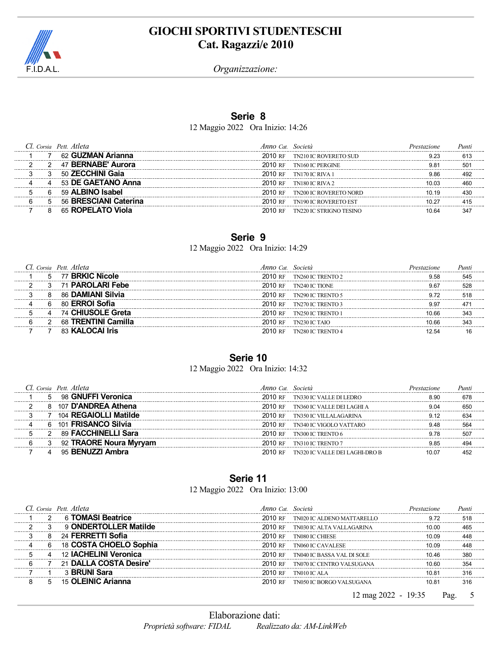

*Organizzazione:* 

## **Serie 8**

12 Maggio 2022 Ora Inizio: 14:26

| $\gamma_{orsia}$ | Pett Atleta           | Societa                                  | 1710.ne |     |
|------------------|-----------------------|------------------------------------------|---------|-----|
|                  | 62 GUZMAN Arianna     | 201.<br>) RF<br>TN210 IC ROVERETO SUD    |         |     |
|                  | 47 BERNABE' Aurora    | 2010 RF<br>TN160 IC PERGINE              |         | 50  |
|                  | 50 ZECCHINI Gaia      | 0 RF<br><b>TN170 IC RIVA 1</b>           |         |     |
|                  | 53 DE GAETANO Anna    | ) RF<br><b>TN180 IC RIVA 2</b>           |         | 460 |
|                  | 59 ALBINO Isabel      | 2010 RF<br><b>TN200 IC ROVERETO NORD</b> |         |     |
|                  | 56 BRESCIANI Caterina | ) RF<br><b>TN190 IC ROVERETO EST</b>     |         |     |
|                  | 65 ROPELATO Viola     | 7.RF<br><b>TN220 IC STRIGNO TESINO</b>   |         |     |

#### **Serie 9**

12 Maggio 2022 Ora Inizio: 14:29

| Corsia |     | Pett Atleta         | Anno Cat | Societa                  | stazione      | °untı |
|--------|-----|---------------------|----------|--------------------------|---------------|-------|
|        |     | <b>BRKIC Nicole</b> | 2010 RF  | TN260 IC TRENTO 2        | 9.58          |       |
|        |     | 71 PAROLARI Febe    | 2010 RF  | TN240 IC TIONE           | $9.6^{\circ}$ |       |
| я      |     | 86 DAMIANI Silvia   | 2010 RF  | TN290 IC TRENTO 5        |               |       |
|        | 80. | <b>ERROL Sofia</b>  | n rf     | <b>TN270 IC TRENTO 3</b> | 9.9.          |       |
|        |     | 74 CHIUSOLE Greta   | 2010 RF  | TN250 IC TRENTO 1        | 0.66          |       |
|        |     | 68 TRENTINI Camilla | ) RF     | TN230 IC TAIO            | 10.66         |       |
|        |     | . KALOCAI Iris      | ∣ RF     | TN280 IC TRENTO 4        | ג י           |       |

### **Serie 10**

12 Maggio 2022 Ora Inizio: 14:32

|  | 'orsia | Pett Atleta            |              |                                | tazione | unti |
|--|--------|------------------------|--------------|--------------------------------|---------|------|
|  |        | <b>GNUFFL Veronica</b> | 2010 RF      | TN330 IC VALLE DI LEDRO        | 8.90    |      |
|  |        | D'ANDREA Athena        | 2010 RF      | TN360 IC VALLE DELLAGHLA       |         |      |
|  |        | 104 REGAIOLLI Matilde  | 2010<br>∣ RF | TN350 IC VILLALAGARINA         |         |      |
|  |        | <b>FRISANCO Silvia</b> | 2010 RF      | TN340 IC VIGOLO VATTARO        | 9 4 P   |      |
|  |        | 89 FACCHINELLI         | <b>RF</b>    | TN300 IC TRENTO 6              |         | 50   |
|  |        | 92 TRAORE Noura Myryam | <b>RF</b>    | <b>TN310 IC TRENTO 7</b>       | 9.85    |      |
|  |        |                        | <b>RF</b>    | TN320 IC VALLE DEI LAGHI-DRO B |         |      |

### **Serie 11**

12 Maggio 2022 Ora Inizio: 13:00

|   | <sup>c</sup> orsia Pett Atleta |                                       |       |     |
|---|--------------------------------|---------------------------------------|-------|-----|
| ົ | TOMASI Beatrice                | 2010 RF<br>TN020 IC ALDENO MATTARELLO |       |     |
| ર | ONDERTOL LER Matilde           | 2010 RF<br>TN030 IC ALTA VALLAGARINA  | 1በ በር |     |
| я | 24 FERRETTI Sofia              | 2010 RF<br>TN080 IC CHIESE            | 10.09 |     |
| 6 | COSTA CHOELO Sophia            | 2010 RF<br>TN060 IC CAVALESE          | 10 O. |     |
|   | 12 <b>IACHELINI Veronica</b>   | 2010 RF<br>TN040 IC BASSA VAL DI SOLE | 10 46 |     |
|   | 21 DALLA COSTA Desire'         | 2010 RF<br>TN070 IC CENTRO VALSUGANA  | 10 RO | 354 |
|   | 3 BRUNI Sara                   | 2010 RF<br><b>TN010 IC ALA</b>        | 10.81 | 31F |
|   | 15 OLEINIC Arianna             | 2010 RF<br>TN050 IC BORGO VALSUGANA   | 10.81 |     |
|   |                                |                                       |       |     |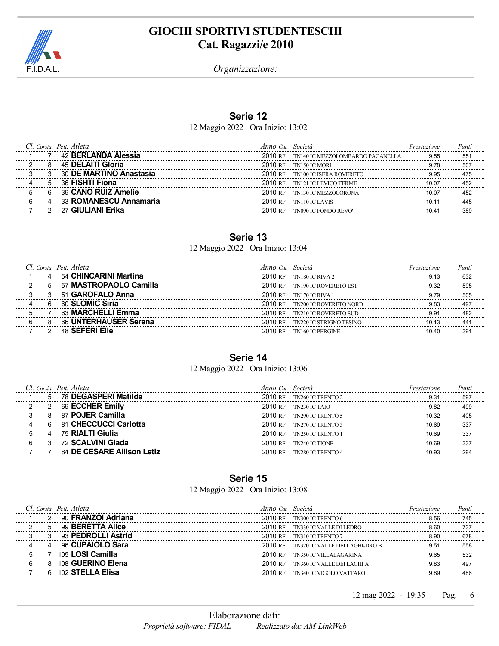

*Organizzazione:* 

## **Serie 12**

12 Maggio 2022 Ora Inizio: 13:02

| Corsia | Pett Atleta               |              | Societa                          |       | -ипі         |
|--------|---------------------------|--------------|----------------------------------|-------|--------------|
|        | 42 BERLANDA Alessia       | 2011<br>) RF | TN140 IC MEZZOLOMBARDO PAGANELLA | 9.55  | $55^{\circ}$ |
|        | 45 DELAITI Gloria         | 2010 RF      | TN150 IC MORI                    |       | 507          |
|        | 30 DE MARTINO Anastasia   | ) RF         | TN100 IC ISER A ROVERETO         |       |              |
|        | 36 FISHTI Fiona           | ) RF         | TN121 IC LEVICO TERME            | 10.07 |              |
|        | 39 CANO RUIZ Amelie       | 2010 RF      | TN130 IC MEZZOCORONA             |       |              |
|        | <b>ROMANESCU Annamari</b> | ) RF         | TN110 IC LAVIS                   |       |              |
|        | 27 GIULIANI Erika         | 0 RF         | TN090 IC FONDO REVO'             |       |              |

#### **Serie 13**

12 Maggio 2022 Ora Inizio: 13:04

| Corsia | Pett Atleta                     | Società                                  | tazione |    |
|--------|---------------------------------|------------------------------------------|---------|----|
|        | 54 CHINCARINI Martina           | 2010 RF<br><b>TN180 IC RIVA 2</b>        |         |    |
| 5      | 57 MASTROPAOLO Camilla          | 2010 RF<br>TN190 IC ROVERETO EST         |         |    |
|        | <b>GAROFALO Anna</b><br>51      | 2010 RF<br><b>TN170 IC RIVA 1</b>        |         |    |
|        | 60 <b>SLOMIC Siria</b>          | 2010 RF<br><b>TN200 IC ROVERETO NORD</b> |         | 49 |
|        | 63 MARCHELLI Emma               | 2010 RF<br>TN210 IC ROVERETO SUD         | 991     |    |
|        | <b>UNTERHAUSER Serena</b><br>66 | n rf<br>TN220 IC STRIGNO TESINO          | 10 13   |    |
|        | <b>SEFERI Elie</b>              | ) RF<br>TN160 IC PERGINE                 |         |    |

### **Serie 14**

12 Maggio 2022 Ora Inizio: 13:06

| 'orsia | Pett Atleta                 |           | Societa                   | stazione    | unt |
|--------|-----------------------------|-----------|---------------------------|-------------|-----|
|        | <b>78 DEGASPERI Matilde</b> | 2010 RF   | TN260 IC TRENTO 2         |             |     |
|        | 69 ECCHER Emily             | 2010 RF   | TN <sub>230</sub> IC TAIO | <b>Q 82</b> |     |
|        | 87 POJER Camilla            | ) RF      | TN290 IC TRENTO 5         | 10.32       |     |
|        | <b>CHECCUCCI Carlotta</b>   | 2010 RF   | <b>TN270 IC TRENTO 3</b>  | 1በ 69       |     |
|        | 75 RIALTI Giulia            | ) RE      | TN250 IC TRENTO 1         | 1በ 69       |     |
|        | 72 SCALVINI Giada           | -RE       | TN240 IC TIONE            | IN 69       |     |
|        | DE CESARE Allison L<br>84   | <b>DE</b> | <b>TN280 IC TRENTO 4</b>  |             |     |

### **Serie 15**

12 Maggio 2022 Ora Inizio: 13:08

|   |         | Corsia Pett. Atleta     | Anno Cat | Società                       | restazione | $-$ unti |
|---|---------|-------------------------|----------|-------------------------------|------------|----------|
| ◠ | ാറ      | <b>FRANZOI Adriana</b>  | 2010 RF  | TN300 IC TRENTO 6             | 3.56       |          |
| h |         | 99 <b>BERETTA Alice</b> | 2010 RF  | TN330 IC VALLE DI LEDRO       | 8 R C      |          |
|   |         | 93 PEDROLLI Astrid      | 2010 RF  | TN310 IC TRENTO 7             | 3 91       |          |
|   | 96.     | <b>CUPAIOLO Sara</b>    | 2010 RF  | TN320 IC VALLE DELLAGHI-DRO B | ٦.         |          |
|   | $105 -$ | LOSI Camilla            | n rf     | TN350 IC VILLALAGARINA        | 9 R.       |          |
|   |         | 108 GUERINO Elena       | 2010 RF  | TN360 IC VALLE DEI LAGHI A    | 9.83       |          |
|   |         | ι Δ Flisa               | -RF      | TN340 IC VIGOLO VATTARO       |            |          |

12 mag 2022 - 19:35 Pag. 6 Pag.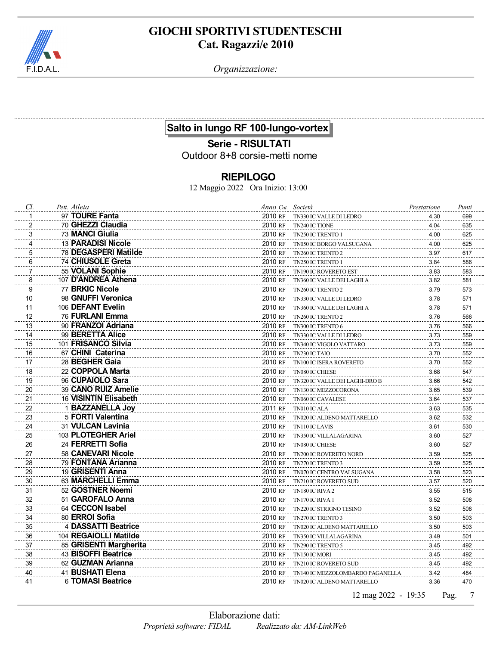

*Organizzazione:* 

## **Salto in lungo RF 100-lungo-vortex**

### **Serie - RISULTATI** Outdoor 8+8 corsie-metti nome

### **RIEPILOGO**

12 Maggio 2022 Ora Inizio: 13:00

| Cl.                | Pett. Atleta              | Anno Cat. Società |                                  | Prestazione | Punti |
|--------------------|---------------------------|-------------------|----------------------------------|-------------|-------|
| 1                  | 97 TOURE Fanta            | 2010 RF           | TN330 IC VALLE DI LEDRO          | 4.30        | 699   |
| $\frac{2}{3}$      | 70 GHEZZI Claudia         | 2010 RF           | TN240 IC TIONE                   | 4.04        | 635   |
|                    | 73 MANCI Giulia           | 2010 RF           | TN250 IC TRENTO 1                | 4.00        | 625   |
| $\frac{4}{\cdots}$ | 13 PARADISI Nicole        | 2010 RF           | TN050 IC BORGO VALSUGANA         | 4.00        | 625   |
| 5                  | 78 DEGASPERI Matilde      | 2010 RF           | TN260 IC TRENTO 2                | 3.97        | 617   |
| 6                  | 74 CHIUSOLE Greta         | 2010 RF           | TN250 IC TRENTO 1                | 3.84        | 586   |
| $\overline{7}$     | 55 VOLANI Sophie          | 2010 RF           | TN190 IC ROVERETO EST            | 3.83        | 583   |
| $\overline{8}$     | 107 D'ANDREA Athena       | 2010 RF           | TN360 IC VALLE DEI LAGHI A       | 3.82        | 581   |
| 9                  | 77 BRKIC Nicole           | 2010 RF           | TN260 IC TRENTO 2                | 3.79        | 573   |
| 10                 | 98 GNUFFI Veronica        | 2010 RF           | TN330 IC VALLE DI LEDRO          | 3.78        | 571   |
| 11                 | 106 DEFANT Evelin         | 2010 RF           | TN360 IC VALLE DEI LAGHI A       | 3.78        | 571   |
| 12                 | 76 <b>FURLANI Emma</b>    | 2010 RF           | TN260 IC TRENTO 2                | 3.76        | 566   |
| 13                 | 90 FRANZOI Adriana        | 2010 RF           | TN300 IC TRENTO 6                | 3.76        | 566   |
| 14                 | 99 BERETTA Alice          | 2010 RF           | TN330 IC VALLE DI LEDRO          | 3.73        | 559   |
| 15                 | 101 FRISANCO Silvia       | 2010 RF           | TN340 IC VIGOLO VATTARO          | 3.73        | 559   |
| 16                 | 67 CHINI Caterina         | 2010 RF           | TN230 IC TAIO                    | 3.70        | 552   |
| 17                 | 28 BEGHER Gaia            | 2010 RF           | TN100 IC ISERA ROVERETO          | 3.70        | 552   |
| 18                 | 22 COPPOLA Marta          | 2010 RF           | TN080 IC CHIESE                  | 3.68        | 547   |
| 19                 | 96 CUPAIOLO Sara          | 2010 RF           | TN320 IC VALLE DEI LAGHI-DRO B   | 3.66        | 542   |
| 20                 | 39 CANO RUIZ Amelie       | 2010 RF           | TN130 IC MEZZOCORONA             | 3.65        | 539   |
| 21                 | 16 VISINTIN Elisabeth     | 2010 RF           | TN060 IC CAVALESE                | 3.64        | 537   |
| 22                 | 1 BAZZANELLA Joy          | 2011 RF           | TN010 IC ALA                     | 3.63        | 535   |
| 23                 | <b>5 FORTI Valentina</b>  | 2010 RF           | TN020 IC ALDENO MATTARELLO       | 3.62        | 532   |
| 24                 | 31 VULCAN Lavinia         | 2010 RF           | TN110 IC LAVIS                   | 3.61        | 530   |
| 25                 | 103 PLOTEGHER Ariel       | 2010 RF           | TN350 IC VILLALAGARINA           | 3.60        | 527   |
| 26                 | 24 FERRETTI Sofia         | 2010 RF           | TN080 IC CHIESE                  | 3.60        | 527   |
| 27                 | <b>58 CANEVARI Nicole</b> | 2010 RF           | TN200 IC ROVERETO NORD           | 3.59        | 525   |
| 28                 | 79 FONTANA Arianna        | 2010 RF           | TN270 IC TRENTO 3                | 3.59        | 525   |
| 29                 | 19 GRISENTI Anna          | 2010 RF           | TN070 IC CENTRO VALSUGANA        | 3.58        | 523   |
| 30                 | 63 MARCHELLI Emma         | 2010 RF           | TN210 IC ROVERETO SUD            | 3.57        | 520   |
| 31                 | 52 GOSTNER Noemi          | 2010 RF           | TN180 IC RIVA 2                  | 3.55        | 515   |
| 32                 | 51 GAROFALO Anna          | 2010 RF           | TN170 IC RIVA 1                  | 3.52        | 508   |
| 33                 | 64 CECCON Isabel          | 2010 RF           | TN220 IC STRIGNO TESINO          | 3.52        | 508   |
| 34                 | 80 ERROI Sofia            | 2010 RF           | TN270 IC TRENTO 3                | 3.50        | 503   |
| 35                 | 4 DASSATTI Beatrice       | 2010 RF           | TN020 IC ALDENO MATTARELLO       | 3.50        | 503   |
| 36                 | 104 REGAIOLLI Matilde     | 2010 RF           | TN350 IC VILLALAGARINA           | 3.49        | 501   |
| 37                 | 85 GRISENTI Margherita    | 2010 RF           | TN290 IC TRENTO 5                | 3.45        | 492   |
| 38                 | 43 BISOFFI Beatrice       | 2010 RF           | TN150 IC MORI                    | 3.45        | 492   |
| 39                 | 62 GUZMAN Arianna         | 2010 RF           | TN210 IC ROVERETO SUD            | 3.45        | 492   |
| 40                 | 41 BUSHATI Elena          | 2010 RF           | TN140 IC MEZZOLOMBARDO PAGANELLA | 3.42        | 484   |
| 41                 | 6 TOMASI Beatrice         | 2010 RF           | TN020 IC ALDENO MATTARELLO       | 3.36        | 470   |

12 mag 2022 - 19:35 Pag. 7 Pag.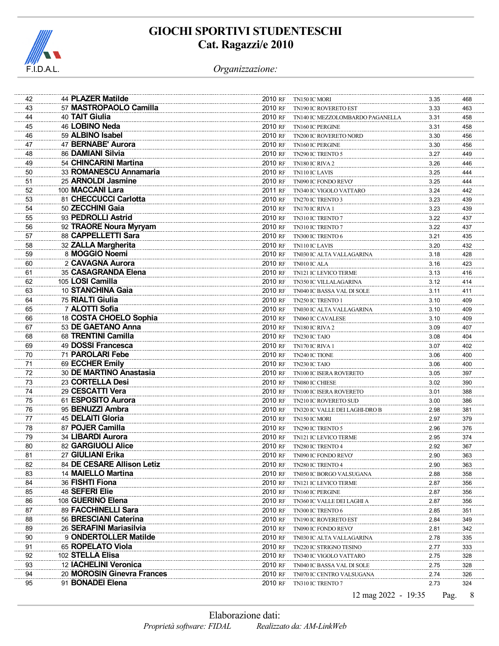

*Organizzazione:* 

| 42             | 44 PLAZER Matilde                         |         | 2010 RF TN150 IC MORI            | 3.35         | 468 |
|----------------|-------------------------------------------|---------|----------------------------------|--------------|-----|
| 43             | 57 MASTROPAOLO Camilla                    | 2010 RF | TN190 IC ROVERETO EST            | 3.33         | 463 |
| 44             | 40 TAIT Giulia                            | 2010 RF | TN140 IC MEZZOLOMBARDO PAGANELLA | 3.31         | 458 |
| 45             | 46 LOBINO Neda                            | 2010 RF | TN160 IC PERGINE                 | 3.31         | 458 |
| 46             | 59 ALBINO Isabel                          | 2010 RF | TN200 IC ROVERETO NORD           | 3.30         | 456 |
| 47             | 47 BERNABE' Aurora                        | 2010 RF | TN160 IC PERGINE                 | 3.30         | 456 |
| 48             | 86 DAMIANI Silvia                         | 2010 RF | TN290 IC TRENTO 5                | 3.27         | 449 |
| 49             | 54 CHINCARINI Martina                     | 2010 RF | TN180 IC RIVA 2                  | 3.26         | 446 |
| 50             | 33 ROMANESCU Annamaria                    | 2010 RF | TN110 IC LAVIS                   | 3.25         | 444 |
| 51             | 25 ARNOLDI Jasmine                        | 2010 RF | TN090 IC FONDO REVO'             | 3.25         | 444 |
| 52             | 100 MACCANI Lara                          | 2011 RF | TN340 IC VIGOLO VATTARO          | 3.24         | 442 |
| 53             | 81 CHECCUCCI Carlotta                     | 2010 RF | TN270 IC TRENTO 3                | 3.23         | 439 |
| 54             | 50 ZECCHINI Gaia                          | 2010 RF | TN170 IC RIVA 1                  | 3.23         | 439 |
| 55             | 93 PEDROLLI Astrid                        | 2010 RF | TN310 IC TRENTO 7                | 3.22         | 437 |
| 56             | 92 TRAORE Noura Myryam                    | 2010 RF | TN310 IC TRENTO 7                | 3.22         | 437 |
| 57             | 88 CAPPELLETTI Sara                       | 2010 RF | TN300 IC TRENTO 6                | 3.21         | 435 |
| 58             | 32 ZALLA Margherita                       | 2010 RF | TN110 IC LAVIS                   | 3.20         | 432 |
| 59             | 8 MOGGIO Noemi                            | 2010 RF | TN030 IC ALTA VALLAGARINA        | 3.18         | 428 |
| 60             | 2 CAVAGNA Aurora                          | 2010 RF | TN010 IC ALA                     | 3.16         | 423 |
| 61             | 35 CASAGRANDA Elena                       | 2010 RF |                                  |              |     |
| 62             | 105 LOSI Camilla                          | 2010 RF | TN121 IC LEVICO TERME            | 3.13         | 416 |
|                | 10 STANCHINA Gaia                         |         | TN350 IC VILLALAGARINA           | 3.12         | 414 |
| 63<br>64       | 75 RIALTI Giulia                          | 2010 RF | TN040 IC BASSA VAL DI SOLE       | 3.11         | 411 |
|                | 7 ALOTTI Sofia                            | 2010 RF | TN250 IC TRENTO 1                | 3.10<br>3.10 | 409 |
| 65             | 18 COSTA CHOELO Sophia                    | 2010 RF | TN030 IC ALTA VALLAGARINA        |              | 409 |
| 66             |                                           | 2010 RF | TN060 IC CAVALESE                | 3.10         | 409 |
| 67             | 53 DE GAETANO Anna<br>68 TRENTINI Camilla | 2010 RF | TN180 IC RIVA 2                  | 3.09         | 407 |
| 68             |                                           | 2010 RF | TN230 IC TAIO                    | 3.08         | 404 |
| 69             | 49 DOSSI Francesca                        | 2010 RF | TN170 IC RIVA 1                  | 3.07         | 402 |
| 70             | 71 PAROLARI Febe                          | 2010 RF | TN240 IC TIONE                   | 3.06         | 400 |
| 71             | 69 ECCHER Emily                           | 2010 RF | TN230 IC TAIO                    | 3.06         | 400 |
| 72             | 30 DE MARTINO Anastasia                   | 2010 RF | TN100 IC ISERA ROVERETO          | 3.05         | 397 |
| 73             | 23 CORTELLA Desi                          | 2010 RF | TN080 IC CHIESE                  | 3.02         | 390 |
| 74             | 29 CESCATTI Vera                          | 2010 RF | TN100 IC ISERA ROVERETO          | 3.01         | 388 |
| 75             | 61 ESPOSITO Aurora                        | 2010 RF | TN210 IC ROVERETO SUD            | 3.00         | 386 |
| 76             | 95 BENUZZI Ambra                          | 2010 RF | TN320 IC VALLE DEI LAGHI-DRO B   | 2.98         | 381 |
| $\frac{77}{2}$ | 45 DELAITI Gloria                         | 2010 RF | TN150 IC MORI                    | 2.97         | 379 |
| 78             | 87 POJER Camilla                          | 2010 RF | TN290 IC TRENTO 5                | 2.96         | 376 |
| 79             | 34 LIBARDI Aurora                         | 2010 RF | TN121 IC LEVICO TERME            | 2.95         | 374 |
| 80             | 82 GARGIUOLI Alice                        | 2010 RF | TN280 IC TRENTO 4                | 2.92         | 367 |
| 81             | 27 GIULIANI Erika                         |         | 2010 RF TN090 IC FONDO REVO'     | 2.90         | 363 |
| 82             | 84 DE CESARE Allison Letiz                | 2010 RF | TN280 IC TRENTO 4                | 2.90         | 363 |
| 83             | 14 MAIELLO Martina                        | 2010 RF | TN050 IC BORGO VALSUGANA         | 2.88         | 358 |
| 84             | 36 FISHTI Fiona                           | 2010 RF | TN121 IC LEVICO TERME            | 2.87         | 356 |
| 85             | 48 SEFERI Elie                            | 2010 RF | TN160 IC PERGINE                 | 2.87         | 356 |
| 86             | 108 GUERINO Elena                         | 2010 RF | TN360 IC VALLE DEI LAGHI A       | 2.87         | 356 |
| 87             | 89 FACCHINELLI Sara                       | 2010 RF | TN300 IC TRENTO 6                | 2.85         | 351 |
| 88             | 56 BRESCIANI Caterina                     | 2010 RF | TN190 IC ROVERETO EST            | 2.84         | 349 |
| 89             | 26 SERAFINI Mariasilvia                   | 2010 rf | TN090 IC FONDO REVO'             | 2.81         | 342 |
| 90             | 9 ONDERTOLLER Matilde                     | 2010 RF | TN030 IC ALTA VALLAGARINA        | 2.78         | 335 |
| 91             | 65 ROPELATO Viola                         | 2010 RF | TN220 IC STRIGNO TESINO          | 2.77         | 333 |
| 92             | 102 STELLA Elisa                          | 2010 RF | TN340 IC VIGOLO VATTARO          | 2.75         | 328 |
| 93             | 12 <b>IACHELINI Veronica</b>              | 2010 RF | TN040 IC BASSA VAL DI SOLE       | 2.75         | 328 |
| 94             | 20 MOROSIN Ginevra Frances                | 2010 RF | TN070 IC CENTRO VALSUGANA        | 2.74         | 326 |
| 95             | 91 <b>BONADEI Elena</b>                   | 2010 RF | TN310 IC TRENTO 7                | 2.73         | 324 |
|                |                                           |         | 12 mag 2022 - 19:35              | Pag.         | 8   |
|                |                                           |         |                                  |              |     |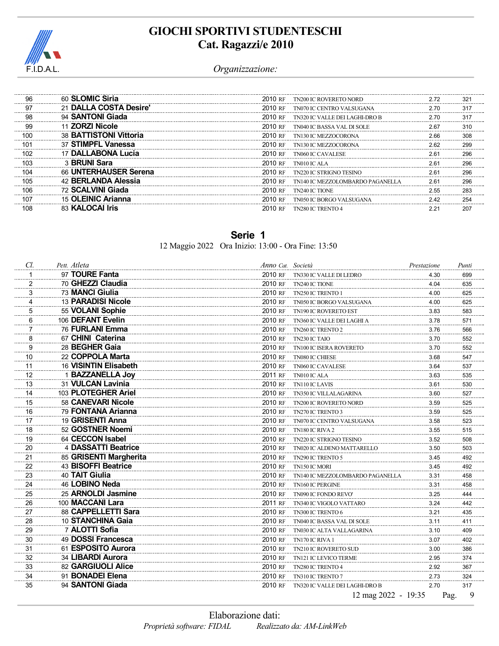

# *Organizzazione:*

| 96  | 60 SLOMIC Siria               | 2010 RF  | <b>TN200 IC ROVERETO NORD</b>      |      |  |
|-----|-------------------------------|----------|------------------------------------|------|--|
| המ  | <b>DALLA COSTA Desire'</b>    | 2010 RF  | TN070 IC CENTRO VAI SUGANA         | 2 70 |  |
| 98  | 94 SANTONI Giada              | 2010 RF  | TN320 IC VALLE DEI LAGHI-DRO B     | 2 70 |  |
| gc  | 11 ZORZI Nicole               |          | 2010 RF TN040 IC BASSA VAL DI SOLE | 2.67 |  |
| 10C | 38 <b>BATTISTONI Vittoria</b> | 2010 RF  | TN130 IC MEZZOCORONA               | 2.66 |  |
|     | <b>FIMPFL Vanessa</b>         | 2010 RF  | TN130 IC MEZZOCORONA               | 2.62 |  |
| 1∩′ | <b>DALLABONA Lucia</b>        | 2010 RF  | TN060 IC CAVAI ESE                 | 26   |  |
|     | 3 BRUNI Sara                  | 2010 RF  | TN010 IC ALA                       | 2 61 |  |
| 104 | 66 UNTERHAUSER Serena         |          | 2010 RF TN220 IC STRIGNO TESINO    | 26'  |  |
| 105 | 42 BERLANDA Alessia           | 2010 RF  | TN140 IC MEZZOLOMBARDO PAGA        |      |  |
| 10F | <b>SCALVINI Giada</b>         | 2010 RF. | TN240 IC TIONE                     | 2.55 |  |
|     | 15 OLEINIC Arianna            | 2010 RF  | TN050 IC BORGO VALSUGANA           | 2 42 |  |
|     | <b>KALOCAL</b> Iris           | 2010 RF  | TN280 IC TRENTO 4                  |      |  |
|     |                               |          |                                    |      |  |

#### **Serie 1** 12 Maggio 2022 Ora Inizio: 13:00 - Ora Fine: 13:50

| Cl.                        | Pett. Atleta              | Anno Cat. Società |                                    | Prestazione | Punti |
|----------------------------|---------------------------|-------------------|------------------------------------|-------------|-------|
| $\overline{\phantom{a}}$ 1 | 97 TOURE Fanta            | 2010 rf           | TN330 IC VALLE DI LEDRO            | 4.30        | 699   |
| $\frac{2}{2}$              | 70 GHEZZI Claudia         | 2010 RF           | TN240 IC TIONE                     | 4.04        | 635   |
| $\frac{3}{2}$              | 73 MANCI Giulia           | 2010 RF           | TN250 IC TRENTO 1                  | 4.00        | 625   |
| $\frac{4}{2}$              | 13 <b>PARADISI Nicole</b> | 2010 RF           | TN050 IC BORGO VALSUGANA           | 4.00        | 625   |
| $\overline{5}$             | 55 VOLANI Sophie          |                   | 2010 RF TN190 IC ROVERETO EST      | 3.83        | 583   |
| $\overline{6}$             | 106 DEFANT Evelin         |                   | 2010 RF TN360 IC VALLE DEI LAGHI A | 3.78        | 571   |
| $\frac{7}{ }$              | 76 FURLANI Emma           |                   | 2010 RF TN260 IC TRENTO 2          | 3.76        | 566   |
| 8                          | 67 CHINI Caterina         |                   | 2010 RF TN230 IC TAIO              | 3.70        | 552   |
| $\overline{9}$             | 28 BEGHER Gaia            |                   | 2010 RF TN100 IC ISERA ROVERETO    | 3.70        | 552   |
| 10                         | 22 COPPOLA Marta          |                   | 2010 RF TN080 IC CHIESE            | 3.68        | 547   |
| 11                         | 16 VISINTIN Elisabeth     | 2010 RF           | TN060 IC CAVALESE                  | 3.64        | 537   |
| 12                         | 1 <b>BAZZANELLA Joy</b>   |                   | 2011 RF TN010 IC ALA               | 3.63        | 535   |
| 13                         | 31 VULCAN Lavinia         | 2010 RF           | TN110 IC LAVIS                     | 3.61        | 530   |
| 14                         | 103 PLOTEGHER Ariel       | 2010 RF           | TN350 IC VILLALAGARINA             | 3.60        | 527   |
| 15                         | 58 CANEVARI Nicole        | 2010 RF           | TN200 IC ROVERETO NORD             | 3.59        | 525   |
| 16                         | 79 FONTANA Arianna        | 2010 RF           | TN270 IC TRENTO 3                  | 3.59        | 525   |
| 17                         | 19 GRISENTI Anna          | 2010 RF           | TN070 IC CENTRO VALSUGANA          | 3.58        | 523   |
| 18                         | 52 GOSTNER Noemi          | 2010 RF           | TN180 IC RIVA 2                    | 3.55        | 515   |
| 19                         | 64 CECCON Isabel          | 2010 RF           | TN220 IC STRIGNO TESINO            | 3.52        | 508   |
| 20                         | 4 DASSATTI Beatrice       | 2010 RF           | TN020 IC ALDENO MATTARELLO         | 3.50        | 503   |
| 21                         | 85 GRISENTI Margherita    | 2010 RF           | TN290 IC TRENTO 5                  | 3.45        | 492   |
| 22                         | 43 BISOFFI Beatrice       | 2010 RF           | TN150 IC MORI                      | 3.45        | 492   |
| 23                         | 40 TAIT Giulia            | 2010 RF           | TN140 IC MEZZOLOMBARDO PAGANELLA   | 3.31        | 458   |
| 24                         | 46 LOBINO Neda            | 2010 RF           | TN160 IC PERGINE                   | 3.31        | 458   |
| 25                         | 25 ARNOLDI Jasmine        | 2010 RF           | TN090 IC FONDO REVO'               | 3.25        | 444   |
| 26                         | 100 MACCANI Lara          | 2011 RF           | TN340 IC VIGOLO VATTARO            | 3.24        | 442   |
| 27                         | 88 CAPPELLETTI Sara       | 2010 RF           | TN300 IC TRENTO 6                  | 3.21        | 435   |
| 28                         | 10 STANCHINA Gaia         | 2010 RF           | TN040 IC BASSA VAL DI SOLE         | 3.11        | 411   |
| 29                         | 7 ALOTTI Sofia            | 2010 RF           | TN030 IC ALTA VALLAGARINA          | 3.10        | 409   |
| 30                         | 49 DOSSI Francesca        | 2010 RF           | TN170 IC RIVA 1                    | 3.07        | 402   |
| 31                         | 61 ESPOSITO Aurora        | 2010 RF           | TN210 IC ROVERETO SUD              | 3.00        | 386   |
| 32                         | 34 LIBARDI Aurora         | 2010 RF           | TN121 IC LEVICO TERME              | 2.95        | 374   |
| 33                         | 82 GARGIUOLI Alice        | 2010 RF           | TN280 IC TRENTO 4                  | 2.92        | 367   |
| 34                         | 91 BONADEI Elena          | 2010 RF           | TN310 IC TRENTO 7                  | 2.73        | 324   |
| 35                         | 94 SANTONI Giada          | 2010 RF           | TN320 IC VALLE DEI LAGHI-DRO B     | 2.70        | 317   |
|                            |                           |                   | 12 mag 2022 - 19:35                | Pag.        | 9     |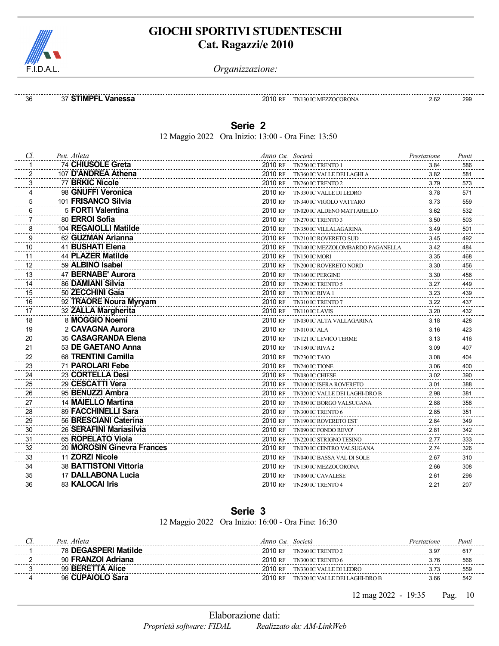

*Organizzazione:* 

36 37 **STIMPFL Vanessa** 2010 RF TN130 IC MEZZOCORONA 2.62 299

...................................

#### **Serie 2**

12 Maggio 2022 Ora Inizio: 13:00 - Ora Fine: 13:50

| Cl.            | Pett. Atleta                  | Anno Cat. Società |                                  | Prestazione | Punti |
|----------------|-------------------------------|-------------------|----------------------------------|-------------|-------|
|                | 74 CHIUSOLE Greta             | 2010 RF           | TN250 IC TRENTO:                 | 3.84        | 586   |
| $\overline{a}$ | 107 D'ANDREA Athena           | 2010 RF           | TN360 IC VALLE DEI LAGHI A       | 3.82        | 581   |
| $\overline{3}$ | 77 BRKIC Nicole               | 2010 RF           | TN260 IC TRENTO 2                | 3.79        | 573   |
| $\overline{4}$ | 98 GNUFFI Veronica            | 2010 RF           | TN330 IC VALLE DI LEDRO          | 3.78        | 571   |
| 5              | 101 FRISANCO Silvia           | 2010 RF           | TN340 IC VIGOLO VATTARO          | 3.73        | 559   |
| 6              | 5 FORTI Valentina             | 2010 RF           | TN020 IC ALDENO MATTARELLO       | 3.62        | 532   |
| 7              | 80 ERROI Sofia                | 2010 RF           | TN270 IC TRENTO 3                | 3.50        | 503   |
| 8              | 104 REGAIOLLI Matilde         | 2010 RF           | TN350 IC VILLALAGARINA           | 3.49        | 501   |
| 9              | 62 GUZMAN Arianna             | 2010 RF           | TN210 IC ROVERETO SUD            | 3.45        | 492   |
| 10             | 41 BUSHATI Elena              | 2010 RF           | TN140 IC MEZZOLOMBARDO PAGANELLA | 3.42        | 484   |
| 11             | 44 PLAZER Matilde             | 2010 RF           | TN150 IC MORI                    | 3.35        | 468   |
| 12             | 59 ALBINO Isabel              | 2010 RF           | TN200 IC ROVERETO NORD           | 3.30        | 456   |
| 13             | 47 BERNABE' Aurora            | 2010 RF           | TN160 IC PERGINE                 | 3.30        | 456   |
| 14             | 86 DAMIANI Silvia             | 2010 RF           | TN290 IC TRENTO 5                | 3.27        | 449   |
| 15             | 50 ZECCHINI Gaia              | 2010 RF           | TN170 IC RIVA 1                  | 3.23        | 439   |
| 16             | 92 TRAORE Noura Myryam        | 2010 RF           | TN310 IC TRENTO 7                | 3.22        | 437   |
| 17             | 32 ZALLA Margherita           | 2010 RF           | TN110 IC LAVIS                   | 3.20        | 432   |
| 18             | 8 MOGGIO Noemi                | 2010 RF           | TN030 IC ALTA VALLAGARINA        | 3.18        | 428   |
| 19             | 2 CAVAGNA Aurora              | 2010 RF           | TN010 IC ALA                     | 3.16        | 423   |
| 20             | 35 CASAGRANDA Elena           | 2010 RF           | TN121 IC LEVICO TERME            | 3.13        | 416   |
| 21             | 53 DE GAETANO Anna            | 2010 RF           | TN180 IC RIVA 2                  | 3.09        | 407   |
| 22             | 68 TRENTINI Camilla           | 2010 RF           | TN230 IC TAIO                    | 3.08        | 404   |
| 23             | 71 PAROLARI Febe              | 2010 RF           | TN240 IC TIONE                   | 3.06        | 400   |
| 24             | 23 CORTELLA Desi              | 2010 RF           | TN080 IC CHIESE                  | 3.02        | 390   |
| 25             | 29 CESCATTI Vera              | 2010 RF           | <b>TN100 IC ISERA ROVERETO</b>   | 3.01        | 388   |
| 26             | 95 BENUZZI Ambra              | 2010 RF           | TN320 IC VALLE DEI LAGHI-DRO B   | 2.98        | 381   |
| 27             | 14 MAIELLO Martina            | 2010 RF           | TN050 IC BORGO VALSUGANA         | 2.88        | 358   |
| 28             | 89 FACCHINELLI Sara           | 2010 RF           | TN300 IC TRENTO 6                | 2.85        | 351   |
| 29             | 56 BRESCIANI Caterina         | 2010 RF           | TN190 IC ROVERETO EST            | 2.84        | 349   |
| 30             | 26 SERAFINI Mariasilvia       | 2010 RF           | TN090 IC FONDO REVO'             | 2.81        | 342   |
| 31             | 65 ROPELATO Viola             | 2010 RF           | TN220 IC STRIGNO TESINO          | 2.77        | 333   |
| 32             | 20 MOROSIN Ginevra Frances    | 2010 RF           | TN070 IC CENTRO VALSUGANA        | 2.74        | 326   |
| 33             | 11 ZORZI Nicole               | 2010 RF           | TN040 IC BASSA VAL DI SOLE       | 2.67        | 310   |
| 34             | 38 <b>BATTISTONI Vittoria</b> | 2010 RF           | TN130 IC MEZZOCORONA             | 2.66        | 308   |
| 35             | 17 DALLABONA Lucia            | 2010 RF           | <b>TN060 IC CAVALESE</b>         | 2.61        | 296   |
| 36             | 83 KALOCAI Iris               | 2010 RF           | TN280 IC TRENTO 4                | 2.21        | 207   |

#### **Serie 3**

12 Maggio 2022 Ora Inizio: 16:00 - Ora Fine: 16:30

| Pett<br>Atleta   | Societa                                   | stazione | unti |
|------------------|-------------------------------------------|----------|------|
|                  | RI.                                       | 5.9"     |      |
| 90               | 2010 RF<br>TN300 IC TRENTO 6              | J/f      | 566  |
| 99               | 2010<br>, RF<br>TN330 IC VALLE DI LEDRO   |          | 559  |
| 96 CUPAIOLO Sara | 2010 RF<br>TN320 IC VALLE DEI LAGHI-DRO B | 3.66     |      |
|                  |                                           |          |      |

12 mag 2022 - 19:35 Pag. 10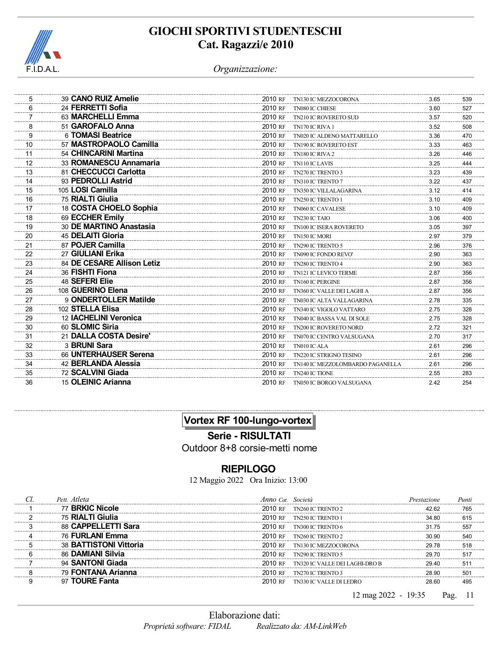

*Organizzazione:* 

| $rac{5}{2}$         | 39 CANO RUIZ Amelie        | 2010 RF | TN130 IC MEZZOCORONA             | 3.65 | 539 |
|---------------------|----------------------------|---------|----------------------------------|------|-----|
| 6                   | 24 FERRETTI Sofia          | 2010 RF | TN080 IC CHIESE                  | 3.60 | 527 |
| $\overline{7}$<br>. | 63 MARCHELLI Emma          | 2010 RF | TN210 IC ROVERETO SUD            | 3.57 | 520 |
| 8                   | 51 GAROFALO Anna           | 2010 RF | TN170 IC RIVA 1                  | 3.52 | 508 |
| 9                   | 6 TOMASI Beatrice          | 2010 RF | TN020 IC ALDENO MATTARELLO       | 3.36 | 470 |
| 10                  | 57 MASTROPAOLO Camilla     | 2010 RF | TN190 IC ROVERETO EST            | 3.33 | 463 |
| 11                  | 54 CHINCARINI Martina      | 2010 RF | TN180 IC RIVA 2                  | 3.26 | 446 |
| 12                  | 33 ROMANESCU Annamaria     | 2010 RF | TN110 IC LAVIS                   | 3.25 | 444 |
| 13                  | 81 CHECCUCCI Carlotta      | 2010 RF | TN270 IC TRENTO 3                | 3.23 | 439 |
| 14<br>.             | 93 PEDROLLI Astrid         | 2010 RF | TN310 IC TRENTO 7                | 3.22 | 437 |
| 15                  | 105 LOSI Camilla           | 2010 RF | TN350 IC VILLALAGARINA           | 3.12 | 414 |
| 16                  | 75 RIALTI Giulia           | 2010 RF | TN250 IC TRENTO 1                | 3.10 | 409 |
| 17                  | 18 COSTA CHOELO Sophia     | 2010 RF | TN060 IC CAVALESE                | 3.10 | 409 |
| 18                  | 69 ECCHER Emily            | 2010 RF | TN230 IC TAIO                    | 3.06 | 400 |
| 19                  | 30 DE MARTINO Anastasia    | 2010 RF | TN100 IC ISERA ROVERETO          | 3.05 | 397 |
| 20                  | 45 DELAITI Gloria          | 2010 RF | TN150 IC MORI                    | 2.97 | 379 |
| 21                  | 87 POJER Camilla           | 2010 RF | TN290 IC TRENTO 5                | 2.96 | 376 |
| 22                  | 27 GIULIANI Erika          | 2010 RF | TN090 IC FONDO REVO'             | 2.90 | 363 |
| 23                  | 84 DE CESARE Allison Letiz | 2010 RF | TN280 IC TRENTO 4                | 2.90 | 363 |
| 24                  | 36 FISHTI Fiona            | 2010 RF | TN121 IC LEVICO TERME            | 2.87 | 356 |
| 25                  | 48 SEFERI Elie             | 2010 RF | <b>TN160 IC PERGINE</b>          | 2.87 | 356 |
| 26                  | 108 GUERINO Elena          | 2010 RF | TN360 IC VALLE DEI LAGHI A       | 2.87 | 356 |
| 27                  | 9 ONDERTOLLER Matilde      | 2010 RF | TN030 IC ALTA VALLAGARINA        | 2.78 | 335 |
| 28                  | 102 STELLA Elisa           | 2010 RF | TN340 IC VIGOLO VATTARO          | 2.75 | 328 |
| 29                  | 12 IACHELINI Veronica      | 2010 RF | TN040 IC BASSA VAL DI SOLE       | 2.75 | 328 |
| 30                  | 60 SLOMIC Siria            | 2010 RF | TN200 IC ROVERETO NORD           | 2.72 | 321 |
| 31                  | 21 DALLA COSTA Desire'     | 2010 RF | TN070 IC CENTRO VALSUGANA        | 2.70 | 317 |
| 32                  | 3 BRUNI Sara               | 2010 RF | TN010 IC ALA                     | 2.61 | 296 |
| 33                  | 66 UNTERHAUSER Serena      | 2010 RF | TN220 IC STRIGNO TESINO          | 2.61 | 296 |
| 34                  | 42 BERLANDA Alessia        | 2010 RF | TN140 IC MEZZOLOMBARDO PAGANELLA | 2.61 | 296 |
| 35                  | 72 SCALVINI Giada          | 2010 RF | TN240 IC TIONE                   | 2.55 | 283 |
| 36                  | 15 OLEINIC Arianna         | 2010 RF | TN050 IC BORGO VALSUGANA         | 2.42 | 254 |
|                     |                            |         |                                  |      |     |

## **Vortex RF 100-lungo-vortex**

### **Serie - RISULTATI**

Outdoor 8+8 corsie-metti nome

### **RIEPILOGO**

12 Maggio 2022 Ora Inizio: 13:00

| 77 BRKIC Nicole               | 2010 RF | TN <sub>260</sub> IC TRENTO 2 |       |    |
|-------------------------------|---------|-------------------------------|-------|----|
| 75 RIALTI Giulia              | 2010 RF | <b>TN250 IC TRENTO 1</b>      | 34 80 |    |
| CAPPELLETTI Sara<br>88        | 2010 RF | TN300 IC TRENTO 6             | 31 75 |    |
| 76 FURLANI Emma               | 2010 RF | TN260 IC TRENTO 2             | 30.90 |    |
| 38 <b>BATTISTONI Vittoria</b> | 2010 RF | TN130 IC MEZZOCORONA          | 2978  |    |
| 86 DAMIANI Silvia             | 2010 RF | TN290 IC TRENTO 5             | 29.70 | 51 |
| SANTONI Giada                 | 2010 RF | TN320 IC VALLE DELLAGHLDRO B  | 29.40 |    |
| <br>ONTANA Arianna<br>79.     | 2010 RF | TN270 IC TRENTO 3             | 28.90 | 50 |
| <b>TOURE Fanta</b>            | 2010 RF | TN330 IC VALLE DI LEDRO       | 28.60 |    |
|                               |         |                               |       |    |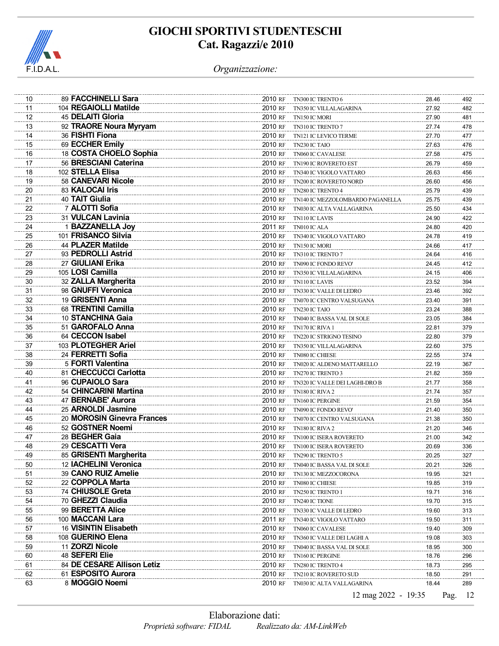

### *Organizzazione:*

| 10       | 89 FACCHINELLI Sara                             |                    | 2010 RF TN300 IC TRENTO 6                     | 28.46          | 492        |
|----------|-------------------------------------------------|--------------------|-----------------------------------------------|----------------|------------|
| 11       | 104 REGAIOLLI Matilde                           | 2010 RF            | TN350 IC VILLALAGARINA                        | 27.92          | 482        |
| 12       | 45 DELAITI Gloria                               | 2010 RF            | TN150 IC MORI                                 | 27.90          | 481        |
| 13       | 92 TRAORE Noura Myryam                          | 2010 RF            | TN310 IC TRENTO 7                             | 27.74          | 478        |
| 14       | 36 FISHTI Fiona                                 | 2010 RF            | TN121 IC LEVICO TERME                         | 27.70          | 477        |
| 15       | 69 ECCHER Emily                                 | 2010 RF            | TN230 IC TAIO                                 | 27.63          | 476        |
| 16       | 18 COSTA CHOELO Sophia                          | 2010 RF            | TN060 IC CAVALESE                             | 27.58          | 475        |
| 17       | 56 BRESCIANI Caterina                           | 2010 RF            | TN190 IC ROVERETO EST                         | 26.79          | 459        |
| 18       | 102 STELLA Elisa                                | 2010 RF            | TN340 IC VIGOLO VATTARO                       | 26.63          | 456        |
| 19       | 58 CANEVARI Nicole                              | 2010 RF            | TN200 IC ROVERETO NORD                        | 26.60          | 456        |
| 20       | 83 KALOCAI Iris                                 | 2010 RF            | TN280 IC TRENTO 4                             | 25.79          | 439        |
| 21       | 40 TAIT Giulia                                  | 2010 RF            | TN140 IC MEZZOLOMBARDO PAGANELLA              | 25.75          | 439        |
| 22       | 7 ALOTTI Sofia                                  | 2010 RF            | TN030 IC ALTA VALLAGARINA                     | 25.50          | 434        |
| 23       | 31 VULCAN Lavinia                               | 2010 RF            | TN110 IC LAVIS                                | 24.90          | 422        |
| 24       | 1 BAZZANELLA Joy                                | 2011 RF            | TN010 IC ALA                                  | 24.80          | 420        |
| 25       | 101 FRISANCO Silvia                             | 2010 RF            | TN340 IC VIGOLO VATTARO                       | 24.78          | 419        |
| 26       | 44 PLAZER Matilde                               | 2010 RF            | TN150 IC MORI                                 | 24.66          | 417        |
| 27       | 93 PEDROLLI Astrid                              | 2010 RF            | TN310 IC TRENTO 7                             | 24.64          | 416        |
| 28       | 27 GIULIANI Erika                               | 2010 RF            | TN090 IC FONDO REVO'                          | 24.45          | 412        |
| 29       | 105 LOSI Camilla                                | 2010 RF            | TN350 IC VILLALAGARINA                        | 24.15          | 406        |
| 30       | 32 ZALLA Margherita                             | 2010 RF            | TN110 IC LAVIS                                | 23.52          | 394        |
| 31       | 98 GNUFFI Veronica                              | 2010 RF            | TN330 IC VALLE DI LEDRO                       | 23.46          | 392        |
| 32       | 19 GRISENTI Anna                                | 2010 RF            | TN070 IC CENTRO VALSUGANA                     | 23.40          | 391        |
| 33       | 68 TRENTINI Camilla                             | 2010 RF            | TN230 IC TAIO                                 | 23.24          | 388        |
| 34       | 10 STANCHINA Gaia                               | 2010 RF            | TN040 IC BASSA VAL DI SOLE                    | 23.05          | 384        |
| 35       | 51 GAROFALO Anna                                | 2010 RF            | TN170 IC RIVA 1                               |                |            |
| 36       | 64 CECCON Isabel                                | 2010 RF            |                                               | 22.81          | 379        |
| 37       | 103 PLOTEGHER Ariel                             | 2010 RF            | TN220 IC STRIGNO TESINO                       | 22.80          | 379<br>375 |
| 38       | 24 FERRETTI Sofia                               |                    | TN350 IC VILLALAGARINA                        | 22.60          | 374        |
| 39       | 5 FORTI Valentina                               | 2010 RF<br>2010 RF | TN080 IC CHIESE<br>TN020 IC ALDENO MATTARELLO | 22.55<br>22.19 | 367        |
| 40       | 81 CHECCUCCI Carlotta                           | 2010 RF            |                                               | 21.82          |            |
|          | 96 CUPAIOLO Sara                                |                    | TN270 IC TRENTO 3                             |                | 359        |
| 41<br>42 | 54 CHINCARINI Martina                           | 2010 RF            | TN320 IC VALLE DEI LAGHI-DRO B                | 21.77          | 358        |
|          | 47 BERNABE' Aurora                              | 2010 RF<br>2010 RF | TN180 IC RIVA 2                               | 21.74          | 357        |
| 43       | 25 ARNOLDI Jasmine                              |                    | TN160 IC PERGINE                              | 21.59          | 354        |
| 44       | 20 MOROSIN Ginevra Frances                      | 2010 RF            | TN090 IC FONDO REVO'                          | 21.40          | 350        |
| 45       | 52 GOSTNER Noemi                                | 2010 RF            | TN070 IC CENTRO VALSUGANA                     | 21.38          | 350        |
| 46       | 28 BEGHER Gaia                                  | 2010 RF            | TN180 IC RIVA 2                               | 21.20          | 346        |
| 47       | 29 CESCATTI Vera                                | 2010 RF            | TN100 IC ISERA ROVERETO                       | 21.00          | 342        |
| 48       |                                                 | 2010 RF            | TN100 IC ISERA ROVERETO                       | 20.69          | 336        |
| 49       | 85 GRISENTI Margherita<br>12 IACHELINI Veronica | 2010 RF            | TN290 IC TRENTO 5                             | 20.25          | 327        |
| 50       | 39 CANO RUIZ Amelie                             | 2010 RF            | TN040 IC BASSA VAL DI SOLE                    | 20.21          | 326        |
| 51       |                                                 | 2010 RF            | TN130 IC MEZZOCORONA                          | 19.95          | 321        |
| 52       | 22 COPPOLA Marta                                | 2010 RF            | TN080 IC CHIESE                               | 19.85          | 319        |
| 53       | 74 CHIUSOLE Greta                               | 2010 RF            | TN250 IC TRENTO 1                             | 19.71          | 316        |
| 54       | 70 GHEZZI Claudia                               | 2010 RF            | TN240 IC TIONE                                | 19.70          | 315        |
| 55       | 99 BERETTA Alice                                | 2010 RF            | TN330 IC VALLE DI LEDRO                       | 19.60          | 313        |
| 56       | 100 MACCANI Lara                                | 2011 RF            | TN340 IC VIGOLO VATTARO                       | 19.50          | 311        |
| 57       | 16 VISINTIN Elisabeth                           | 2010 RF            | TN060 IC CAVALESE                             | 19.40          | 309        |
| 58       | 108 GUERINO Elena                               | 2010 RF            | TN360 IC VALLE DEI LAGHI A                    | 19.08          | 303        |
| 59       | 11 ZORZI Nicole                                 | 2010 RF            | TN040 IC BASSA VAL DI SOLE                    | 18.95          | 300        |
| 60       | 48 SEFERI Elie                                  | 2010 RF            | TN160 IC PERGINE                              | 18.76          | 296        |
| 61       | 84 DE CESARE Allison Letiz                      | 2010 RF            | TN280 IC TRENTO 4                             | 18.73          | 295        |
| 62       | 61 ESPOSITO Aurora                              | 2010 RF            | TN210 IC ROVERETO SUD                         | 18.50          | 291        |
| 63       | 8 MOGGIO Noemi                                  | 2010 RF            | TN030 IC ALTA VALLAGARINA                     | 18.44          | 289        |
|          |                                                 |                    | 12 mag 2022 - 19:35                           | Pag.           | -12        |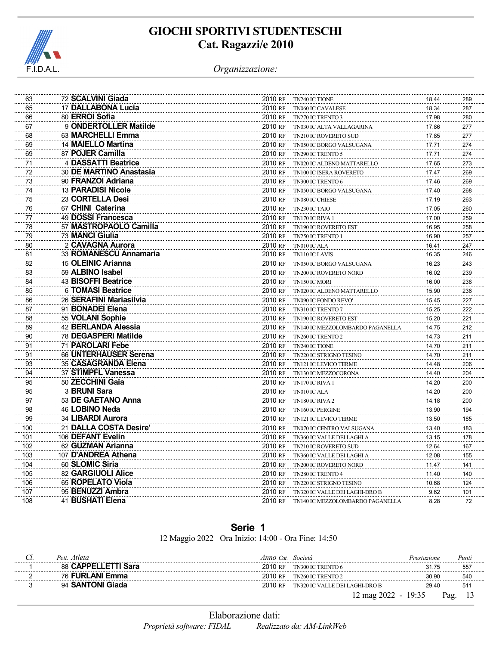

*Organizzazione:* 

|     |                           |         |                                  |       | .   |
|-----|---------------------------|---------|----------------------------------|-------|-----|
| 63  | 72 SCALVINI Giada         | 2010 RF | TN240 IC TIONE                   | 18.44 | 289 |
| 65  | 17 DALLABONA Lucia        | 2010 RF | TN060 IC CAVALESE                | 18.34 | 287 |
| 66  | 80 ERROI Sofia            | 2010 RF | TN270 IC TRENTO 3                | 17.98 | 280 |
| 67  | 9 ONDERTOLLER Matilde     | 2010 RF | TN030 IC ALTA VALLAGARINA        | 17.86 | 277 |
| 68  | 63 MARCHELLI Emma         | 2010 RF | TN210 IC ROVERETO SUD            | 17.85 | 277 |
| 69  | 14 MAIELLO Martina        | 2010 RF | TN050 IC BORGO VALSUGANA         | 17.71 | 274 |
| 69  | 87 POJER Camilla          | 2010 RF | TN290 IC TRENTO 5                | 17.71 | 274 |
| 71  | 4 DASSATTI Beatrice       | 2010 RF | TN020 IC ALDENO MATTARELLO       | 17.65 | 273 |
| 72  | 30 DE MARTINO Anastasia   | 2010 RF | TN100 IC ISERA ROVERETO          | 17.47 | 269 |
| 73  | 90 FRANZOI Adriana        | 2010 RF | TN300 IC TRENTO 6                | 17.46 | 269 |
| 74  | 13 <b>PARADISI Nicole</b> | 2010 RF | TN050 IC BORGO VALSUGANA         | 17.40 | 268 |
| 75  | 23 CORTELLA Desi          | 2010 RF | TN080 IC CHIESE                  | 17.19 | 263 |
| 76  | 67 CHINI Caterina         | 2010 RF | TN230 IC TAIO                    | 17.05 | 260 |
| 77  | 49 DOSSI Francesca        | 2010 RF | TN170 IC RIVA 1                  | 17.00 | 259 |
| 78  | 57 MASTROPAOLO Camilla    | 2010 RF | TN190 IC ROVERETO EST            | 16.95 | 258 |
| 79  | 73 MANCI Giulia           | 2010 RF | TN250 IC TRENTO 1                | 16.90 | 257 |
| 80  | 2 CAVAGNA Aurora          | 2010 RF | TN010 IC ALA                     | 16.41 | 247 |
| 81  | 33 ROMANESCU Annamaria    | 2010 RF | TN110 IC LAVIS                   | 16.35 | 246 |
| 82  | 15 OLEINIC Arianna        | 2010 RF | TN050 IC BORGO VALSUGANA         | 16.23 | 243 |
| 83  | 59 ALBINO Isabel          | 2010 RF | TN200 IC ROVERETO NORD           | 16.02 | 239 |
| 84  | 43 BISOFFI Beatrice       | 2010 RF | TN150 IC MORI                    | 16.00 | 238 |
| 85  | 6 TOMASI Beatrice         | 2010 RF | TN020 IC ALDENO MATTARELLO       | 15.90 | 236 |
| 86  | 26 SERAFINI Mariasilvia   | 2010 RF | TN090 IC FONDO REVO'             | 15.45 | 227 |
| 87  | 91 <b>BONADEI Elena</b>   | 2010 RF | TN310 IC TRENTO 7                | 15.25 | 222 |
| 88  | 55 VOLANI Sophie          | 2010 RF | TN190 IC ROVERETO EST            | 15.20 | 221 |
| 89  | 42 BERLANDA Alessia       | 2010 RF | TN140 IC MEZZOLOMBARDO PAGANELLA | 14.75 | 212 |
| 90  | 78 DEGASPERI Matilde      | 2010 RF | TN260 IC TRENTO 2                | 14.73 | 211 |
| 91  | 71 PAROLARI Febe          | 2010 RF | TN240 IC TIONE                   | 14.70 | 211 |
| 91  | 66 UNTERHAUSER Serena     | 2010 RF | TN220 IC STRIGNO TESINO          | 14.70 | 211 |
| 93  | 35 CASAGRANDA Elena       | 2010 RF | TN121 IC LEVICO TERME            | 14.48 | 206 |
| 94  | 37 STIMPFL Vanessa        | 2010 RF | TN130 IC MEZZOCORONA             | 14.40 | 204 |
| 95  | 50 ZECCHINI Gaia          | 2010 RF | TN170 IC RIVA 1                  | 14.20 | 200 |
| 95  | 3 BRUNI Sara              | 2010 RF | TN010 IC ALA                     | 14.20 | 200 |
| 97  | 53 DE GAETANO Anna        | 2010 RF | TN180 IC RIVA 2                  | 14.18 | 200 |
| 98  | 46 LOBINO Neda            | 2010 RF | TN160 IC PERGINE                 | 13.90 | 194 |
| 99  | 34 LIBARDI Aurora         | 2010 RF | TN121 IC LEVICO TERME            | 13.50 | 185 |
| 100 | 21 DALLA COSTA Desire'    | 2010 RF | TN070 IC CENTRO VALSUGANA        | 13.40 | 183 |
| 101 | 106 DEFANT Evelin         | 2010 RF | TN360 IC VALLE DEI LAGHI A       | 13.15 | 178 |
| 102 | 62 GUZMAN Arianna         | 2010 RF | TN210 IC ROVERETO SUD            | 12.64 | 167 |
| 103 | 107 D'ANDREA Athena       | 2010 RF | TN360 IC VALLE DEI LAGHI A       | 12.08 | 155 |
| 104 | 60 SLOMIC Siria           | 2010 RF | TN200 IC ROVERETO NORD           | 11.47 | 141 |
| 105 | 82 GARGIUOLI Alice        | 2010 RF | TN280 IC TRENTO 4                | 11.40 | 140 |
| 106 | 65 ROPELATO Viola         | 2010 RF | TN220 IC STRIGNO TESINO          | 10.68 | 124 |
| 107 | 95 BENUZZI Ambra          | 2010 RF | TN320 IC VALLE DEI LAGHI-DRO B   | 9.62  | 101 |
| 108 | 41 BUSHATI Elena          | 2010 RF | TN140 IC MEZZOLOMBARDO PAGANELLA | 8.28  | 72  |

#### **Serie 1**

12 Maggio 2022 Ora Inizio: 14:00 - Ora Fine: 14:50

| Pett<br>Atleta           | Società<br>Anno Cat.                      | Prestazione | Punti |
|--------------------------|-------------------------------------------|-------------|-------|
| 88 CAPPEL                | 2010 RF<br>TN300 IC TRENTO 6              | 31.75       | 557   |
| LANI Emma<br><b>76 k</b> | 2010<br><b>RF</b><br>TN260 IC TRENTO 2    | 30.90       | 540   |
| 94 SANTONI Giada         | 2010 RF<br>TN320 IC VALLE DEI LAGHI-DRO B | 29.40       | 51    |
|                          | $12 \text{ mag } 2022$                    | 19:35       | Pag.  |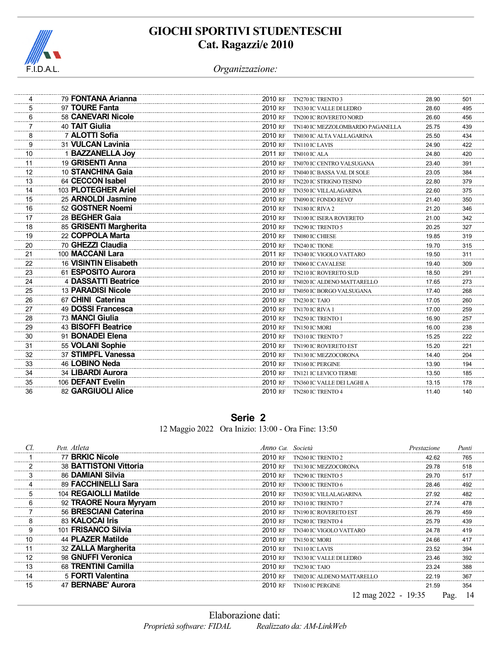

### *Organizzazione:*

| 4       | 79 <b>FONTANA Arianna</b> | 2010 RF | <b>TN270 IC TRENTO 3</b>         | 28.90 | 501 |
|---------|---------------------------|---------|----------------------------------|-------|-----|
| 5       | 97 TOURE Fanta            | 2010 RF | TN330 IC VALLE DI LEDRO          | 28.60 | 495 |
| 6       | 58 CANEVARI Nicole        | 2010 RF | TN200 IC ROVERETO NORD           | 26.60 | 456 |
| .       | 40 TAIT Giulia            | 2010 RF | TN140 IC MEZZOLOMBARDO PAGANELLA | 25.75 | 439 |
| 8       | 7 ALOTTI Sofia            | 2010 RF | TN030 IC ALTA VALLAGARINA        | 25.50 | 434 |
| 9       | 31 VULCAN Lavinia         | 2010 RF | TN110 IC LAVIS                   | 24.90 | 422 |
| 10<br>  | 1 BAZZANELLA Joy          | 2011 RF | TN010 IC ALA                     | 24.80 | 420 |
| .11     | 19 GRISENTI Anna          | 2010 RF | TN070 IC CENTRO VALSUGANA        | 23.40 | 391 |
| 12      | 10 STANCHINA Gaia         | 2010 RF | TN040 IC BASSA VAL DI SOLE       | 23.05 | 384 |
| 13      | 64 CECCON Isabel          | 2010 RF | TN220 IC STRIGNO TESINO          | 22.80 | 379 |
| 14      | 103 PLOTEGHER Ariel       | 2010 RF | TN350 IC VILLALAGARINA           | 22.60 | 375 |
| 15      | 25 ARNOLDI Jasmine        | 2010 RF | TN090 IC FONDO REVO'             | 21.40 | 350 |
| 16      | 52 GOSTNER Noemi          | 2010 RF | TN180 IC RIVA 2                  | 21.20 | 346 |
| 17      | 28 BEGHER Gaia            | 2010 RF | <b>TN100 IC ISERA ROVERETO</b>   | 21.00 | 342 |
| 18      | 85 GRISENTI Margherita    | 2010 RF | TN290 IC TRENTO 5                | 20.25 | 327 |
| 19      | 22 COPPOLA Marta          | 2010 RF | TN080 IC CHIESE                  | 19.85 | 319 |
| 20      | 70 GHEZZI Claudia         | 2010 RF | TN240 IC TIONE                   | 19.70 | 315 |
| 21<br>. | 100 MACCANI Lara          | 2011 RF | TN340 IC VIGOLO VATTARO          | 19.50 | 311 |
| 22      | 16 VISINTIN Elisabeth     | 2010 RF | <b>TN060 IC CAVALESE</b>         | 19.40 | 309 |
| 23      | 61 ESPOSITO Aurora        | 2010 RF | TN210 IC ROVERETO SUD            | 18.50 | 291 |
| 24      | 4 DASSATTI Beatrice       | 2010 RF | TN020 IC ALDENO MATTARELLO       | 17.65 | 273 |
| 25      | 13 PARADISI Nicole        | 2010 RF | TN050 IC BORGO VALSUGANA         | 17.40 | 268 |
| 26      | 67 CHINI Caterina         | 2010 RF | TN230 IC TAIO                    | 17.05 | 260 |
| 27      | 49 DOSSI Francesca        | 2010 RF | TN170 IC RIVA 1                  | 17.00 | 259 |
| 28      | 73 MANCI Giulia           | 2010 RF | TN250 IC TRENTO 1                | 16.90 | 257 |
| 29      | 43 BISOFFI Beatrice       | 2010 RF | TN150 IC MORI                    | 16.00 | 238 |
| 30      | 91 BONADEI Elena          | 2010 RF | TN310 IC TRENTO 7                | 15.25 | 222 |
| 31      | 55 VOLANI Sophie          | 2010 RF | <b>TN190 IC ROVERETO EST</b>     | 15.20 | 221 |
| 32      | 37 STIMPFL Vanessa        | 2010 RF | TN130 IC MEZZOCORONA             | 14.40 | 204 |
| 33      | 46 LOBINO Neda            | 2010 RF | TN160 IC PERGINE                 | 13.90 | 194 |
| 34      | 34 LIBARDI Aurora         | 2010 RF | <b>TN121 IC LEVICO TERME</b>     | 13.50 | 185 |
| 35      | 106 DEFANT Evelin         | 2010 RF | TN360 IC VALLE DEI LAGHI A       | 13.15 | 178 |
| 36      | 82 GARGIUOLI Alice        | 2010 RF | TN280 IC TRENTO 4                | 11.40 | 140 |

#### **Serie 2**

12 Maggio 2022 Ora Inizio: 13:00 - Ora Fine: 13:50

|    | Pett. Atleta                  | Anno Cat. Società                        | Prestazione |     |
|----|-------------------------------|------------------------------------------|-------------|-----|
|    | 77 BRKIC Nicole               | 2010 RF<br>TN <sub>260</sub> IC TRENTO 2 | 42.62       | 765 |
| C  | 38 <b>BATTISTONI Vittoria</b> | 2010 RF<br>TN130 IC MEZZOCORONA          | 29.78       | 518 |
|    | 86 DAMIANI Silvia             | 2010 RF<br><b>TN290 IC TRENTO 5</b>      | 29.70       | 517 |
|    | 89 FACCHINELLI Sara           | 2010 RF<br>TN300 IC TRENTO 6             | 28.46       | 492 |
|    | 104 REGAIOLLI Matilde         | 2010 RF                                  | 27.92       |     |
|    | 92 TRAORE Noura Myryam        | 2010 RF                                  | 27.74       |     |
|    | 56 BRESCIANI Caterina         | 2010 RF<br>TN190 IC ROVERETO EST         | 26.79       |     |
|    | 83 KALOCAI Iris               | 2010 RF<br><b>TN280 IC TRENTO 4</b>      | 25.79       | 439 |
|    | 101 FRISANCO Silvia           | 2010 RF<br>TN340 IC VIGOLO VATTARO       | 24.78       |     |
|    | 44 PLAZER Matilde             | 2010 RF<br>TN150 IC MORI                 | 24.66       |     |
|    | 32 ZALLA Margherita           | 2010 RF<br>TN110 IC LAVIS                | 23.52       |     |
|    | 98 GNUFFI Veronica            | 2010 RF<br>TN330 IC VALLE DI LEDRO       | 23.46       | 392 |
| 13 | 68 TRENTINI Camilla           | 2010 RF<br>TN230 IC TAIO                 | 23.24       | 388 |
| 14 | 5 FORTI Valentina             | 2010 RF<br>TN020 IC ALDENO MATTARE       |             | 367 |
| 15 | 47 BERNABE' Aurora            | 2010 RF<br>TN160 IC PERGINE              | 21.59       | 354 |
|    |                               | 12 mag 2022 - 19:35                      |             |     |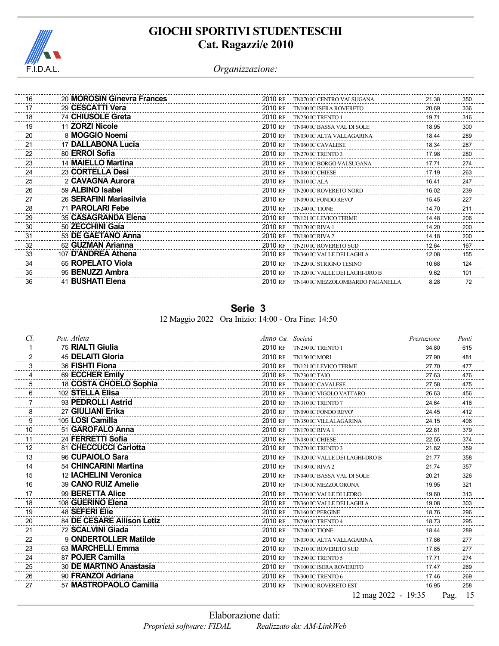

#### *Organizzazione:*

| 16      | 20 MOROSIN Ginevra Frances | 2010 RF | TN070 IC CENTRO VALSUGANA        | 21.38 | 350 |
|---------|----------------------------|---------|----------------------------------|-------|-----|
| 17      | 29 CESCATTI Vera           | 2010 RF | TN100 IC ISERA ROVERETO          | 20.69 | 336 |
| 18      | 74 CHIUSOLE Greta          | 2010 RF | TN250 IC TRENTO 1                | 19.71 | 316 |
| 19<br>. | 11 ZORZI Nicole            | 2010 RF | TN040 IC BASSA VAL DI SOLE       | 18.95 | 300 |
| 20      | 8 MOGGIO Noemi             | 2010 RF | TN030 IC ALTA VALLAGARINA        | 18.44 | 289 |
| 21      | 17 DALLABONA Lucia         | 2010 RF | <b>TN060 IC CAVALESE</b>         | 18.34 | 287 |
| 22      | 80 ERROI Sofia             | 2010 RF | <b>TN270 IC TRENTO 3</b>         | 17.98 | 280 |
| 23      | 14 MAIELLO Martina         | 2010 RF | TN050 IC BORGO VALSUGANA         | 17.71 | 274 |
| 24      | 23 CORTELLA Desi           | 2010 RF | <b>TN080 IC CHIESE</b>           | 17 19 | 263 |
| 25      | 2 CAVAGNA Aurora           | 2010 RF | TN010 IC ALA                     | 16.41 | 247 |
| 26      | 59 ALBINO Isabel           | 2010 RF | TN200 IC ROVERETO NORD           | 16.02 | 239 |
| 27<br>  | 26 SERAFINI Mariasilvia    | 2010 RF | <b>TN090 IC FONDO REVO</b>       | 15.45 | 227 |
| 28      | 71 PAROLARI Febe           | 2010 RF | TN240 IC TIONE                   | 14.70 | 211 |
| 29      | 35 CASAGRANDA Elena        | 2010 RF | <b>TN121 IC LEVICO TERME</b>     | 14.48 | 206 |
| 30      | 50 ZECCHINI Gaia           | 2010 RF | TN170 IC RIVA 1                  | 14.20 | 200 |
| 31      | 53 DE GAETANO Anna         | 2010 RF | TN180 IC RIVA 2                  | 14.18 | 200 |
| 32      | 62 GUZMAN Arianna          | 2010 RF | TN210 IC ROVERETO SUD            | 12.64 | 167 |
| 33      | 107 D'ANDREA Athena        | 2010 RF | TN360 IC VALLE DELLAGHLA         | 12.08 | 155 |
| 34      | 65 ROPELATO Viola          | 2010 RF | <b>TN220 IC STRIGNO TESINO</b>   | 10.68 | 124 |
| 35      | 95 BENUZZI Ambra           | 2010 RF | TN320 IC VALLE DEI LAGHI-DRO B   | 9.62  | 101 |
| 36      | 41 BUSHATI Elena           | 2010 RF | TN140 IC MEZZOLOMBARDO PAGANELLA | 8.28  | 72  |

**Serie 3** 12 Maggio 2022 Ora Inizio: 14:00 - Ora Fine: 14:50

| Cl.                     | Pett. Atleta               | Anno Cat. Società |                                | Prestazione | Punti |
|-------------------------|----------------------------|-------------------|--------------------------------|-------------|-------|
|                         | 75 RIALTI Giulia           | 2010 RF           | <b>TN250 IC TRENTO 1</b>       | 34.80       | 615   |
| $\frac{2}{2}$           | 45 DELAITI Gloria          | 2010 RF           | TN150 IC MORI                  | 27.90       | 481   |
| 3                       | 36 FISHTI Fiona            | 2010 RF           | TN121 IC LEVICO TERME          | 27.70       | 477   |
| 4                       | 69 ECCHER Emily            | 2010 RF           | TN230 IC TAIO                  | 27.63       | 476   |
| 5                       | 18 COSTA CHOELO Sophia     | 2010 RF           | <b>TN060 IC CAVALESE</b>       | 27.58       | 475   |
| 6                       | 102 STELLA Elisa           | 2010 RF           | TN340 IC VIGOLO VATTARO        | 26.63       | 456   |
| 7                       | 93 PEDROLLI Astrid         | 2010 RF           | TN310 IC TRENTO 7              | 24.64       | 416   |
| 8<br>. <del>. .</del> . | 27 GIULIANI Erika          | 2010 RF           | TN090 IC FONDO REVO'           | 24.45       | 412   |
| 9<br>. <del>.</del>     | 105 LOSI Camilla           | 2010 RF           | <b>TN350 IC VILLALAGARINA</b>  | 24.15       | 406   |
| 10<br>                  | 51 GAROFALO Anna           | 2010 RF           | TN170 IC RIVA 1                | 22.81       | 379   |
| 11<br>.                 | 24 FERRETTI Sofia          | 2010 RF           | <b>TN080 IC CHIESE</b>         | 22.55       | 374   |
| 12                      | 81 CHECCUCCI Carlotta      | 2010 RF           | TN270 IC TRENTO 3              | 21.82       | 359   |
| 13                      | 96 CUPAIOLO Sara           | 2010 RF           | TN320 IC VALLE DEI LAGHI-DRO B | 21.77       | 358   |
| 14                      | 54 CHINCARINI Martina      | 2010 RF           | TN180 IC RIVA 2                | 21.74       | 357   |
| 15                      | 12 IACHELINI Veronica      | 2010 RF           | TN040 IC BASSA VAL DI SOLE     | 20.21       | 326   |
| 16<br>.                 | 39 CANO RUIZ Amelie        | 2010 RF           | TN130 IC MEZZOCORONA           | 19.95       | 321   |
| 17<br>.                 | 99 BERETTA Alice           | 2010 RF           | TN330 IC VALLE DI LEDRO        | 19.60       | 313   |
| 18<br>.                 | 108 GUERINO Elena          | 2010 RF           | TN360 IC VALLE DEI LAGHI A     | 19.08       | 303   |
| 19                      | 48 SEFERI Elie             | 2010 RF           | TN160 IC PERGINE               | 18.76       | 296   |
| 20                      | 84 DE CESARE Allison Letiz | 2010 RF           | TN280 IC TRENTO 4              | 18.73       | 295   |
| 21                      | 72 SCALVINI Giada          | 2010 RF           | TN240 IC TIONE                 | 18.44       | 289   |
| 22                      | 9 ONDERTOLLER Matilde      | 2010 RF           | TN030 IC ALTA VALLAGARINA      | 17.86       | 277   |
| 23<br>.                 | 63 MARCHELLI Emma          | 2010 RF           | TN210 IC ROVERETO SUD          | 17.85       | 277   |
| 24                      | 87 POJER Camilla           | 2010 RF           | TN290 IC TRENTO 5              | 17.71       | 274   |
| 25                      | 30 DE MARTINO Anastasia    | 2010 RF           | TN100 IC ISERA ROVERETO        | 17.47       | 269   |
| 26                      | 90 FRANZOI Adriana         | 2010 RF           | TN300 IC TRENTO 6              | 17.46       | 269   |
| 27                      | 57 MASTROPAOLO Camilla     | 2010 RF           | TN190 IC ROVERETO EST          | 16.95       | 258   |
|                         |                            |                   | 12 mag 2022 - 19:35            | Pag.        | 15    |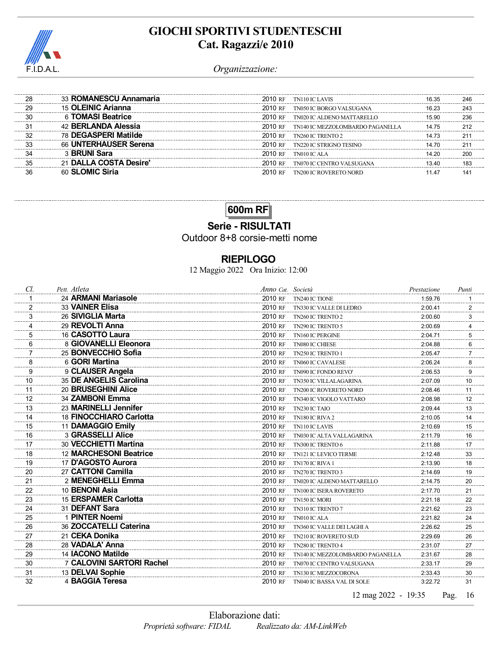

*Organizzazione:* 

|    | OMANESCU Annamaria         | 2010 RF<br>TN110 IC LAVIS                   |       |  |
|----|----------------------------|---------------------------------------------|-------|--|
| 29 | ∟EINIC Arianna             | 2010 RF<br>TN050 IC BORGO VALSUGANA         |       |  |
| 30 | OMASI Beatrice             | 2010 RF<br>TN020 IC ALDENO MATTARELLO       | 15 90 |  |
| n. | 42 BERLANDA Alessia        | 2010 RF<br>TN140 IC MEZZOLOMBARDO PAGANELLA | 14 75 |  |
| or | DEGASPERI Matilde<br>78    | 2010 RF<br>TN260 IC TRENTO 2                | 14 73 |  |
| ົ  | UNTERHAUSER Serena<br>66   | 2010 RF<br><b>TN220 IC STRIGNO TESINO</b>   |       |  |
| ີ  | INI Sara                   | 2010 RF<br><b>TN010 IC ALA</b>              |       |  |
| 35 | <b>DALLA COSTA Desire'</b> | 2010 RF<br>TN070 IC CENTRO VALSUGANA        |       |  |
|    |                            | 2010 RF<br><b>TN200 IC ROVERETO NORD</b>    |       |  |

**600m RF**

**Serie - RISULTATI**

Outdoor 8+8 corsie-metti nome

#### **RIEPILOGO**

12 Maggio 2022 Ora Inizio: 12:00

| Cl.            | Pett. Atleta              | Anno Cat. Società |                                  | Prestazione | Punti          |
|----------------|---------------------------|-------------------|----------------------------------|-------------|----------------|
| $\mathbf{1}$   | 24 ARMANI Mariasole       | 2010 RF           | TN240 IC TIONE                   | 1:59.76     |                |
| 2              | 33 VAINER Elisa           | 2010 RF           | TN330 IC VALLE DI LEDRO          | 2:00.41     | $\overline{2}$ |
| 3              | 26 SIVIGLIA Marta         | 2010 RF           | TN260 IC TRENTO 2                | 2:00.60     | $\frac{3}{2}$  |
| 4              | 29 REVOLTI Anna           | 2010 RF           | TN290 IC TRENTO 5                | 2:00.69     | 4              |
| 5              | 16 CASOTTO Laura          | 2010 RF           | TN160 IC PERGINE                 | 2:04.71     | 5              |
| 6              | 8 GIOVANELLI Eleonora     | 2010 RF           | TN080 IC CHIESE                  | 2:04.88     | 6              |
| $\overline{7}$ | 25 BONVECCHIO Sofia       | 2010 RF           | TN250 IC TRENTO 1                | 2:05.47     | $\overline{7}$ |
| 8              | 6 GORI Martina            | 2010 RF           | TN060 IC CAVALESE                | 2:06.24     | 8              |
| 9              | 9 CLAUSER Angela          | 2010 RF           | TN090 IC FONDO REVO'             | 2:06.53     | 9              |
| 10             | 35 DE ANGELIS Carolina    | 2010 RF           | TN350 IC VILLALAGARINA           | 2:07.09     | 10             |
| 11<br>.        | 20 BRUSEGHINI Alice       | 2010 RF           | TN200 IC ROVERETO NORD           | 2:08.46     | $\frac{11}{2}$ |
| 12<br>.        | 34 ZAMBONI Emma           | 2010 RF           | TN340 IC VIGOLO VATTARO          | 2:08.98     | 12             |
| 13             | 23 MARINELLI Jennifer     | 2010 RF           | TN230 IC TAIO                    | 2:09.44     | 13             |
| 14             | 18 FINOCCHIARO Carlotta   | 2010 RF           | TN180 IC RIVA 2                  | 2:10.05     | 14             |
| 15             | 11 DAMAGGIO Emily         | 2010 RF           | TN110 IC LAVIS                   | 2:10.69     | 15             |
| 16             | 3 GRASSELLI Alice         | 2010 RF           | TN030 IC ALTA VALLAGARINA        | 2:11.79     | 16             |
| 17             | 30 VECCHIETTI Martina     | 2010 RF           | TN300 IC TRENTO 6                | 2:11.88     | 17             |
| 18             | 12 MARCHESONI Beatrice    | 2010 RF           | TN121 IC LEVICO TERME            | 2:12.48     | 33             |
| 19             | 17 D'AGOSTO Aurora        | 2010 RF           | TN170 IC RIVA 1                  | 2:13.90     | 18             |
| 20             | 27 CATTONI Camilla        | 2010 RF           | <b>TN270 IC TRENTO 3</b>         | 2:14.69     | 19             |
| 21             | 2 MENEGHELLI Emma         | 2010 RF           | TN020 IC ALDENO MATTARELLO       | 2:14.75     | 20             |
| 22             | 10 BENONI Asia            | 2010 RF           | TN100 IC ISERA ROVERETO          | 2:17.70     | 21             |
| 23             | 15 ERSPAMER Carlotta      | 2010 RF           | TN150 IC MORI                    | 2:21.18     | 22             |
| 24             | 31 DEFANT Sara            | 2010 RF           | TN310 IC TRENTO 7                | 2:21.62     | 23             |
| 25             | 1 PINTER Noemi            | 2010 RF           | TN010 IC ALA                     | 2:21.82     | 24             |
| 26             | 36 ZOCCATELLI Caterina    | 2010 RF           | TN360 IC VALLE DEI LAGHI A       | 2:26.62     | 25             |
| 27             | 21 CEKA Donika            | 2010 RF           | TN210 IC ROVERETO SUD            | 2:29.69     | 26             |
| 28             | 28 VADALA' Anna           | 2010 RF           | TN280 IC TRENTO 4                | 2:31.07     | 27             |
| 29             | 14 IACONO Matilde         | 2010 RF           | TN140 IC MEZZOLOMBARDO PAGANELLA | 2:31.67     | 28             |
| 30             | 7 CALOVINI SARTORI Rachel | 2010 RF           | TN070 IC CENTRO VALSUGANA        | 2:33.17     | 29             |
| 31             | 13 DELVAI Sophie          | 2010 RF           | TN130 IC MEZZOCORONA             | 2:33.43     | 30             |
| 32             | 4 BAGGIA Teresa           | 2010 RF           | TN040 IC BASSA VAL DI SOLE       | 3:22.72     | 31             |
|                |                           |                   |                                  |             |                |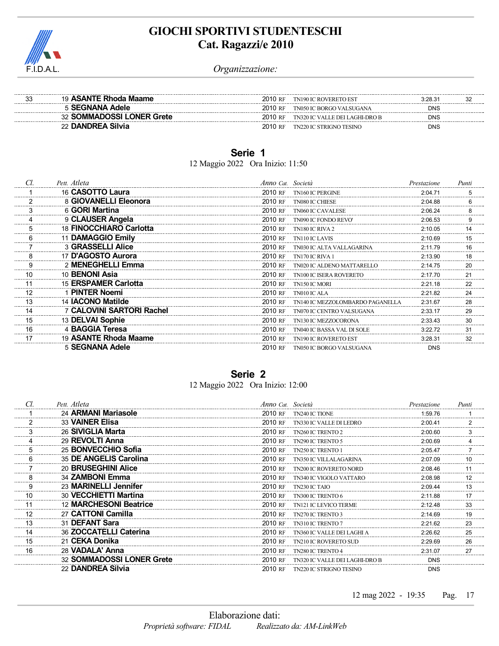

#### *Organizzazione:*

| 19 ASANTE Rhoda Maame     | 2010<br>' RF | <b>TN190 IC ROVERETO EST</b>   | 3:28.3' |  |
|---------------------------|--------------|--------------------------------|---------|--|
| 5 SEGNANA Adele           | 2010 RF      | TN050 IC BORGO VALSUGANA       | DNS     |  |
| 32 SOMMADOSSI LONER Grete | 2010 RF      | TN320 IC VALLE DEI LAGHI-DRO B | DNS     |  |
| 22 DANDREA Silvia         | 2011<br>-RF  | <b>TN220 IC STRIGNO TESINO</b> | DNS     |  |

#### **Serie 1** 12 Maggio 2022 Ora Inizio: 11:50

|    | Pett Atleta               | Anno Cat. Società |                                | Prestazione |    |
|----|---------------------------|-------------------|--------------------------------|-------------|----|
|    | 16 CASOTTO Laura          | 2010 RF           | TN160 IC PERGINE               | 2:04.71     |    |
|    | 8 GIOVANELLI Eleonora     | 2010 RF           | TN080 IC CHIESE                | 2:04.88     |    |
|    | 6 GORI Martina            | 2010 RF           | TN060 IC CAVALESE              | 2:06.24     |    |
|    | 9 CLAUSER Angela          | 2010 RF           | TN090 IC FONDO REVO            | 2:06.53     |    |
|    | 18 FINOCCHIARO Carlotta   | 2010 RF           | TN180 IC RIVA 2                | 2:10.05     |    |
|    | 11 DAMAGGIO Emily         | 2010 RF           | TN110 IC LAVIS                 | 2:10.69     |    |
|    | 3 GRASSELLI Alice         | 2010 RF           | TN030 IC ALTA VALLAGARINA      | 2:11.79     | 16 |
|    | 17 D'AGOSTO Aurora        | 2010 RF           | TN170 IC RIVA 1                | 2:13.90     |    |
|    | 2 MENEGHELLI Emma         | 2010 RF           | TN020 IC ALDENO MATTARELLO     | 2:14.75     | 20 |
| 10 | 10 <b>BENONI Asia</b>     | 2010 RF           | <b>TN100 IC ISERA ROVERETO</b> | 2:17.70     | 21 |
|    | 15 ERSPAMER Carlotta      | 2010 RF           | TN150 IC MORI                  | 2:21.18     | 22 |
| 12 | <b>PINTER Noemi</b>       | 2010 RF           | TN010 IC ALA                   | 2:21.82     | 24 |
|    | 14 <b>IACONO Matilde</b>  | 2010 RF           | TN140 IC MEZZOLOMBARDO PAC     | 2:31.67     | 28 |
| 14 | 7 CALOVINI SARTORI Rachel | 2010 RF           | TN070 IC CENTRO VALSUGANA      | 2:33.17     | 29 |
| 15 | 13 DELVAI Sophie          | 2010 RF           | TN130 IC MEZZOCORONA           | 2:33.43     | 30 |
| 16 | 4 BAGGIA Teresa           | 2010 RF           | TN040 IC BASSA VAL DI SOLE     | 3:22.72     | 31 |
| 17 | 19 ASANTE Rhoda Maame     | 2010 RF           | <b>TN190 IC ROVERETO EST</b>   | 3:28.31     | 32 |
|    | 5 SEGNANA Adele           | 2010 RF           | TN050 IC BORGO VALSUGANA       | <b>DNS</b>  |    |

#### **Serie 2** 12 Maggio 2022 Ora Inizio: 12:00

|    | Pett Atleta               | Anno Cat - Società |                                | Prestazione |    |
|----|---------------------------|--------------------|--------------------------------|-------------|----|
|    | 24 ARMANI Mariasole       | 2010 RF            | <b>TN240 IC TIONE</b>          | 1:59.76     |    |
|    | 33 VAINER Elisa           | 2010 RF            | <b>TN330 IC VALLE DI LEDRO</b> | 2:00.41     |    |
|    | 26 SIVIGLIA Marta         | 2010 RF            | TN <sub>260</sub> IC TRENTO 2  | 2:00.60     |    |
|    | 29 REVOLTI Anna           | 2010 RF            | <b>TN290 IC TRENTO 5</b>       | 2:00.69     |    |
|    | 25 BONVECCHIO Sofia       | 2010 RF            | TN250 IC TRENTO 1              | 2:05.47     |    |
|    | 35 DE ANGELIS Carolina    | 2010 RF            | TN350 IC VILLALAGARINA         | 2:07.09     |    |
|    | 20 BRUSEGHINI Alice       | 2010 RF            | TN200 IC ROVERETO NORD         | 2:08.46     |    |
|    | 34 ZAMBONI Emma           | 2010 RF            | TN340 IC VIGOLO VATTARO        | 2:08.98     |    |
| 9  | 23 MARINELLI Jennifer     | 2010 RF            | TN230 IC TAIO                  | 2:09.44     |    |
| 10 | 30 VECCHIETTI Martina     | 2010 RF            | TN300 IC TRENTO 6              | 2:11.88     |    |
| 11 | 12 MARCHESONI Beatrice    | 2010 RF            | <b>TN121 IC LEVICO TERME</b>   | 2:12.48     | 33 |
| 12 | 27 CATTONI Camilla        | 2010 RF            | <b>TN270 IC TRENTO 3</b>       | 2:14.69     | 19 |
| 13 | 31 DEFANT Sara            | 2010 RF            | TN310 IC TRENTO 7              | 2:21.62     | 23 |
| 14 | 36 ZOCCATELLI Caterina    | 2010 RF            | TN360 IC VALLE DEI LAGHI A     | 2:26.62     | 25 |
| 15 | 21 CEKA Donika            | 2010 RF            | <b>TN210 IC ROVERETO SUD</b>   | 2:29.69     | 26 |
| 16 | 28 VADALA' Anna           | 2010 RF            | TN280 IC TRENTO 4              | 2:31.07     | 27 |
|    | 32 SOMMADOSSI LONER Grete | 2010 RF            | TN320 IC VALLE DELLAGHL-DRO B  | <b>DNS</b>  |    |
|    | 22 DANDREA Silvia         | 2010 RF            | <b>TN220 IC STRIGNO TESINO</b> | <b>DNS</b>  |    |

12 mag 2022 - 19:35 Pag. 17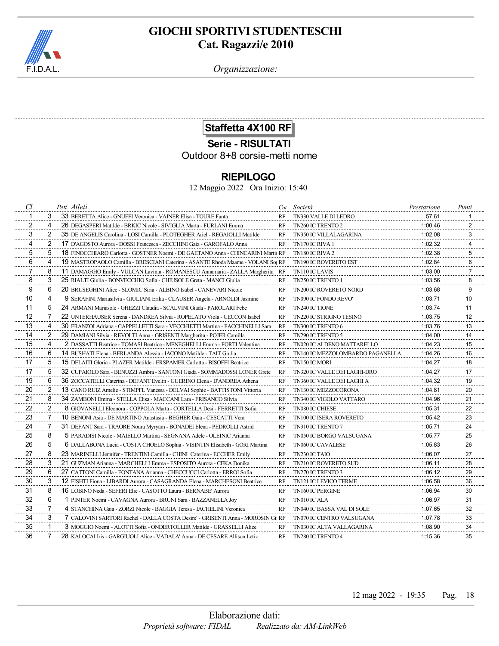

*Organizzazione:* 

**Staffetta 4X100 RF**

**Serie - RISULTATI** Outdoor 8+8 corsie-metti nome

### **RIEPILOGO**

12 Maggio 2022 Ora Inizio: 15:40

| Cl.             |                | Pett. Atleti                                                                     |    | Cat. Società                     | Prestazione | Punti          |
|-----------------|----------------|----------------------------------------------------------------------------------|----|----------------------------------|-------------|----------------|
| -1              | 3              | 33 BERETTA Alice - GNUFFI Veronica - VAINER Elisa - TOURE Fanta                  | RF | TN330 VALLE DI LEDRO             | 57.61       | 1              |
| 2               | 4              | 26 DEGASPERI Matilde - BRKIC Nicole - SIVIGLIA Marta - FURLANI Emma              | RF | TN260 IC TRENTO 2                | 1:00.46     | $\overline{a}$ |
| 3               | 2              | 35 DE ANGELIS Carolina - LOSI Camilla - PLOTEGHER Ariel - REGAIOLLI Matilde      | RF | TN350 IC VILLALAGARINA           | 1:02.08     | 3              |
| $\frac{4}{\pi}$ | 2              | 17 D'AGOSTO Aurora - DOSSI Francesca - ZECCHINI Gaia - GAROFALO Anna             | RF | TN170 IC RIVA 1                  | 1:02.32     | 4              |
| 5               | 5              | 18 FINOCCHIARO Carlotta - GOSTNER Noemi - DE GAETANO Anna - CHINCARINI Martia RF |    | TN180 IC RIVA 2                  | 1:02.38     | $\overline{5}$ |
| 6               | 4              | 19 MASTROPAOLO Camilla - BRESCIANI Caterina - ASANTE Rhoda Maame - VOLANI Soj RF |    | <b>TN190 IC ROVERETO EST</b>     | 1:02.84     | 6              |
| 7               | 8              | 11 DAMAGGIO Emily - VULCAN Lavinia - ROMANESCU Annamaria - ZALLA Margherita RF   |    | TN110 IC LAVIS                   | 1:03.00     | $\overline{I}$ |
| 8               | 3              | 25 RIALTI Giulia - BONVECCHIO Sofia - CHIUSOLE Greta - MANCI Giulia              | RF | <b>TN250 IC TRENTO 1</b>         | 1:03.56     | 8              |
| 9               | 6              | 20 BRUSEGHINI Alice - SLOMIC Siria - ALBINO Isabel - CANEVARI Nicole             | RF | TN200 IC ROVERETO NORD           | 1:03.68     | 9              |
| 10              | 4              | 9 SERAFINI Mariasilvia - GIULIANI Erika - CLAUSER Angela - ARNOLDI Jasmine       | RF | TN090 IC FONDO REVO'             | 1:03.71     | 10             |
| 11              | 5              | 24 ARMANI Mariasole - GHEZZI Claudia - SCALVINI Giada - PAROLARI Febe            | RF | <b>TN240 IC TIONE</b>            | 1:03.74     | 11             |
| 12              | 7              | 22 UNTERHAUSER Serena - DANDREA Silvia - ROPELATO Viola - CECCON Isabel          | RF | TN220 IC STRIGNO TESINO          | 1:03.75     | 12             |
| 13              | 4              | 30 FRANZOI Adriana - CAPPELLETTI Sara - VECCHIETTI Martina - FACCHINELLI Sara    | RF | TN300 IC TRENTO 6                | 1:03.76     | 13             |
| 14              | 2              | 29 DAMIANI Silvia - REVOLTI Anna - GRISENTI Margherita - POJER Camilla           | RF | TN290 IC TRENTO 5                | 1:04.00     | 14             |
| 15              | 4              | 2 DASSATTI Beatrice - TOMASI Beatrice - MENEGHELLI Emma - FORTI Valentina        | RF | TN020 IC ALDENO MATTARELLO       | 1:04.23     | 15             |
| 16              | 6              | 14 BUSHATI Elena - BERLANDA Alessia - IACONO Matilde - TAIT Giulia               | RF | TN140 IC MEZZOLOMBARDO PAGANELLA | 1:04.26     | 16             |
| 17              | 5              | 15 DELAITI Gloria - PLAZER Matilde - ERSPAMER Carlotta - BISOFFI Beatrice        | RF | TN150 IC MORI                    | 1:04.27     | 18             |
| 17              | 5              | 32 CUPAIOLO Sara - BENUZZI Ambra - SANTONI Giada - SOMMADOSSI LONER Grete        | RF | TN320 IC VALLE DEI LAGHI-DRO     | 1:04.27     | 17             |
| 19              | 6              | 36 ZOCCATELLI Caterina - DEFANT Evelin - GUERINO Elena - D'ANDREA Athena         | RF | TN360 IC VALLE DEI LAGHI A       | 1:04.32     | 19             |
| 20              | $\overline{2}$ | 13 CANO RUIZ Amelie - STIMPFL Vanessa - DELVAI Sophie - BATTISTONI Vittoria      | RF | TN130 IC MEZZOCORONA             | 1:04.81     | 20             |
| 21              | 8              | 34 ZAMBONI Emma - STELLA Elisa - MACCANI Lara - FRISANCO Silvia                  | RF | TN340 IC VIGOLO VATTARO          | 1:04.96     | 21             |
| 22              | $\overline{2}$ | 8 GIOVANELLI Eleonora - COPPOLA Marta - CORTELLA Desi - FERRETTI Sofia           | RF | <b>TN080 IC CHIESE</b>           | 1:05.31     | 22             |
| 23              | 7              | 10 BENONI Asia - DE MARTINO Anastasia - BEGHER Gaia - CESCATTI Vera              | RF | TN100 IC ISERA ROVERETO          | 1:05.42     | 23             |
| 24              | $\overline{7}$ | 31 DEFANT Sara - TRAORE Noura Myryam - BONADEI Elena - PEDROLLI Astrid           | RF | TN310 IC TRENTO 7                | 1:05.71     | 24             |
| 25              | 8              | 5 PARADISI Nicole - MAIELLO Martina - SEGNANA Adele - OLEINIC Arianna            | RF | TN050 IC BORGO VALSUGANA         | 1:05.77     | 25             |
| 26              | 5              | 6 DALLABONA Lucia - COSTA CHOELO Sophia - VISINTIN Elisabeth - GORI Martina      | RF | TN060 IC CAVALESE                | 1:05.83     | 26             |
| 27              | 8              | 23 MARINELLI Jennifer - TRENTINI Camilla - CHINI Caterina - ECCHER Emily         | RF | TN230 IC TAIO                    | 1:06.07     | 27             |
| 28              | 3              | 21 GUZMAN Arianna - MARCHELLI Emma - ESPOSITO Aurora - CEKA Donika               | RF | <b>TN210 IC ROVERETO SUD</b>     | 1:06.11     | 28             |
| 29              | 6              | 27 CATTONI Camilla - FONTANA Arianna - CHECCUCCI Carlotta - ERROI Sofia          | RF | <b>TN270 IC TRENTO 3</b>         | 1:06.12     | 29             |
| 30              | 3              | 12 FISHTI Fiona - LIBARDI Aurora - CASAGRANDA Elena - MARCHESONI Beatrice        | RF | TN121 IC LEVICO TERME            | 1:06.58     | 36             |
| 31              | 8              | 16 LOBINO Neda - SEFERI Elie - CASOTTO Laura - BERNABE' Aurora                   | RF | TN160 IC PERGINE                 | 1:06.94     | 30             |
| 32              | 6              | 1 PINTER Noemi - CAVAGNA Aurora - BRUNI Sara - BAZZANELLA Joy                    | RF | TN010 IC ALA                     | 1:06.97     | 31             |
| 33              | 7              | 4 STANCHINA Gaia - ZORZI Nicole - BAGGIA Teresa - IACHELINI Veronica             | RF | TN040 IC BASSA VAL DI SOLE       | 1:07.65     | 32             |
| 34              | 3              | 7 CALOVINI SARTORI Rachel - DALLA COSTA Desire' - GRISENTI Anna - MOROSIN Gi RF  |    | TN070 IC CENTRO VALSUGANA        | 1:07.78     | 33             |
| 35              | 1              | 3 MOGGIO Noemi - ALOTTI Sofia - ONDERTOLLER Matilde - GRASSELLI Alice            | RF | TN030 IC ALTA VALLAGARINA        | 1:08.90     | 34             |
| 36              | 7              | 28 KALOCAI Iris - GARGIUOLI Alice - VADALA' Anna - DE CESARE Allison Letiz       | RF | TN280 IC TRENTO 4                | 1:15.36     | 35             |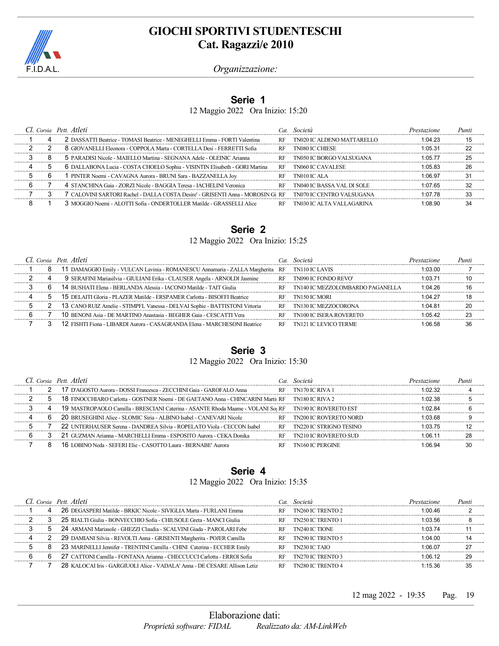

*Organizzazione:* 

### **Serie 1**

12 Maggio 2022 Ora Inizio: 15:20

|     | Corsia Pett Atleti                                                                         |           |                            |         |  |
|-----|--------------------------------------------------------------------------------------------|-----------|----------------------------|---------|--|
| 4   | 2 DASSATTI Beatrice - TOMASI Beatrice - MENEGHELLI Emma - FORTI Valentina                  | RF        | TN020 IC ALDENO MATTARELLO | 1.0423  |  |
|     | 8 GIOVANELLI Eleonora - COPPOLA Marta - CORTELLA Desi - FERRETTI Sofia                     |           | <b>TNO80 IC CHIESE</b>     | 1.05.31 |  |
| -8  | 5 PARADISI Nicole - MAIELLO Martina - SEGNANA Adele - OLEINIC Arianna                      | <b>RF</b> | TN050 IC BORGO VALSUGANA   |         |  |
| -5  | 6 DALLABONA Lucia - COSTA CHOELO Sophia - VISINTIN Elisabeth - GORI Martina                | RF        | TN060 IC CAVALESE          | 1.05.83 |  |
| - 6 | 1 PINTER Noemi - CAVAGNA Aurora - BRUNI Sara - BAZZANELLA Joy                              |           | TN010 IC ALA               | 1.06.97 |  |
|     | 4 STANCHINA Gaia - ZORZI Nicole - BAGGIA Teresa - IACHELINI Veronica                       |           | TN040 IC BASSA VAL DI SOLE | 1·በ7 65 |  |
|     | <sup>7</sup> CALOVINI SARTORI Rachel - DALLA COSTA Desire' - GRISENTI Anna - MOROSIN Gi RF |           | TN070 IC CENTRO VAI SUGANA | 1.07 78 |  |
|     | 3 MOGGIO Noemi - ALOTTI Sofia - ONDERTOLLER Matilde - GRASSELLI Alice                      |           | TN030 IC ALTA VALLAGARINA  |         |  |

### **Serie 2**

12 Maggio 2022 Ora Inizio: 15:25

|   | ! Corsia Pett Atleti                                                                          |    |                                     |         |  |
|---|-----------------------------------------------------------------------------------------------|----|-------------------------------------|---------|--|
| 8 | 11 DAMAGGIO Emily - VULCAN Lavinia - ROMANESCU Annamaria - ZALLA Margherita RF TN110 IC LAVIS |    |                                     | 1·በ3 በበ |  |
|   | 9 SERAFINI Mariasilvia - GIULIANI Erika - CLAUSER Angela - ARNOLDI Jasmine                    |    | RE TN090 IC FONDO REVO'             |         |  |
|   | 6 14 BUSHATI Elena - BERLANDA Alessia - IACONO Matilde - TAIT Giulia                          |    | RE TN140 IC MEZZOLOMBARDO PAGANELLA | 1.04.26 |  |
|   | 5 15 DELAITI Gloria - PLAZER Matilde - ERSPAMER Carlotta - BISOFFI Beatrice                   |    | TN150 IC MORI                       | 1.04.27 |  |
|   | 2 13 CANO RUIZ Amelie - STIMPFL Vanessa - DELVAI Sophie - BATTISTONI Vittoria                 |    | RE TN130 IC MEZZOCORONA             |         |  |
|   | 7 10 BENONI Asia - DE MARTINO Anastasia - BEGHER Gaia - CESCATTI Vera                         |    | TN100 IC ISERA ROVERETO             |         |  |
|   | 12 FISHTI Fiona - LIBARDI Aurora - CASAGRANDA Elena - MARCHESONI Beatrice                     | RF | TN121 IC LEVICO TERME               |         |  |

### **Serie 3**

12 Maggio 2022 Ora Inizio: 15:30

|    | "I Corsia Pett Atleti                                                                                  |    | Società                 |         | Punti |
|----|--------------------------------------------------------------------------------------------------------|----|-------------------------|---------|-------|
|    | 2 17 D'AGOSTO Aurora - DOSSI Francesca - ZECCHINI Gaia - GAROFALO Anna                                 | RF | <b>TN170 IC RIVA 1</b>  | 1.02.32 |       |
| 5  | 18 FINOCCHIARO Carlotta - GOSTNER Noemi - DE GAETANO Anna - CHINCARINI Martii RF TN180 IC RIVA 2       |    |                         | 1.02.38 |       |
|    | 19 MASTROPAOLO Camilla - BRESCIANI Caterina - ASANTE Rhoda Maame - VOLANI Soj RF TN190 IC ROVERETO EST |    |                         | 1.02.84 |       |
| -6 | 20 BRUSEGHINI Alice - SLOMIC Siria - ALBINO Isabel - CANEVARI Nicole                                   | RF | TN200 IC ROVERETO NORD  | 1.03.68 |       |
|    | 22 UNTERHAUSER Serena - DANDREA Silvia - ROPELATO Viola - CECCON Isabel                                | RF | TN220 IC STRIGNO TESINO | 1.03.75 |       |
|    | 3 21 GUZMAN Arianna - MARCHELLI Emma - ESPOSITO Aurora - CEKA Donika                                   | RF | TN210 IC ROVERETO SUD   |         |       |
|    | 16 LOBINO Neda - SEFERI Elie - CASOTTO Laura - BERNABE' Aurora                                         |    | TN160 IC PERGINE        |         |       |

### **Serie 4**

#### 12 Maggio 2022 Ora Inizio: 15:35

|              | Corsia Pett Atleti                                                         |                               |         | unti |
|--------------|----------------------------------------------------------------------------|-------------------------------|---------|------|
| 4            | 26 DEGASPERI Matilde - BRKIC Nicole - SIVIGLIA Marta - FURLANI Emma        | TN <sub>260</sub> IC TRENTO 2 | 1.00 46 |      |
| $\mathbf{R}$ | 25 RIALTI Giulia - BONVECCHIO Sofia - CHIUSOLE Greta - MANCI Giulia        | TN250 IC TRENTO 1             |         |      |
| .5           | 24 ARMANI Mariasole - GHEZZI Claudia - SCALVINI Giada - PAROLARI Febe      | IN240 IC TIONE                |         |      |
|              | 2 29 DAMIANI Silvia - REVOLTI Anna - GRISENTI Margherita - POJER Camilla   | <b>TN290 IC TRENTO 5</b>      |         |      |
| - 8          | 23 MARINELLI Jennifer - TRENTINI Camilla - CHINI Caterina - ECCHER Emily   | TN230 IC TAIO                 |         |      |
| - 6          | 27 CATTONI Camilla - FONTANA Arianna - CHECCUCCI Carlotta - ERROI Sofia    | <b>FN270 IC TRENTO 2</b>      |         |      |
|              | 28 KALOCAI Iris - GARGIUOLI Alice - VADALA' Anna - DE CESARE Allison Letiz | IN280 IC TRENTO 4             |         |      |

12 mag 2022 - 19:35 Pag. 19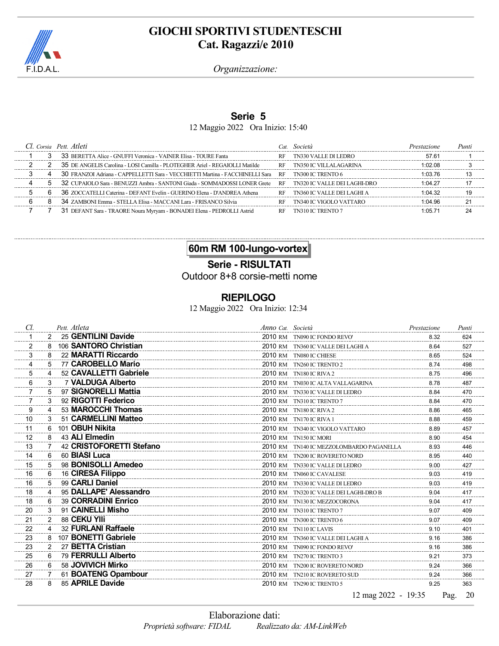

*Organizzazione:* 

# **Serie 5**

12 Maggio 2022 Ora Inizio: 15:40

|    | Corsia Pett Atleti                                                                                 |           |                             |                      | Punti |
|----|----------------------------------------------------------------------------------------------------|-----------|-----------------------------|----------------------|-------|
| 3  | 33 BERETTA Alice - GNUFFI Veronica - VAINER Elisa - TOURE Fanta                                    |           | TN330 VALLE DI LEDRO        | 57.61                |       |
| -2 | 35 DE ANGELIS Carolina - LOSI Camilla - PLOTEGHER Ariel - REGAIOLLI Matilde                        | RF        | TN350 IC VILLALAGARINA      | 1·በ2 በጸ              |       |
|    | 30 FRANZOI Adriana - CAPPELLETTI Sara - VECCHIETTI Martina - FACCHINELLI Sara RF TN300 IC TRENTO 6 |           |                             | 1 <sup>.</sup> በ3 76 |       |
|    | 5 32 CUPAIOLO Sara - BENUZZI Ambra - SANTONI Giada - SOMMADOSSI LONER Grete                        | <b>RF</b> | TN320 IC VALLE DELLAGHL DRO | 1.04.27              |       |
| 6  | 36 ZOCCATELLI Caterina - DEFANT Evelin - GUERINO Elena - D'ANDREA Athena                           | RF        | TN360 IC VALLE DELLAGHLA    | 1.04.32              |       |
| -8 | 34 ZAMBONI Emma - STELLA Elisa - MACCANI Lara - FRISANCO Silvia                                    |           | TN340 IC VIGOLO VATTARO     | 1.04.96              |       |
|    | 7 31 DEFANT Sara - TRAORE Noura Myryam - BONADEI Elena - PEDROLLI Astrid                           |           | RE TN310 IC TRENTO 7        |                      |       |
|    |                                                                                                    |           |                             |                      |       |

## **60m RM 100-lungo-vortex**

## **Serie - RISULTATI**

Outdoor 8+8 corsie-metti nome

### **RIEPILOGO**

12 Maggio 2022 Ora Inizio: 12:34

| Cl.                   |               | Pett. Atleta                | Anno Cat. Società |                                          | Prestazione | Punti |
|-----------------------|---------------|-----------------------------|-------------------|------------------------------------------|-------------|-------|
|                       | 2             | 25 GENTILINI Davide         |                   | 2010 RM TN090 IC FONDO REVO'             | 8.32        | 624   |
| 2<br>. <del>. .</del> |               | 106 SANTORO Christian       |                   | 2010 RM TN360 IC VALLE DEI LAGHI A       | 8.64        | 527   |
| 3<br>                 | 8             | 22 MARATTI Riccardo         |                   | 2010 RM TN080 IC CHIESE                  | 8.65        | 524   |
| 4                     |               | 77 CAROBELLO Mario          |                   | 2010 RM TN260 IC TRENTO 2                | 8.74        | 498   |
| 5                     | 4             | 52 CAVALLETTI Gabriele      |                   | 2010 RM TN180 IC RIVA 2                  | 8.75        | 496   |
| 6                     | 3             | 7 VALDUGA Alberto           |                   | 2010 RM TN030 IC ALTA VALLAGARINA        | 8.78        | 487   |
| 7                     | 5             | 97 SIGNORELLI Mattia        |                   | 2010 RM TN330 IC VALLE DI LEDRO          | 8.84        | 470   |
| 7                     |               | 92 RIGOTTI Federico         | 2010 rm           | TN310 IC TRENTO 7                        | 8.84        | 470   |
| 9                     |               | 53 MAROCCHI Thomas          |                   | 2010 RM TN180 IC RIVA 2                  | 8.86        | 465   |
| 10                    | 3             | 51 CARMELLINI Matteo        |                   | 2010 RM TN170 IC RIVA 1                  | 8.88        | 459   |
| 11                    |               | 101 OBUH Nikita             |                   | 2010 RM TN340 IC VIGOLO VATTARO          | 8.89        | 457   |
| 12                    | 8             | 43 ALI Elmedin              |                   | 2010 RM TN150 IC MORI                    | 8.90        | 454   |
| 13                    |               | 42 CRISTOFORETTI Stefano    |                   | 2010 RM TN140 IC MEZZOLOMBARDO PAGANELLA | 8.93        | 446   |
| 14                    | 6             | 60 BIASI Luca               |                   | 2010 RM TN200 IC ROVERETO NORD           | 8.95        | 440   |
| 15                    |               | 98 BONISOLLI Amedeo         |                   | 2010 RM TN330 IC VALLE DI LEDRO          | 9.00        | 427   |
| 16<br>.               | 6             | 16 CIRESA Filippo           |                   | 2010 RM TN060 IC CAVALESE                | 9.03        | 419   |
| 16                    |               | 99 CARLI Daniel             |                   | 2010 RM TN330 IC VALLE DI LEDRO          | 9.03        | 419   |
| 18                    | 4             | 95 DALLAPE' Alessandro      |                   | 2010 RM TN320 IC VALLE DEI LAGHI-DROB    | 9.04        | 417   |
| 18                    |               | 39 CORRADINI Enrico         |                   | 2010 RM TN130 IC MEZZOCORONA             | 9.04        | 417   |
| 20                    | 3             | 91 CAINELLI Misho           |                   | 2010 RM TN310 IC TRENTO 7                | 9.07        | 409   |
| 21                    |               | 88 CEKU YIIi                |                   | 2010 RM TN300 IC TRENTO 6                | 9.07        | 409   |
| 22<br>.               | 4             | 32 FURLANI Raffaele         |                   | 2010 RM TN110 IC LAVIS                   | 9.10        | 401   |
| 23                    |               | 107 <b>BONETTI Gabriele</b> |                   | 2010 RM TN360 IC VALLE DEI LAGHI A       | 9.16        | 386   |
| 23                    | $\mathcal{P}$ | 27 BETTA Cristian           |                   | 2010 RM TN090 IC FONDO REVO'             | 9.16        | 386   |
| 25                    |               | 79 FERRULLI Alberto         |                   | 2010 RM TN270 IC TRENTO 3                | 9.21        | 373   |
| 26                    | 6             | 58 JOVIVICH Mirko           |                   | 2010 RM TN200 IC ROVERETO NORD           | 9.24        | 366   |
| 27                    |               | 61 BOATENG Opambour         |                   | 2010 RM TN210 IC ROVERETO SUD            | 9.24        | 366   |
| 28                    | 8             | 85 APRILE Davide            |                   | 2010 RM TN290 IC TRENTO 5                | 9.25        | 363   |
|                       |               |                             |                   | $12 \text{ mag } 2022 - 19:35$           | Pag.        | 20    |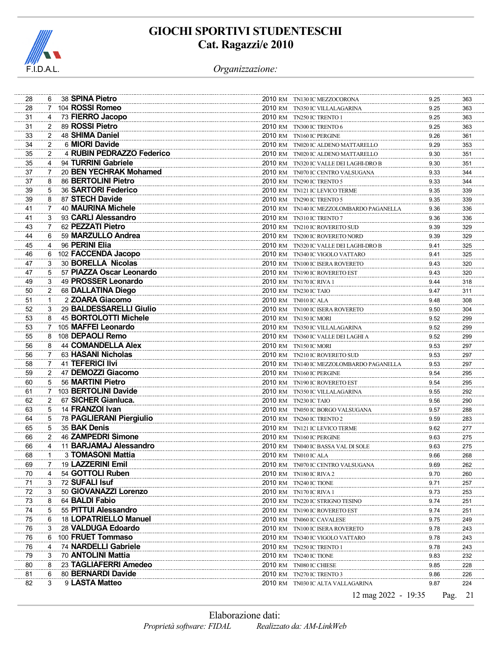

*Organizzazione:* 

| 28             | 6              | 38 SPINA Pietro           | 2010 RM TN130 IC MEZZOCORONA             | 9.25 | 363 |
|----------------|----------------|---------------------------|------------------------------------------|------|-----|
| 28             |                | 104 ROSSI Romeo           | 2010 RM TN350 IC VILLALAGARINA           | 9.25 | 363 |
| 31             |                | 73 FIERRO Jacopo          | 2010 RM TN250 IC TRENTO 1                | 9.25 | 363 |
| 31             | $\mathcal{P}$  | 89 ROSSI Pietro           | 2010 RM TN300 IC TRENTO 6                | 9.25 | 363 |
| 33             | 2              | 48 SHIMA Daniel           | 2010 RM TN160 IC PERGINE                 | 9.26 | 361 |
| 34             | $\overline{2}$ | 6 MIORI Davide            | 2010 RM TN020 IC ALDENO MATTARELLO       | 9.29 | 353 |
| 35             | $\mathbf{2}$   | 4 RUBIN PEDRAZZO Federico | 2010 RM TN020 IC ALDENO MATTARELLO       | 9.30 | 351 |
| 35             | 4              | 94 TURRINI Gabriele       | 2010 RM TN320 IC VALLE DEI LAGHI-DROB    | 9.30 | 351 |
| 37             | 7              | 20 BEN YECHRAK Mohamed    | 2010 RM TN070 IC CENTRO VALSUGANA        | 9.33 | 344 |
| 37             | 8              | 86 BERTOLINI Pietro       | 2010 RM TN290 IC TRENTO 5                | 9.33 | 344 |
| 39             |                | 36 SARTORI Federico       | 2010 RM TN121 IC LEVICO TERME            | 9.35 | 339 |
| 39             | 8              | 87 STECH Davide           | 2010 RM TN290 IC TRENTO 5                | 9.35 | 339 |
| 41             | $\overline{7}$ | 40 MAURINA Michele        | 2010 RM TN140 IC MEZZOLOMBARDO PAGANELLA | 9.36 | 336 |
| 41             | 3              | 93 CARLI Alessandro       | 2010 RM TN310 IC TRENTO 7                | 9.36 | 336 |
| 43             | 7              | 62 PEZZATI Pietro         | 2010 RM TN210 IC ROVERETO SUD            | 9.39 | 329 |
| 44             | 6              | 59 MARZULLO Andrea        | 2010 RM TN200 IC ROVERETO NORD           | 9.39 | 329 |
| 45             | 4              | 96 PERINI Elia            | 2010 RM TN320 IC VALLE DEI LAGHI-DRO B   | 9.41 | 325 |
| 46             |                | 6 102 FACCENDA Jacopo     | 2010 RM TN340 IC VIGOLO VATTARO          | 9.41 | 325 |
| 47             |                | 30 BORELLA Nicolas        | 2010 RM TN100 IC ISERA ROVERETO          | 9.43 | 320 |
| 47             | 5              | 57 PIAZZA Oscar Leonardo  | 2010 RM TN190 IC ROVERETO EST            | 9.43 | 320 |
| 49             | 3              | 49 PROSSER Leonardo       | 2010 RM TN170 IC RIVA 1                  | 9.44 | 318 |
| 50             | $\overline{2}$ | 68 DALLATINA Diego        | 2010 RM TN230 IC TAIO                    | 9.47 | 311 |
| 51             | 1              | 2 ZOARA Giacomo           | 2010 RM TN010 IC ALA                     | 9.48 | 308 |
| 52             | 3              | 29 BALDESSARELLI Giulio   | 2010 RM TN100 IC ISERA ROVERETO          | 9.50 | 304 |
| 53             |                | 45 BORTOLOTTI Michele     | 2010 RM TN150 IC MORI                    | 9.52 | 299 |
| 53             |                | 7 105 MAFFEI Leonardo     | 2010 RM TN350 IC VILLALAGARINA           | 9.52 | 299 |
| 55             |                | 8 108 DEPAOLI Remo        | 2010 RM TN360 IC VALLE DEI LAGHI A       | 9.52 | 299 |
| 56             | 8              | 44 COMANDELLA Alex        | 2010 RM TN150 IC MORI                    | 9.53 | 297 |
| 56             | $7^{\circ}$    | 63 HASANI Nicholas        | 2010 RM TN210 IC ROVERETO SUD            | 9.53 | 297 |
| 58             | 7              | 41 TEFERICI Ilvi          | 2010 RM TN140 IC MEZZOLOMBARDO PAGANELLA | 9.53 | 297 |
| 59             | $^{2}$         | 47 DEMOZZI Giacomo        | 2010 RM TN160 IC PERGINE                 | 9.54 | 295 |
| 60             | 5              | 56 MARTINI Pietro         | 2010 RM TN190 IC ROVERETO EST            | 9.54 | 295 |
| 61             |                | 7 103 BERTOLINI Davide    | 2010 RM TN350 IC VILLALAGARINA           | 9.55 | 292 |
| 62             |                | 67 SICHER Gianluca.       | 2010 RM TN230 IC TAIO                    | 9.56 | 290 |
| 63             | 5              | 14 FRANZOI Ivan           | 2010 RM TN050 IC BORGO VALSUGANA         | 9.57 | 288 |
| 64             | 5              | 78 PAGLIERANI Piergiulio  | 2010 RM TN260 IC TRENTO 2                | 9.59 | 283 |
| 65             | 5              | 35 BAK Denis              | 2010 RM TN121 IC LEVICO TERME            | 9.62 | 277 |
| 66             | $\overline{a}$ | 46 ZAMPEDRI Simone        | 2010 RM TN160 IC PERGINE                 | 9.63 | 275 |
| 66             |                | 11 BARJAMAJ Alessandro    | 2010 RM TN040 IC BASSA VAL DI SOLE       | 9.63 | 275 |
| 68             | 1              | 3 TOMASONI Mattia         | <b>2010 RM TN010 IC ALA</b>              | 9.66 | 268 |
| 69             |                | 19 LAZZERINI Emil         | 2010 RM TN070 IC CENTRO VALSUGANA        | 9.69 | 262 |
| $\frac{70}{2}$ |                | 54 GOTTOLI Ruben          | 2010 RM TN180 IC RIVA 2                  | 9.70 | 260 |
| 71             | 3              | 72 SUFALI Isuf            | 2010 RM TN240 IC TIONE                   | 9.71 | 257 |
| 72             | 3              | 50 GIOVANAZZI Lorenzo     | <b>2010 RM TN170 IC RIVA 1</b>           | 9.73 | 253 |
| 73             | 8              | 64 BALDI Fabio            | 2010 RM TN220 IC STRIGNO TESINO          | 9.74 | 251 |
| 74             | 5              | 55 PITTUI Alessandro      | 2010 RM TN190 IC ROVERETO EST            | 9.74 | 251 |
| 75             | 6              | 18 LOPATRIELLO Manuel     | 2010 RM TN060 IC CAVALESE                | 9.75 | 249 |
| 76             | 3              | 28 VALDUGA Edoardo        | 2010 RM TN100 IC ISERA ROVERETO          | 9.78 | 243 |
| 76             |                | 100 FRUET Tommaso         | 2010 RM TN340 IC VIGOLO VATTARO          | 9.78 | 243 |
| 76             | 4              | 74 NARDELLI Gabriele      | 2010 RM TN250 IC TRENTO 1                | 9.78 | 243 |
| 79             | 3              | 70 ANTOLINI Mattia        | 2010 RM TN240 IC TIONE                   | 9.83 | 232 |
| 80             | 8              | 23 TAGLIAFERRI Amedeo     | 2010 RM TN080 IC CHIESE                  | 9.85 | 228 |
| 81             | 6              | 80 BERNARDI Davide        | 2010 RM TN270 IC TRENTO 3                | 9.86 | 226 |
| 82             | 3              | 9 LASTA Matteo            | 2010 RM TN030 IC ALTA VALLAGARINA        | 9.87 | 224 |
|                |                |                           | 12 mag 2022 - 19:35                      | Pag. | 21  |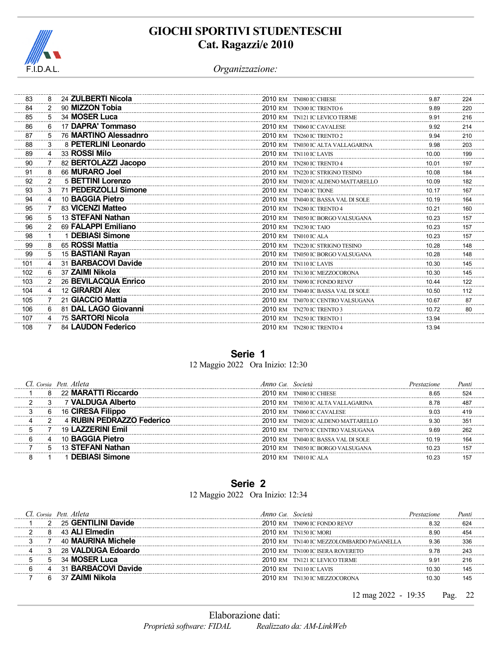

#### *Organizzazione:*

| 83       | 8              | 24 ZULBERTI Nicola    | 2010 RM | TN080 IC CHIESE                    | 9.87  | 224 |
|----------|----------------|-----------------------|---------|------------------------------------|-------|-----|
| 84       |                | 90 MIZZON Tobia       |         | 2010 RM TN300 IC TRENTO 6          | 9.89  | 220 |
| 85       | 5              | 34 MOSER Luca         |         | 2010 RM TN121 IC LEVICO TERME      | 9.91  | 216 |
| 86       |                | 17 DAPRA' Tommaso     |         | 2010 RM TN060 IC CAVALESE          | 9.92  | 214 |
| 87       | 5              | 76 MARTINO Alessadnro |         | 2010 RM TN260 IC TRENTO 2          | 9.94  | 210 |
| 88       | 3              | 8 PETERLINI Leonardo  | 2010 RM | TN030 IC ALTA VALLAGARINA          | 9.98  | 203 |
| 89<br>.  | 4              | 33 ROSSI Milo         |         | 2010 RM TN110 IC LAVIS             | 10.00 | 199 |
| 90<br>   |                | 82 BERTOLAZZI Jacopo  |         | 2010 RM TN280 IC TRENTO 4          | 10.01 | 197 |
| 91<br>.  | 8              | 66 <b>MURARO Joel</b> |         | 2010 RM TN220 IC STRIGNO TESINO    | 10.08 | 184 |
| 92<br>.  | 2              | 5 BETTINI Lorenzo     |         | 2010 RM TN020 IC ALDENO MATTARELLO | 10.09 | 182 |
| 93<br>   | 3              | 71 PEDERZOLLI Simone  |         | 2010 RM TN240 IC TIONE             | 10.17 | 167 |
| 94       | 4              | 10 BAGGIA Pietro      |         | 2010 RM TN040 IC BASSA VAL DI SOLE | 10.19 | 164 |
| 95       |                | 83 VICENZI Matteo     |         | 2010 RM TN280 IC TRENTO 4          | 10.21 | 160 |
| 96       | 5              | 13 STEFANI Nathan     |         | 2010 RM TN050 IC BORGO VALSUGANA   | 10.23 | 157 |
| 96       | $\mathcal{P}$  | 69 FALAPPI Emiliano   |         | 2010 RM TN230 IC TAIO              | 10.23 | 157 |
| 98<br>   |                | 1 DEBIASI Simone      |         | 2010 RM TN010 IC ALA               | 10.23 | 157 |
| 99<br>.  | 8              | 65 ROSSI Mattia       |         | 2010 RM TN220 IC STRIGNO TESINO    | 10.28 | 148 |
| 99       | 5              | 15 BASTIANI Rayan     |         | 2010 RM TN050 IC BORGO VALSUGANA   | 10.28 | 148 |
| 101<br>. | 4              | 31 BARBACOVI Davide   |         | 2010 RM TN110 IC LAVIS             | 10.30 | 145 |
| 102      | 6              | 37 ZAIMI Nikola       |         | 2010 RM TN130 IC MEZZOCORONA       | 10.30 | 145 |
| 103      | $\overline{c}$ | 26 BEVILACQUA Enrico  |         | 2010 RM TN090 IC FONDO REVO'       | 10.44 | 122 |
| 104      | 4              | 12 GIRARDI Alex       | 2010 RM | TN040 IC BASSA VAL DI SOLE         | 10.50 | 112 |
| 105      |                | 21 GIACCIO Mattia     | 2010 RM | TN070 IC CENTRO VALSUGANA          | 10.67 | 87  |
| 106      | 6              | 81 DAL LAGO Giovanni  |         | 2010 RM TN270 IC TRENTO 3          | 10.72 | 80  |
| 107      | $\Delta$       | 75 SARTORI Nicola     |         | 2010 RM TN250 IC TRENTO 1          | 13.94 |     |
| 108      |                | 84 LAUDON Federico    |         | 2010 RM TN280 IC TRENTO 4          | 13.94 |     |

## **Serie 1**

#### 12 Maggio 2022 Ora Inizio: 12:30

|   | Corsia Pett Atleta         |               |                            |       |  |
|---|----------------------------|---------------|----------------------------|-------|--|
| R | 22 MARATTI Riccardo        | 2010 RM       | <b>TNO80 IC CHIESE</b>     | 8 R.F |  |
|   | <b>VALDUGA Alberto</b>     | 2010 RM       | TN030 IC ALTA VALLAGARINA  |       |  |
|   | 16 CIRESA Filippo          | 2010 RM       | TN060 IC CAVALESE          |       |  |
| ົ | 4 RUBIN PEDRAZZO Federico  | 2010 RM       | TN020 IC ALDENO MATTARELLO |       |  |
|   | 19 LAZZERINI Emil          | 0.RM          | TN070 IC CENTRO VALSUGANA  |       |  |
|   | <b>BAGGIA Pietro</b><br>10 | ) RM          | TN040 IC BASSA VAL DI SOLE | 10 19 |  |
|   | 13 STEFANI Nathan          | 2010 RM       | TN050 IC BORGO VALSUGANA   |       |  |
|   |                            | <b>A10 RM</b> | TN010 IC ALA               |       |  |

### **Serie 2**

12 Maggio 2022 Ora Inizio: 12:34

| `orsia | Pett Atleta             |           |                                          |               |  |
|--------|-------------------------|-----------|------------------------------------------|---------------|--|
| ົ      | 25 GENTILINI Davide     | 2010 RM   | TN090 IC FONDO REVO'                     | 8.32          |  |
|        | . I Elmedin             |           | 2010 RM TN150 IC MORI                    | 8 ar          |  |
|        | MAURINA Michele<br>40   |           | 2010 RM TN140 IC MEZZOLOMBARDO PAGANELLA | 9.36          |  |
| ົ      | 28 VALDUGA Edoardo      | <b>RM</b> | TN100 IC ISERA ROVERETO                  |               |  |
|        | <b>DSER Luca</b><br>34  |           | <b>2010 RM TN121 IC LEVICO TERME</b>     | $9.9^{\circ}$ |  |
|        | <b>BARBACOVI Davide</b> |           | 2010 RM TN110 IC LAVIS                   | በ 30          |  |
|        | 37 ZAIMI Nikola         |           | 2010 RM TN130 IC MEZZOCORONA             | ገ 3Ր          |  |

12 mag 2022 - 19:35 Pag. 22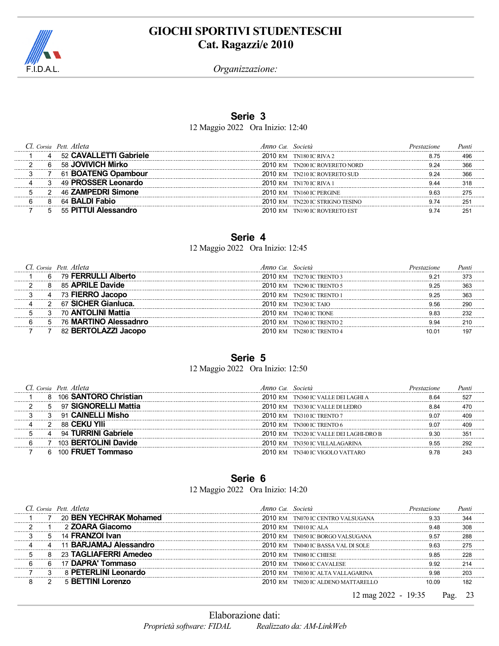

*Organizzazione:* 

## **Serie 3**

12 Maggio 2022 Ora Inizio: 12:40

| Corsia | Pett Atleta                        | Societa                                   | 17.ION P |  |
|--------|------------------------------------|-------------------------------------------|----------|--|
|        | 52 CAVALLETTI Gabriele             | ) RM<br><b>TN180 IC RIVA 2</b>            |          |  |
| а      | 58 JOVIVICH Mirko                  | 2010 RM<br>TN200 IC ROVERETO NORD         |          |  |
|        | <b>BOATENG Opambour</b><br>61      | 2010 RM TN210 IC ROVERETO SUD             |          |  |
|        | 49 PROSSER Leonardo                | 7 RM<br><b>TN170 IC RIVA 1</b>            |          |  |
|        | 46 ZAMPEDRI Simone                 | 2010 RM<br>TN160 IC PERGINE               |          |  |
|        | 64 <b>BALDI Fabio</b>              | 2010 RM<br><b>TN220 IC STRIGNO TESINO</b> |          |  |
|        | <b>FTI II Alessandro</b><br>55 PIT | 2010. rm – tn190 ic rovereto est          |          |  |

#### **Serie 4**

12 Maggio 2022 Ora Inizio: 12:45

| Corsia | Pett Atleta              | Società                      |      |  |
|--------|--------------------------|------------------------------|------|--|
|        | 79 FERRULLI Alberto      | 2010 RM TN270 IC TRENTO 3    |      |  |
|        | 85 APRILE Davide         | 2010 RM<br>TN290 IC TRENTO 5 |      |  |
|        | 73 FIERRO Jacopo         | 2010 RM TN250 IC TRENTO 1    |      |  |
|        | <b>SICHER Gianluca</b>   | <b>2010 RM TN230 IC TAIO</b> |      |  |
|        | 70 ANTOLINI Mattia       | 2010 RM TN240 IC TIONE       | ∘ סי |  |
| Б.     | <b>76 MARTINO Alessa</b> | 2010 RM<br>TN260 IC TRENTO 2 |      |  |
|        | 82 BERTOLAZZI Jacopo     | ) RM<br>TN280 IC TRENTO 4    |      |  |

### **Serie 5**

12 Maggio 2022 Ora Inizio: 12:50

|  | 'orsia       | Pett Atleta                 |         | Societa                             | stazione | unt |
|--|--------------|-----------------------------|---------|-------------------------------------|----------|-----|
|  |              | <b>SANTORO Christian</b>    | 2010 RM | TN360 IC VALLE DELLAGHI A           | 8 R Z    |     |
|  | $\mathbf{h}$ | <b>GNORELLI Mattia</b>      | 2010 RM | TN330 IC VALLE DI LEDRO             | 8 R.A    |     |
|  |              |                             | 2010 RM | TN310 IC TRENTO 7                   |          |     |
|  |              | CEKI I YIII<br>88           |         | 2010 RM TN300 IC TRENTO 6           |          |     |
|  |              | QΔ                          | - RM    | TN320 IC VALI<br>LE DEI LAGHL-DRO B | 7ט ס     |     |
|  |              | 103 <b>BERTOLINI Davide</b> | ) RM    | TN350 IC VILLALAGARINA              | こ にに     |     |
|  |              |                             | . RM    | TN340 IC VIGOI O VATTARO            |          |     |

### **Serie 6**

12 Maggio 2022 Ora Inizio: 14:20

|   | 20 BEN YECHRAK Mohamed     | 2010 RM   | TN070 IC CENTRO VALSUGANA          | 9.33 |  |
|---|----------------------------|-----------|------------------------------------|------|--|
|   | 2 ZOARA Giacomo            | 2010 RM   | TN010 IC ALA                       | 948  |  |
|   | <b>FRANZOI Ivan</b>        | <b>RM</b> | EN050 IC BORGO VAI SUGANA          | 9.57 |  |
|   | <b>BARJAMAJ Alessandro</b> | <b>RM</b> | INA4A IC RASSA VAL DI SOLE         | 9.63 |  |
|   | 23 TAGLIAFERRI Amedeo      | 2010 RM   | TN080 IC CHIESE                    | 9.85 |  |
|   | DAPRA' Tommaso             | 2010 RM   | TN060 IC CAVALESE                  | 992  |  |
|   | <b>PETERLINI Leonardo</b>  | 2010 RM   | TN030 IC ALTA VALLAGARINA          | 9.98 |  |
| າ | 5 BETTINI Lorenzo          |           | 2010 RM TN020 IC ALDENO MATTARELLO | N 09 |  |
|   |                            |           |                                    |      |  |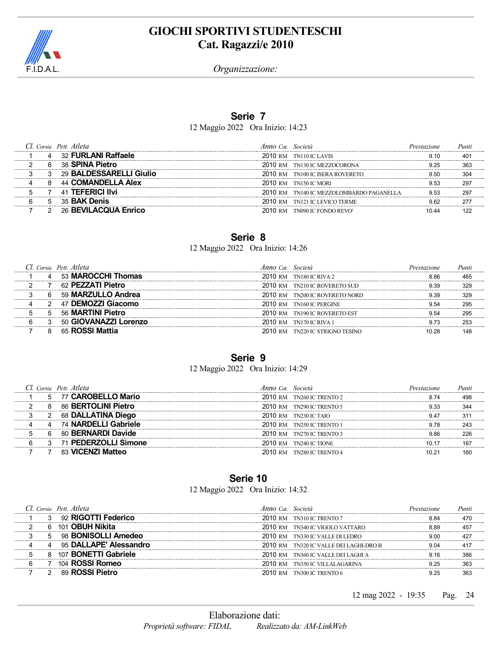

*Organizzazione:* 

### **Serie 7**

12 Maggio 2022 Ora Inizio: 14:23

| Corsia | Pett Atleta                |                                          |     |
|--------|----------------------------|------------------------------------------|-----|
|        | 32 FURLANI Raffaele        | 2010 RM<br>TN110 IC LAVIS                |     |
|        | 38 SPINA Pietro            | 2010 RM TN130 IC MEZZOCORONA             |     |
|        | 29 BALDESSARELLI Giulio    | 2010 RM TN100 IC ISERA ROVERETO          |     |
|        | <b>NANDELLA Alex</b>       | 2010 RM<br>TN150 IC MORI                 | 29  |
|        | <b>TEFERICI IIvi</b><br>41 | 2010 RM TN140 IC MEZZOLOMBARDO PAGANELLA | -29 |
| h      | 35 <b>BAK Denis</b>        | 2010 RM TN121 IC LEVICO TERME            |     |
| ົ      | 26 BEVILACQUA Enrico       | ) RM<br>TN090 IC FONDO REVO'             |     |

#### **Serie 8**

12 Maggio 2022 Ora Inizio: 14:26

|   | Corsia Pett Atleta    | Inno Cat | Società                        | stazione |  |
|---|-----------------------|----------|--------------------------------|----------|--|
| Δ | 53 MAROCCHI Thomas    |          | <b>2010 RM TN180 IC RIVA 2</b> | 886      |  |
|   | 62 PEZZATI Pietro     | 2010 RM  | TN210 IC ROVERETO SUD          |          |  |
|   | 59 MARZULLO Andrea    | ) RM     | <b>TN200 IC ROVERETO NORD</b>  |          |  |
|   | DEMOZZI Giacomo       | 0 RM     | TN160 IC PERGINE               |          |  |
|   | 56 MARTINI Pietro     | 2010 RM  | TN190 IC ROVERETO EST          |          |  |
|   | 50 GIOVANAZZI Lorenzo | 0 RM     | TN170 IC RIVA 1                |          |  |
|   |                       |          | <b>TN220 IC STRIGNO TESINO</b> |          |  |

### **Serie 9**

12 Maggio 2022 Ora Inizio: 14:29

| 'orsia | Pett Atleta               | Societa                      | stazione<br>ит |
|--------|---------------------------|------------------------------|----------------|
|        | <b>CAROBELLO Mario</b>    | 2010 RM TN260 IC TRENTO 2    |                |
| я      | 86 BERTOLINI Pietro       | 2010 RM<br>TN290 IC TRENTO 5 |                |
|        | 68 DALLATINA Diego        | 2010 RM<br>TN230 IC TAIO     |                |
|        |                           | 2010 RM<br>TN250 IC TRENTO 1 |                |
|        | 80 <b>BERNARDI Davide</b> | TN270 IC TRENTO 3<br>I RM    |                |
|        | <b>PEDERZOLLI Simone</b>  | RM<br>TN240 IC TIONE         | 10 1.          |
|        |                           | TN280 IC TRENTO 4            |                |

### **Serie 10**

12 Maggio 2022 Ora Inizio: 14:32

|  |   | Corsia Pett. Atleta           | Anno Cat. Società |                                        |       | Punti |
|--|---|-------------------------------|-------------------|----------------------------------------|-------|-------|
|  | З | 92 RIGOTTI Federico           | 2010 RM           | TN310 IC TRENTO 7                      | 8 R.A |       |
|  |   | <b>OBUH Nikita</b>            |                   | <b>2010 RM TN340 IC VIGOLO VATTARO</b> | 9.84  |       |
|  |   | <b>BONISOLLI Amedeo</b><br>98 | 2010 RM           | TN330 IC VALLE DI LEDRO                | a nr  |       |
|  |   | 95 DALLAPE' Alessandro        | 2010 RM           | TN320 IC VALLE DELLAGHI-DRO B          |       |       |
|  |   | <b>BONETTI Gabriele</b>       | 2010 RM           | TN360 IC VALLE DELLAGHLA               |       |       |
|  |   | 104 ROSSI Romeo               |                   | 2010 RM TN350 IC VILLALAGARINA         |       |       |
|  |   |                               |                   | TN300 IC TRENTO 6                      |       |       |

12 mag 2022 - 19:35 Pag. 24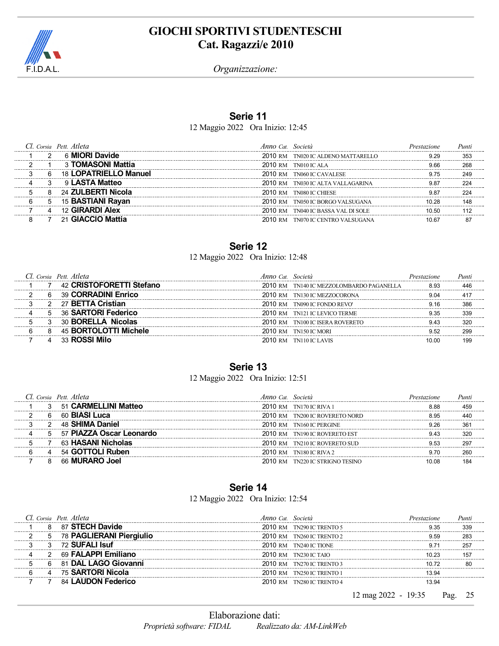

*Organizzazione:* 

# **Serie 11**

12 Maggio 2022 Ora Inizio: 12:45

|   | Corsia Pett Atleta       |                                       |       |  |
|---|--------------------------|---------------------------------------|-------|--|
| ົ | <b>MIORI Davide</b>      | 2010 RM<br>TN020 IC ALDENO MATTARELLO |       |  |
|   | <b>TOMASONI Mattia</b>   | <b>2010 RM TN010 IC ALA</b>           |       |  |
| ĥ | 18 LOPATRIELLO Manuel    | 2010 RM TN060 IC CAVALESE             |       |  |
|   | 9 LASTA Matteo           | 2010 RM TN030 IC ALTA VALLAGARINA     |       |  |
|   | 24 ZULBERTI Nicola       | 2010 RM TN080 IC CHIESE               |       |  |
| 5 | 15 <b>BASTIANI Ravan</b> | 2010 RM<br>TN050 IC BORGO VALSUGANA   |       |  |
|   | 12 GIRARDI Alex          | 2010 RM<br>TN040 IC BASSA VAL DI SOLE | 1በ 50 |  |
|   | <b>GIACCIO Mattia</b>    | 2010 RM TN070 IC CENTRO VALSUGANA     |       |  |

### **Serie 12**

12 Maggio 2022 Ora Inizio: 12:48

| Corsia - |    | Pett Atleta                |       |                                  |  |
|----------|----|----------------------------|-------|----------------------------------|--|
|          |    | 42 CRISTOFORETTI Stefano   | .) RM | TN140 IC MEZZOLOMBARDO PAGANELLA |  |
|          |    | 39 CORRADINI Enrico        | RM    | TN130 IC MEZZOCORONA             |  |
|          |    | 27 BETTA Cristian          | 1 RM  | TN090 IC FONDO REVO'             |  |
| 5        |    | 36 <b>SARTORI Federico</b> |       | 2010 RM TN121 IC LEVICO TERME    |  |
|          |    | 30 BORELLA Nicolas         |       | 0 RM TN100 IC ISERA ROVERETO     |  |
|          | 45 |                            | I RM  | TN150 IC MORI                    |  |
|          |    |                            |       | TN110 IC LAVIS                   |  |

### **Serie 13**

12 Maggio 2022 Ora Inizio: 12:51

|  | Corsia | Pett Atleta              |           |                                       |        | unt |
|--|--------|--------------------------|-----------|---------------------------------------|--------|-----|
|  |        | <b>CARMELLINI Matteo</b> |           | 2010 RM TN170 IC RIVA 1               | 8.88   |     |
|  | а      | 60 <b>BIASI Luca</b>     |           | <b>2010 RM TN200 IC ROVERETO NORD</b> | 8.95 k |     |
|  |        | 48 SHIMA Daniel          |           | 2010 RM TN160 IC PERGINE              |        |     |
|  | h      | 57 PIAZZA Oscar Leonardo | 2010 RM   | <b>TN190 IC ROVERETO EST</b>          |        |     |
|  |        | 63 HASANI Nicholas       | <b>RM</b> | TN210 IC ROVERETO SLID                |        |     |
|  |        | 54 GOTTOLI Ruben         |           | 2010 RM TN180 IC RIVA 2               |        | 260 |
|  |        |                          |           | RM TN220 IC STRIGNO<br>TESINC         |        |     |

### **Serie 14**

12 Maggio 2022 Ora Inizio: 12:54

|    | Atleta                         |                                  |      |     |
|----|--------------------------------|----------------------------------|------|-----|
| R  | <b>STECH Davide</b><br>87      | -RM<br>IN290 IC TRENTO 5         | 9.35 |     |
| .5 | 78 PAGLIERANI Pier             | ) RM<br><b>IN260 IC TRENTO 2</b> | 9.59 | د28 |
|    | 72 SUFALI Isuf                 | 2010 RM<br>TN240 IC TIONE        |      |     |
|    | 69 FALAPPI Emiliano            | RM<br><b>EN230 IC TAIO</b>       |      |     |
|    | <b>DAL LAGO Giovanni</b><br>81 | 2010 RM<br>TN270 IC TRENTO 3     | በ 72 | 80  |
|    | 75 SARTORI Nicola              | 2010 RM<br>TN250 IC TRENTO 1     | 3.94 |     |
|    | 84 LAUDON Federico             | <b>RM</b><br>TN280 IC TRENTO 4   | ያ 94 |     |
|    |                                |                                  |      |     |

12 mag 2022 - 19:35 Pag. 25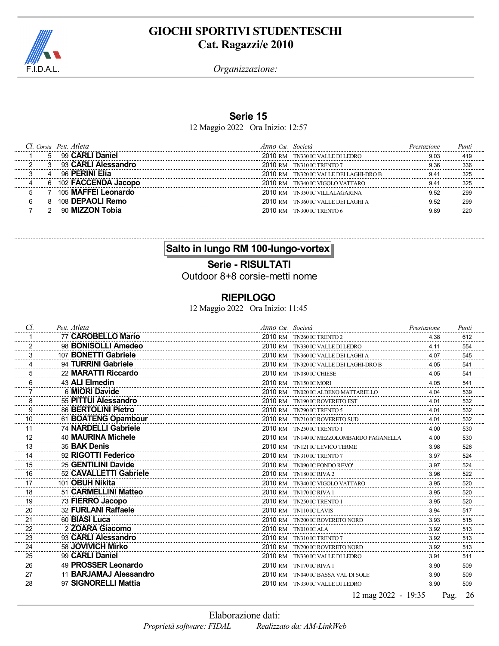

*Organizzazione:* 

### **Serie 15**

12 Maggio 2022 Ora Inizio: 12:57

| "orsia |     | Pett Atleta         | Inno Cat | Societa                                | stazione |     |
|--------|-----|---------------------|----------|----------------------------------------|----------|-----|
| h      |     | 99 CARLI Daniel     | 2010 RM  | TN330 IC VALLE DI LEDRO                |          |     |
|        | 93  |                     |          | <b>2010 RM TN310 IC TRENTO 7</b>       |          |     |
|        | 96. | <b>PERINI Elia</b>  | 2010 RM  | TN320 IC VALLE DELLAGHI-DRO B          |          |     |
|        |     | 102 FACCENDA Jacopo |          | <b>2010 RM TN340 IC VIGOLO VATTARO</b> |          |     |
|        |     | 105 MAFFEL Leonardo |          | 2010 RM TN350 IC VILLALAGARINA         |          | 299 |
|        |     | 108 DEPAOLI Remo    | 2010 RM  | TN360 IC VALLE DELLAGHI A              |          | 299 |
|        |     | <b>MIZZON Tobia</b> |          | 2010 RM TN300 IC TRENTO 6              |          |     |

## **Salto in lungo RM 100-lungo-vortex**

# **Serie - RISULTATI**

Outdoor 8+8 corsie-metti nome

### **RIEPILOGO**

12 Maggio 2022 Ora Inizio: 11:45

| Cl.                   | Pett. Atleta           | Anno Cat. Società |                                          | Prestazione | Punti |
|-----------------------|------------------------|-------------------|------------------------------------------|-------------|-------|
|                       | 77 CAROBELLO Mario     |                   | 2010 RM TN260 IC TRENTO 2                | 4.38        | 612   |
| 2<br>. <del>. .</del> | 98 BONISOLLI Amedeo    |                   | 2010 RM TN330 IC VALLE DI LEDRO          | 4.11        | 554   |
| 3<br>. <del>. .</del> | 107 BONETTI Gabriele   |                   | 2010 RM TN360 IC VALLE DEI LAGHI A       | 4.07        | 545   |
| $\overline{4}$        | 94 TURRINI Gabriele    |                   | 2010 RM TN320 IC VALLE DEI LAGHI-DROB    | 4.05        | 541   |
| 5                     | 22 MARATTI Riccardo    |                   | 2010 RM TN080 IC CHIESE                  | 4.05        | 541   |
| 6                     | 43 ALI Elmedin         |                   | 2010 RM TN150 IC MORI                    | 4.05        | 541   |
| $\overline{7}$<br>.   | 6 MIORI Davide         |                   | 2010 RM TN020 IC ALDENO MATTARELLO       | 4.04        | 539   |
| 8                     | 55 PITTUI Alessandro   |                   | 2010 RM TN190 IC ROVERETO EST            | 4.01        | 532   |
| 9<br>.                | 86 BERTOLINI Pietro    |                   | 2010 RM TN290 IC TRENTO 5                | 4.01        | 532   |
| 10                    | 61 BOATENG Opambour    |                   | 2010 RM TN210 IC ROVERETO SUD            | 4.01        | 532   |
| 11                    | 74 NARDELLI Gabriele   |                   | 2010 RM TN250 IC TRENTO 1                | 4.00        | 530   |
| 12                    | 40 MAURINA Michele     |                   | 2010 RM TN140 IC MEZZOLOMBARDO PAGANELLA | 4.00        | 530   |
| 13                    | 35 BAK Denis           |                   | 2010 RM TN121 IC LEVICO TERME            | 3.98        | 526   |
| 14                    | 92 RIGOTTI Federico    |                   | 2010 RM TN310 IC TRENTO 7                | 3.97        | 524   |
| 15<br>.               | 25 GENTILINI Davide    |                   | 2010 RM TN090 IC FONDO REVO'             | 3.97        | 524   |
| 16<br>.               | 52 CAVALLETTI Gabriele |                   | 2010 RM TN180 IC RIVA 2                  | 3.96        | 522   |
| 17                    | 101 OBUH Nikita        |                   | 2010 RM TN340 IC VIGOLO VATTARO          | 3.95        | 520   |
| 18                    | 51 CARMELLINI Matteo   |                   | 2010 RM TN170 IC RIVA 1                  | 3.95        | 520   |
| 19                    | 73 FIERRO Jacopo       |                   | 2010 RM TN250 IC TRENTO 1                | 3.95        | 520   |
| 20                    | 32 FURLANI Raffaele    |                   | 2010 RM TN110 IC LAVIS                   | 3.94        | 517   |
| 21                    | 60 BIASI Luca          |                   | 2010 RM TN200 IC ROVERETO NORD           | 3.93        | 515   |
| 22<br>.               | 2 ZOARA Giacomo        |                   | 2010 RM TN010 IC ALA                     | 3.92        | 513   |
| 23                    | 93 CARLI Alessandro    |                   | 2010 RM TN310 IC TRENTO 7                | 3.92        | 513   |
| 24                    | 58 JOVIVICH Mirko      |                   | 2010 RM TN200 IC ROVERETO NORD           | 3.92        | 513   |
| 25                    | 99 CARLI Daniel        |                   | 2010 RM TN330 IC VALLE DI LEDRO          | 3.91        | 511   |
| 26                    | 49 PROSSER Leonardo    |                   | 2010 RM TN170 IC RIVA 1                  | 3.90        | 509   |
| 27                    | 11 BARJAMAJ Alessandro |                   | 2010 RM TN040 IC BASSA VAL DI SOLE       | 3.90        | 509   |
| 28                    | 97 SIGNORELLI Mattia   |                   | 2010 RM TN330 IC VALLE DI LEDRO          | 3.90        | 509   |
|                       |                        |                   | 12 mag 2022 - 19:35                      | Pag.        | 26    |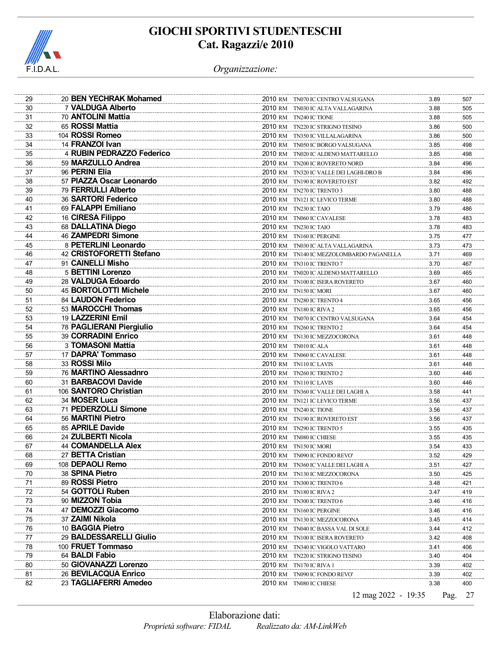

*Organizzazione:* 

| 29             | 20 BEN YECHRAK Mohamed          | 2010 RM TN070 IC CENTRO VALSUGANA            | 3.89 | 507 |
|----------------|---------------------------------|----------------------------------------------|------|-----|
| 30             | 7 VALDUGA Alberto               | 2010 RM TN030 IC ALTA VALLAGARINA            | 3.88 | 505 |
| 31             | 70 ANTOLINI Mattia              | 2010 RM TN240 IC TIONE                       | 3.88 | 505 |
| 32             | 65 ROSSI Mattia                 | 2010 RM TN220 IC STRIGNO TESINO              | 3.86 | 500 |
| 33             | 104 ROSSI Romeo                 | 2010 RM TN350 IC VILLALAGARINA               | 3.86 | 500 |
| 34             | 14 FRANZOI Ivan                 | 2010 RM TN050 IC BORGO VALSUGANA             | 3.85 | 498 |
| 35             | 4 RUBIN PEDRAZZO Federico       | 2010 RM TN020 IC ALDENO MATTARELLO           | 3.85 | 498 |
| 36             | 59 MARZULLO Andrea              | 2010 RM TN200 IC ROVERETO NORD               | 3.84 | 496 |
| 37             | 96 PERINI Elia                  | 2010  RM      TN320 IC VALLE DEI LAGHI-DRO B | 3.84 | 496 |
| 38             | 57 PIAZZA Oscar Leonardo        | 2010 RM TN190 IC ROVERETO EST                | 3.82 | 492 |
| 39             | 79 FERRULLI Alberto             | 2010 RM TN270 IC TRENTO 3                    | 3.80 | 488 |
| 40             | 36 SARTORI Federico             | 2010 RM TN121 IC LEVICO TERME                | 3.80 | 488 |
| 41             | 69 FALAPPI Emiliano             | <b>2010 RM TN230 IC TAIO</b>                 | 3.79 | 486 |
| 42             | 16 CIRESA Filippo               | 2010 RM TN060 IC CAVALESE                    | 3.78 | 483 |
| 43             | 68 DALLATINA Diego              | <b>2010 RM TN230 IC TAIO</b>                 | 3.78 | 483 |
| 44             | 46 ZAMPEDRI Simone              | 2010 RM TN160 IC PERGINE                     |      |     |
|                | 8 PETERLINI Leonardo            |                                              | 3.75 | 477 |
| 45<br>46       | 42 CRISTOFORETTI Stefano        | 2010 RM TN030 IC ALTA VALLAGARINA            | 3.73 | 473 |
| 47             | 91 CAINELLI Misho               | 2010 RM TN140 IC MEZZOLOMBARDO PAGANELLA     | 3.71 | 469 |
|                | 5 BETTINI Lorenzo               | 2010 RM TN310 IC TRENTO 7                    | 3.70 | 467 |
| 48             | 28 VALDUGA Edoardo              | 2010 RM TN020 IC ALDENO MATTARELLO           | 3.69 | 465 |
| 49             |                                 | 2010 RM TN100 IC ISERA ROVERETO              | 3.67 | 460 |
| 50             | 45 BORTOLOTTI Michele           | 2010 RM TN150 IC MORI                        | 3.67 | 460 |
| 51             | 84 LAUDON Federico              | 2010 RM TN280 IC TRENTO 4                    | 3.65 | 456 |
| 52             | 53 MAROCCHI Thomas              | <b>2010 RM TN180 IC RIVA 2</b>               | 3.65 | 456 |
| 53             | 19 LAZZERINI Emil               | 2010 RM TN070 IC CENTRO VALSUGANA            | 3.64 | 454 |
| 54             | <b>78 PAGLIERANI Piergiulio</b> | 2010 RM TN260 IC TRENTO 2                    | 3.64 | 454 |
| 55             | 39 CORRADINI Enrico             | 2010 RM TN130 IC MEZZOCORONA                 | 3.61 | 448 |
| 56             | 3 TOMASONI Mattia               | <b>2010 RM TN010 IC ALA</b>                  | 3.61 | 448 |
| 57             | 17 DAPRA' Tommaso               | 2010 RM TN060 IC CAVALESE                    | 3.61 | 448 |
| 58             | 33 ROSSI Milo                   | 2010 RM TN110 IC LAVIS                       | 3.61 | 448 |
| 59             | 76 MARTINO Alessadnro           | 2010 RM TN260 IC TRENTO 2                    | 3.60 | 446 |
| 60             | 31 BARBACOVI Davide             | 2010 RM TN110 IC LAVIS                       | 3.60 | 446 |
| 61             | 106 SANTORO Christian           | 2010 RM TN360 IC VALLE DEI LAGHI A           | 3.58 | 441 |
| 62             | 34 MOSER Luca                   | 2010 RM TN121 IC LEVICO TERME                | 3.56 | 437 |
| 63             | 71 PEDERZOLLI Simone            | 2010 RM TN240 IC TIONE                       | 3.56 | 437 |
| 64             | 56 MARTINI Pietro               | 2010 RM TN190 IC ROVERETO EST                | 3.56 | 437 |
| 65             | 85 APRILE Davide                | 2010 RM TN290 IC TRENTO 5                    | 3.55 | 435 |
| 66             | 24 ZULBERTI Nicola              | 2010 RM TN080 IC CHIESE                      | 3.55 | 435 |
| 67             | <b>44 COMANDELLA Alex</b>       | 2010 RM TN150 IC MORI                        | 3.54 | 433 |
| 68             | 27 BETTA Cristian               | 2010 RM TN090 IC FONDO REVO'                 | 3.52 | 429 |
| 69             | 108 DEPAOLI Remo                | 2010 RM TN360 IC VALLE DEI LAGHI A           | 3.51 | 427 |
| $\frac{70}{2}$ | 38 SPINA Pietro                 | 2010 RM TN130 IC MEZZOCORONA                 | 3.50 | 425 |
| 71             | 89 ROSSI Pietro                 | 2010 RM TN300 IC TRENTO 6                    | 3.48 | 421 |
| 72             | 54 GOTTOLI Ruben                | 2010 RM TN180 IC RIVA 2                      | 3.47 | 419 |
| 73             | 90 MIZZON Tobia                 | 2010 RM TN300 IC TRENTO 6                    | 3.46 | 416 |
| 74             | 47 DEMOZZI Giacomo              | 2010 RM TN160 IC PERGINE                     | 3.46 | 416 |
| 75             | 37 ZAIMI Nikola                 | 2010 RM TN130 IC MEZZOCORONA                 | 3.45 | 414 |
| 76             | 10 BAGGIA Pietro                | 2010 RM TN040 IC BASSA VAL DI SOLE           | 3.44 | 412 |
| 77             | 29 BALDESSARELLI Giulio         | 2010 RM<br>TN100 IC ISERA ROVERETO           | 3.42 | 408 |
| 78             | 100 FRUET Tommaso               | 2010 RM TN340 IC VIGOLO VATTARO              | 3.41 | 406 |
| 79             | 64 BALDI Fabio                  | 2010 RM TN220 IC STRIGNO TESINO              | 3.40 | 404 |
| 80             | 50 GIOVANAZZI Lorenzo           | <b>2010 RM TN170 IC RIVA 1</b>               | 3.39 | 402 |
| 81             | 26 BEVILACQUA Enrico            | 2010 RM TN090 IC FONDO REVO                  | 3.39 | 402 |
| 82             | 23 TAGLIAFERRI Amedeo           | 2010 RM TN080 IC CHIESE                      | 3.38 | 400 |
|                |                                 |                                              |      |     |
|                |                                 | 12 mag 2022 - 19:35                          | Pag. | 27  |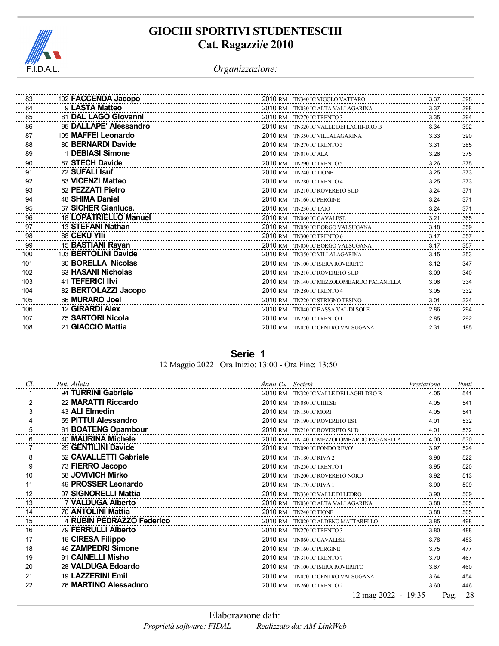

### *Organizzazione:*

| 83<br>. <del>.</del>   | 102 FACCENDA Jacopo    | 2010 RM<br>TN340 IC VIGOLO VATTARO       | 3.37 | 398   |
|------------------------|------------------------|------------------------------------------|------|-------|
| 84                     | 9 LASTA Matteo         | 2010 RM TN030 IC ALTA VALLAGARINA        | 3.37 | 398   |
| 85<br>.                | 81 DAL LAGO Giovanni   | 2010 RM TN270 IC TRENTO 3                | 3.35 | 394   |
| 86<br>.                | 95 DALLAPE' Alessandro | 2010 RM TN320 IC VALLE DEI LAGHI-DROB    | 3.34 | 392   |
| $rac{87}{2}$           | 105 MAFFEI Leonardo    | 2010 RM TN350 IC VILLALAGARINA           | 3.33 | 390   |
| 88                     | 80 BERNARDI Davide     | 2010 RM TN270 IC TRENTO 3                | 3.31 | 385   |
| 89                     | 1 DEBIASI Simone       | 2010 RM TN010 IC ALA                     | 3.26 | 375   |
| 90                     | 87 STECH Davide        | 2010 RM TN290 IC TRENTO 5                | 3.26 | 375   |
| 91                     | 72 SUFALI Isuf         | 2010 RM TN240 IC TIONE                   | 3.25 | 373   |
| 92                     | 83 VICENZI Matteo      | 2010 RM TN280 IC TRENTO 4                | 3.25 | 373   |
| 93                     | 62 PEZZATI Pietro      | 2010 RM TN210 IC ROVERETO SUD            | 3.24 | 371   |
| 94                     | 48 SHIMA Daniel        | 2010 RM TN160 IC PERGINE                 | 3.24 | 371   |
| 95                     | 67 SICHER Gianluca.    | 2010 RM TN230 IC TAIO                    | 3.24 | 371   |
| 96<br>                 | 18 LOPATRIELLO Manuel  | 2010 RM TN060 IC CAVALESE                | 3.21 | 365   |
| 97<br>. <del>. .</del> | 13 STEFANI Nathan      | 2010 RM TN050 IC BORGO VALSUGANA         | 3.18 | 359   |
| 98                     | 88 CEKU YIIi           | 2010 RM TN300 IC TRENTO 6                | 3.17 | 357   |
| $\frac{99}{2}$         | 15 BASTIANI Rayan      | 2010 RM TN050 IC BORGO VALSUGANA         | 3.17 | 357   |
| 100                    | 103 BERTOLINI Davide   | 2010 RM TN350 IC VILLALAGARINA           | 3.15 | 353   |
| 101                    | 30 BORELLA Nicolas     | 2010 RM TN100 IC ISERA ROVERETO          | 3.12 | $347$ |
| 102                    | 63 HASANI Nicholas     | 2010 RM TN210 IC ROVERETO SUD            | 3.09 | 340   |
| 103                    | 41 TEFERICI IIvi       | 2010 RM TN140 IC MEZZOLOMBARDO PAGANELLA | 3.06 | 334   |
| 104                    | 82 BERTOLAZZI Jacopo   | 2010 RM TN280 IC TRENTO 4                | 3.05 | 332   |
| 105                    | 66 MURARO Joel         | 2010 RM TN220 IC STRIGNO TESINO          | 3.01 | 324   |
| 106                    | 12 GIRARDI Alex        | 2010 RM TN040 IC BASSA VAL DI SOLE       | 2.86 | 294   |
| 107                    | 75 SARTORI Nicola      | 2010 RM TN250 IC TRENTO 1                | 2.85 | 292   |
| 108                    | 21 GIACCIO Mattia      | 2010 RM TN070 IC CENTRO VALSUGANA        | 2.31 | 185   |

#### **Serie 1** 12 Maggio 2022 Ora Inizio: 13:00 - Ora Fine: 13:50

| Cl.           | Pett. Atleta              | Anno Cat. Società |                                          | Prestazione | Punti |
|---------------|---------------------------|-------------------|------------------------------------------|-------------|-------|
|               | 94 TURRINI Gabriele       |                   | 2010 RM TN320 IC VALLE DEI LAGHI-DRO B   | 4.05        | 541   |
| $\frac{2}{2}$ | 22 MARATTI Riccardo       |                   | 2010 RM TN080 IC CHIESE                  | 4.05        | 541   |
| 3             | 43 ALI Elmedin            |                   | 2010 RM TN150 IC MORI                    | 4.05        | 541   |
| 4             | 55 PITTUI Alessandro      |                   | 2010 RM TN190 IC ROVERETO EST            | 4.01        | 532   |
| 5             | 61 BOATENG Opambour       |                   | 2010 RM TN210 IC ROVERETO SUD            | 4.01        | 532   |
| 6             | <b>40 MAURINA Michele</b> |                   | 2010 RM TN140 IC MEZZOLOMBARDO PAGANELLA | 4.00        | 530   |
|               | 25 GENTILINI Davide       |                   | 2010 RM TN090 IC FONDO REVO'             | 3.97        | 524   |
| 8             | 52 CAVALLETTI Gabriele    |                   | 2010 RM TN180 IC RIVA 2                  | 3.96        | 522   |
| 9<br>.        | 73 FIERRO Jacopo          |                   | 2010 RM TN250 IC TRENTO 1                | 3.95        | 520   |
| 10            | 58 JOVIVICH Mirko         |                   | 2010 RM TN200 IC ROVERETO NORD           | 3.92        | 513   |
| 11<br>.       | 49 PROSSER Leonardo       |                   | 2010 RM TN170 IC RIVA 1                  | 3.90        | 509   |
| 12            | 97 SIGNORELLI Mattia      |                   | 2010 RM TN330 IC VALLE DI LEDRO          | 3.90        | 509   |
| 13            | 7 VALDUGA Alberto         |                   | 2010 RM TN030 IC ALTA VALLAGARINA        | 3.88        | 505   |
| 14            | 70 ANTOLINI Mattia        |                   | 2010 RM TN240 IC TIONE                   | 3.88        | 505   |
| 15            | 4 RUBIN PEDRAZZO Federico |                   | 2010 RM TN020 IC ALDENO MATTARELLO       | 3.85        | 498   |
| 16            | 79 FERRULLI Alberto       |                   | 2010 RM TN270 IC TRENTO 3                | 3.80        | 488   |
| 17            | 16 CIRESA Filippo         |                   | 2010 RM TN060 IC CAVALESE                | 3.78        | 483   |
| 18<br>.       | 46 ZAMPEDRI Simone        |                   | 2010 RM TN160 IC PERGINE                 | 3.75        | 477   |
| 19            | 91 CAINELLI Misho         |                   | 2010 RM TN310 IC TRENTO 7                | 3.70        | 467   |
| 20<br>.       | 28 VALDUGA Edoardo        |                   | 2010 RM TN100 IC ISERA ROVERETO          | 3.67        | 460   |
| 21            | 19 LAZZERINI Emil         |                   | 2010 RM TN070 IC CENTRO VALSUGANA        | 3.64        | 454   |
| 22            | 76 MARTINO Alessadnro     |                   | 2010 RM TN260 IC TRENTO 2                | 3.60        | 446   |
|               |                           |                   | 12 mag 2022 - 19:35                      | Pag.        | 28    |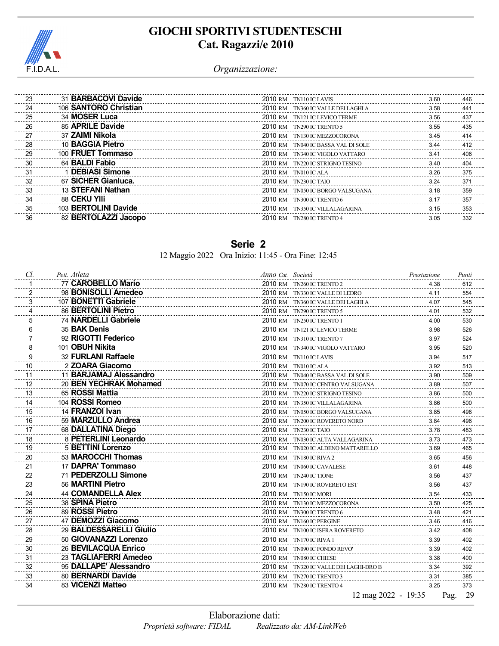

#### *Organizzazione:*

| 23     | 31 BARBACOVI Davide             | 2010 RM TN110 IC LAVIS               | 3.60 |  |
|--------|---------------------------------|--------------------------------------|------|--|
| 24     | <b>SANTORO Christian</b><br>106 | 2010 RM<br>TN360 IC VALLE DELLAGHI A | 3.58 |  |
| 25     | 34 MOSER Luca                   | 2010 RM TN121 IC LEVICO TERME        | 3.56 |  |
|        | 85 APRILE Davide                | TN290 IC TRENTO 5                    | 3.55 |  |
|        | 37 ZAIMI Nikola                 | 2010 RM TN130 IC MEZZOCORONA         |      |  |
| ററ     | <b>BAGGIA Pietro</b>            | 2010 RM TN040 IC BASSA VAL DI SOLE   | 3.44 |  |
|        | 100 FRUET Tommaso               | 2010 RM TN340 IC VIGOLO VATTARO      |      |  |
| 30<br> | 64 <b>BALDI Fabio</b>           | 2010 RM TN220 IC STRIGNO TESINO      | 340  |  |
|        | <b>DEBIASI Simone</b>           | RM<br>TN010 IC ALA                   |      |  |
|        | 67 SICHER Gianluca.             | 2010 RM TN230 IC TAIO                | 3.24 |  |
| ২৭     | 13 STEFANI Nathan               | 2010 RM<br>TN050 IC BORGO VAI SUGANA | 3.18 |  |
|        | CEKU YIII<br>88                 | 2010 RM TN300 IC TRENTO 6            | 3 17 |  |
| 35     | 103 BERTOLINI Davide            | 2010 RM - TN350 IC VILLALAGARINA     | 3 15 |  |
|        | 82 BERTOLAZZI Jacopo            | <b>2010 RM TN280 IC TRENTO 4</b>     |      |  |

#### **Serie 2**

12 Maggio 2022 Ora Inizio: 11:45 - Ora Fine: 12:45

| Cl.           | Pett. Atleta              | Anno Cat. Società                     | Prestazione                 | Punti |
|---------------|---------------------------|---------------------------------------|-----------------------------|-------|
| $\mathbf 1$   | 77 CAROBELLO Mario        | 2010 RM TN260 IC TRENTO 2             | 4.38                        | 612   |
| 2             | 98 BONISOLLI Amedeo       | 2010 RM TN330 IC VALLE DI LEDRO       | 4.11                        | 554   |
| 3             | 107 BONETTI Gabriele      | 2010 RM TN360 IC VALLE DEI LAGHI A    | 4.07                        | 545   |
| $\frac{4}{2}$ | 86 BERTOLINI Pietro       | 2010 RM TN290 IC TRENTO 5             | 4.01                        | 532   |
| 5             | 74 NARDELLI Gabriele      | 2010 RM TN250 IC TRENTO 1             | 4.00                        | 530   |
| 6             | 35 BAK Denis              | 2010 RM TN121 IC LEVICO TERME         | 3.98                        | 526   |
| 7             | 92 RIGOTTI Federico       | 2010 RM TN310 IC TRENTO 7             | 3.97                        | 524   |
| .<br>8        | 101 OBUH Nikita           | 2010 RM TN340 IC VIGOLO VATTARO       | 3.95                        | 520   |
| 9<br>         | 32 FURLANI Raffaele       | 2010 RM TN110 IC LAVIS                | 3.94                        | 517   |
| 10            | 2 ZOARA Giacomo           | 2010 RM TN010 IC ALA                  | 3.92                        | 513   |
| 11            | 11 BARJAMAJ Alessandro    | 2010 RM TN040 IC BASSA VAL DI SOLE    | 3.90                        | 509   |
| 12            | 20 BEN YECHRAK Mohamed    | 2010 RM TN070 IC CENTRO VALSUGANA     | 3.89                        | 507   |
| 13            | 65 ROSSI Mattia           | 2010 RM TN220 IC STRIGNO TESINO       | 3.86                        | 500   |
| 14            | 104 ROSSI Romeo           | 2010 RM TN350 IC VILLALAGARINA        | 3.86                        | 500   |
| 15            | 14 FRANZOI Ivan           | 2010 RM TN050 IC BORGO VALSUGANA      | 3.85                        | 498   |
| 16            | 59 MARZULLO Andrea        | 2010 RM TN200 IC ROVERETO NORD        | 3.84                        | 496   |
| 17            | 68 DALLATINA Diego        | 2010 RM TN230 IC TAIO                 | 3.78                        | 483   |
| 18            | 8 PETERLINI Leonardo      | 2010 RM TN030 IC ALTA VALLAGARINA     | 3.73                        | 473   |
| 19            | <b>5 BETTINI Lorenzo</b>  | 2010 RM TN020 IC ALDENO MATTARELLO    | 3.69                        | 465   |
| 20            | 53 MAROCCHI Thomas        | 2010 RM TN180 IC RIVA 2               | 3.65                        | 456   |
| .21           | 17 DAPRA' Tommaso         | 2010 RM TN060 IC CAVALESE             | 3.61                        | 448   |
| 22            | 71 PEDERZOLLI Simone      | 2010 RM TN240 IC TIONE                | 3.56                        | 437   |
| 23            | 56 MARTINI Pietro         | 2010 RM TN190 IC ROVERETO EST         | 3.56                        | 437   |
| 24            | <b>44 COMANDELLA Alex</b> | 2010 RM TN150 IC MORI                 | 3.54                        | 433   |
| 25            | 38 SPINA Pietro           | 2010 RM TN130 IC MEZZOCORONA          | 3.50                        | 425   |
| 26            | 89 ROSSI Pietro           | 2010 RM TN300 IC TRENTO 6             | 3.48                        | 421   |
| 27            | 47 DEMOZZI Giacomo        | 2010 RM TN160 IC PERGINE              | 3.46                        | 416   |
| 28            | 29 BALDESSARELLI Giulio   | 2010 RM TN100 IC ISERA ROVERETO       | 3.42                        | 408   |
| 29            | 50 GIOVANAZZI Lorenzo     | 2010 RM TN170 IC RIVA 1               | 3.39                        | 402   |
| 30            | 26 BEVILACQUA Enrico      | 2010 RM TN090 IC FONDO REVO'          | 3.39                        | 402   |
| 31            | 23 TAGLIAFERRI Amedeo     | 2010 RM TN080 IC CHIESE               | 3.38                        | 400   |
| 32            | 95 DALLAPE' Alessandro    | 2010 RM TN320 IC VALLE DEI LAGHI-DROB | 3.34                        | 392   |
| 33            | 80 BERNARDI Davide        | 2010 RM TN270 IC TRENTO 3             | 3.31                        | 385   |
| 34            | 83 VICENZI Matteo         | 2010 RM TN280 IC TRENTO 4             | 3.25                        | 373   |
|               |                           |                                       | 12 mag 2022 - 19:35<br>Pag. | 29    |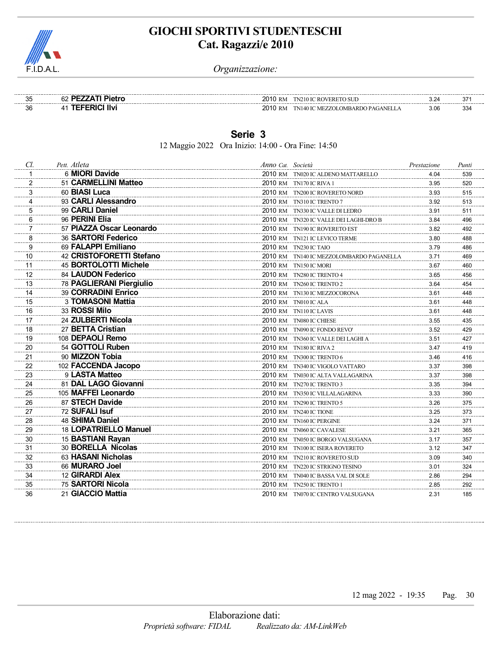

*Organizzazione:* 

| つん<br>ື | 2011<br>RN |      |     |
|---------|------------|------|-----|
| 36      | 2011<br>RN | 3.06 | 334 |

#### **Serie 3**

12 Maggio 2022 Ora Inizio: 14:00 - Ora Fine: 14:50

| Cl.            | Pett. Atleta             | Anno Cat. Società |                                          | Prestazione | Punti |
|----------------|--------------------------|-------------------|------------------------------------------|-------------|-------|
| $\mathbf{1}$   | 6 MIORI Davide           |                   | 2010 RM TN020 IC ALDENO MATTARELLO       | 4.04        | 539   |
| $\frac{2}{2}$  | 51 CARMELLINI Matteo     |                   | 2010 RM TN170 IC RIVA 1                  | 3.95        | 520   |
| $rac{3}{2}$    | 60 BIASI Luca            |                   | 2010 RM TN200 IC ROVERETO NORD           | 3.93        | 515   |
| 4<br>.         | 93 CARLI Alessandro      |                   | 2010 RM TN310 IC TRENTO 7                | 3.92        | 513   |
| 5              | 99 CARLI Daniel          |                   | 2010 RM TN330 IC VALLE DI LEDRO          | 3.91        | 511   |
| 6              | 96 PERINI Elia           |                   | 2010 RM TN320 IC VALLE DEI LAGHI-DRO B   | 3.84        | 496   |
| $\overline{7}$ | 57 PIAZZA Oscar Leonardo |                   | 2010 RM TN190 IC ROVERETO EST            | 3.82        | 492   |
| $rac{8}{2}$    | 36 SARTORI Federico      |                   | 2010 RM TN121 IC LEVICO TERME            | 3.80        | 488   |
| $rac{9}{2}$    | 69 FALAPPI Emiliano      |                   | 2010 RM TN230 IC TAIO                    | 3.79        | 486   |
| 10             | 42 CRISTOFORETTI Stefano |                   | 2010 RM TN140 IC MEZZOLOMBARDO PAGANELLA | 3.71        | 469   |
| 11             | 45 BORTOLOTTI Michele    |                   | 2010 RM TN150 IC MORI                    | 3.67        | 460   |
| 12             | 84 LAUDON Federico       |                   | 2010 RM TN280 IC TRENTO 4                | 3.65        | 456   |
| 13             | 78 PAGLIERANI Piergiulio |                   | 2010 RM TN260 IC TRENTO 2                | 3.64        | 454   |
| 14             | 39 CORRADINI Enrico      |                   | 2010 RM TN130 IC MEZZOCORONA             | 3.61        | 448   |
| 15             | 3 TOMASONI Mattia        |                   | 2010 RM TN010 IC ALA                     | 3.61        | 448   |
| 16             | 33 ROSSI Milo            |                   | 2010 RM TN110 IC LAVIS                   | 3.61        | 448   |
| 17             | 24 ZULBERTI Nicola       |                   | 2010 RM TN080 IC CHIESE                  | 3.55        | 435   |
| 18             | 27 BETTA Cristian        |                   | 2010 RM TN090 IC FONDO REVO'             | 3.52        | 429   |
| 19             | 108 DEPAOLI Remo         |                   | 2010 RM TN360 IC VALLE DEI LAGHI A       | 3.51        | 427   |
| 20             | 54 GOTTOLI Ruben         |                   | 2010 RM TN180 IC RIVA 2                  | 3.47        | 419   |
| 21             | 90 MIZZON Tobia          |                   | 2010 RM TN300 IC TRENTO 6                | 3.46        | 416   |
| 22             | 102 FACCENDA Jacopo      |                   | 2010 RM TN340 IC VIGOLO VATTARO          | 3.37        | 398   |
| 23             | 9 LASTA Matteo           |                   | 2010 RM TN030 IC ALTA VALLAGARINA        | 3.37        | 398   |
| 24             | 81 DAL LAGO Giovanni     |                   | 2010 RM TN270 IC TRENTO 3                | 3.35        | 394   |
| 25             | 105 MAFFEI Leonardo      |                   | 2010 RM TN350 IC VILLALAGARINA           | 3.33        | 390   |
| 26             | 87 STECH Davide          |                   | 2010 RM TN290 IC TRENTO 5                | 3.26        | 375   |
| 27             | 72 SUFALI Isuf           |                   | 2010 RM TN240 IC TIONE                   | 3.25        | 373   |
| 28             | 48 SHIMA Daniel          |                   | 2010 RM TN160 IC PERGINE                 | 3.24        | 371   |
| 29             | 18 LOPATRIELLO Manuel    |                   | 2010 RM TN060 IC CAVALESE                | 3.21        | 365   |
| 30             | 15 BASTIANI Rayan        |                   | 2010 RM TN050 IC BORGO VALSUGANA         | 3.17        | 357   |
| 31             | 30 BORELLA Nicolas       |                   | 2010 RM TN100 IC ISERA ROVERETO          | 3.12        | 347   |
| 32             | 63 HASANI Nicholas       |                   | 2010 RM TN210 IC ROVERETO SUD            | 3.09        | 340   |
| 33             | 66 MURARO Joel           |                   | 2010 RM TN220 IC STRIGNO TESINO          | 3.01        | 324   |
| 34             | 12 GIRARDI Alex          |                   | 2010 RM TN040 IC BASSA VAL DI SOLE       | 2.86        | 294   |
| 35             | <b>75 SARTORI Nicola</b> |                   | 2010 RM TN250 IC TRENTO 1                | 2.85        | 292   |
| 36             | 21 GIACCIO Mattia        |                   | 2010 RM TN070 IC CENTRO VALSUGANA        | 2.31        | 185   |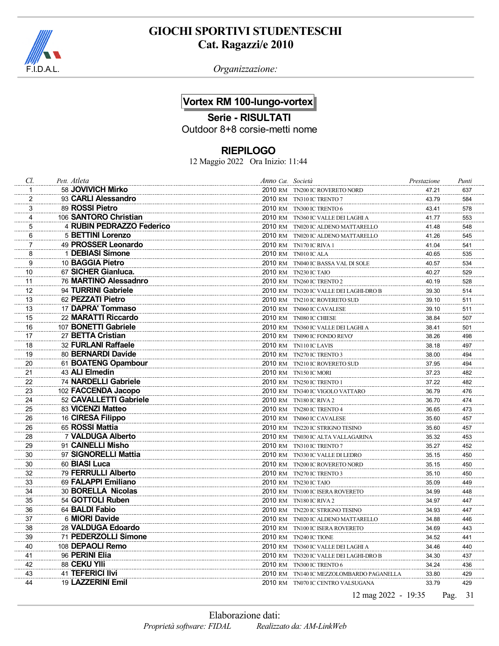

*Organizzazione:* 

# **Vortex RM 100-lungo-vortex**

**Serie - RISULTATI**

Outdoor 8+8 corsie-metti nome

#### **RIEPILOGO**

12 Maggio 2022 Ora Inizio: 11:44

| Cl.            | Pett. Atleta                | Anno Cat. Società |                                          | Prestazione | Punti |
|----------------|-----------------------------|-------------------|------------------------------------------|-------------|-------|
| $\overline{1}$ | 58 JOVIVICH Mirko           |                   | 2010 RM TN200 IC ROVERETO NORD           | 47.21       | 637   |
| 2              | 93 CARLI Alessandro         |                   | 2010 RM TN310 IC TRENTO 7                | 43.79       | 584   |
| $\overline{3}$ | 89 ROSSI Pietro             |                   | 2010 RM TN300 IC TRENTO 6                | 43.41       | 578   |
| 4              | 106 SANTORO Christian       |                   | 2010 RM TN360 IC VALLE DEI LAGHI A       | 41.77       | 553   |
| 5              | 4 RUBIN PEDRAZZO Federico   |                   | 2010 RM TN020 IC ALDENO MATTARELLO       | 41.48       | 548   |
| 6              | <b>5 BETTINI Lorenzo</b>    |                   | 2010 RM TN020 IC ALDENO MATTARELLO       | 41.26       | 545   |
| 7              | 49 PROSSER Leonardo         |                   | 2010 RM TN170 IC RIVA 1                  | 41.04       | 541   |
| 8              | 1 DEBIASI Simone            |                   | 2010 RM TN010 IC ALA                     | 40.65       | 535   |
| 9              | 10 BAGGIA Pietro            |                   | 2010 RM TN040 IC BASSA VAL DI SOLE       | 40.57       | 534   |
| 10             | 67 SICHER Gianluca.         |                   | 2010 RM TN230 IC TAIO                    | 40.27       | 529   |
| 11             | 76 MARTINO Alessadnro       |                   | 2010 RM TN260 IC TRENTO 2                | 40.19       | 528   |
| 12             | 94 TURRINI Gabriele         |                   | 2010 RM TN320 IC VALLE DEI LAGHI-DROB    | 39.30       | 514   |
| 13             | 62 PEZZATI Pietro           |                   | 2010 RM TN210 IC ROVERETO SUD            | 39.10       | 511   |
| 13             | 17 DAPRA' Tommaso           |                   | 2010 RM TN060 IC CAVALESE                | 39.10       | 511   |
| 15             | 22 MARATTI Riccardo         |                   | 2010 RM TN080 IC CHIESE                  | 38.84       | 507   |
| 16             | 107 <b>BONETTI Gabriele</b> |                   | 2010 RM TN360 IC VALLE DEI LAGHI A       | 38.41       | 501   |
| 17             | 27 BETTA Cristian           |                   | 2010 RM TN090 IC FONDO REVO'             | 38.26       | 498   |
| 18             | 32 FURLANI Raffaele         |                   | 2010 RM TN110 IC LAVIS                   | 38.18       | 497   |
| 19             | 80 BERNARDI Davide          |                   | 2010 RM TN270 IC TRENTO 3                | 38.00       | 494   |
| 20             | 61 BOATENG Opambour         |                   | 2010 RM TN210 IC ROVERETO SUD            | 37.95       | 494   |
| 21             | 43 ALI Elmedin              |                   | 2010 RM TN150 IC MORI                    | 37.23       | 482   |
| 22             | 74 NARDELLI Gabriele        |                   | 2010 RM TN250 IC TRENTO 1                | 37.22       | 482   |
| 23             | 102 FACCENDA Jacopo         |                   | 2010 RM TN340 IC VIGOLO VATTARO          | 36.79       | 476   |
| 24             | 52 CAVALLETTI Gabriele      |                   | 2010 RM TN180 IC RIVA 2                  | 36.70       | 474   |
| 25             | 83 VICENZI Matteo           |                   | 2010 RM TN280 IC TRENTO 4                | 36.65       | 473   |
| 26             | 16 CIRESA Filippo           |                   | 2010 RM TN060 IC CAVALESE                | 35.60       | 457   |
| 26             | 65 ROSSI Mattia             |                   | 2010 RM TN220 IC STRIGNO TESINO          | 35.60       | 457   |
| 28             | 7 VALDUGA Alberto           |                   | 2010 RM TN030 IC ALTA VALLAGARINA        | 35.32       | 453   |
| 29             | 91 CAINELLI Misho           |                   | 2010 RM TN310 IC TRENTO 7                | 35.27       | 452   |
| 30             | 97 SIGNORELLI Mattia        |                   | 2010 RM TN330 IC VALLE DI LEDRO          | 35.15       | 450   |
| 30             | 60 BIASI Luca               |                   | 2010 RM TN200 IC ROVERETO NORD           | 35.15       | 450   |
| 32             | 79 FERRULLI Alberto         |                   | 2010 RM TN270 IC TRENTO 3                | 35.10       | 450   |
| 33             | 69 FALAPPI Emiliano         |                   | 2010 RM TN230 IC TAIO                    | 35.09       | 449   |
| 34             | 30 BORELLA Nicolas          |                   | 2010 RM TN100 IC ISERA ROVERETO          | 34.99       | 448   |
| 35             | 54 GOTTOLI Ruben            |                   | 2010 RM TN180 IC RIVA 2                  | 34.97       | 447   |
| 36             | 64 BALDI Fabio              |                   | 2010 RM TN220 IC STRIGNO TESINO          | 34.93       | 447   |
| 37             | 6 MIORI Davide              |                   | 2010 RM TN020 IC ALDENO MATTARELLO       | 34.88       | 446   |
| 38             | 28 VALDUGA Edoardo          |                   | 2010 RM TN100 IC ISERA ROVERETO          | 34.69       | 443   |
| 39             | 71 PEDERZOLLI Simone        |                   | 2010 RM TN240 IC TIONE                   | 34.52       | 441   |
| 40             | 108 DEPAOLI Remo            |                   | 2010 RM TN360 IC VALLE DEI LAGHI A       | 34.46       | 440   |
| 41             | 96 PERINI Elia              |                   | 2010 RM TN320 IC VALLE DEI LAGHI-DRO B   | 34.30       | 437   |
| 42             | 88 CEKU YIII                |                   | 2010 RM TN300 IC TRENTO 6                | 34.24       | 436   |
| 43             | 41 TEFERICI IIvi            |                   | 2010 RM TN140 IC MEZZOLOMBARDO PAGANELLA | 33.80       | 429   |
| 44             | 19 <b>LAZZERINI Emil</b>    |                   | 2010 RM TN070 IC CENTRO VALSUGANA        | 33.79       | 429   |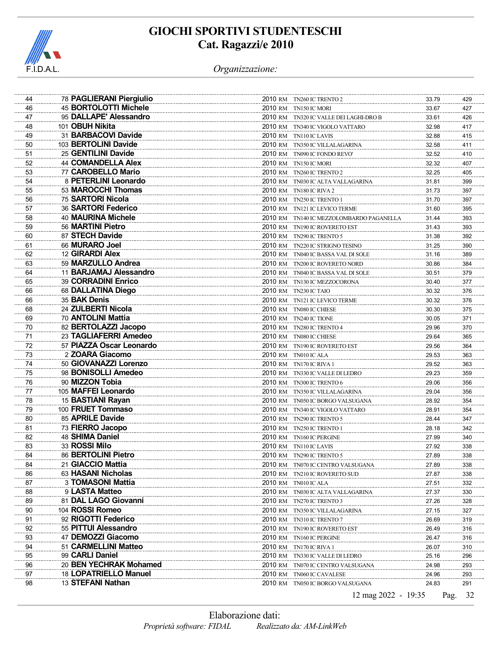

*Organizzazione:* 

| 44                   | 78 PAGLIERANI Piergiulio | 2010 RM TN260 IC TRENTO 2                | 33.79 | 429 |
|----------------------|--------------------------|------------------------------------------|-------|-----|
| 46                   | 45 BORTOLOTTI Michele    | 2010 RM TN150 IC MORI                    | 33.67 | 427 |
| 47                   | 95 DALLAPE' Alessandro   | 2010 RM TN320 IC VALLE DEI LAGHI-DROB    | 33.61 | 426 |
| 48                   | 101 OBUH Nikita          | 2010 RM TN340 IC VIGOLO VATTARO          | 32.98 | 417 |
| 49                   | 31 BARBACOVI Davide      | 2010 RM TN110 IC LAVIS                   | 32.88 | 415 |
| 50                   | 103 BERTOLINI Davide     | 2010 RM TN350 IC VILLALAGARINA           | 32.58 | 411 |
| 51                   | 25 GENTILINI Davide      | 2010 RM TN090 IC FONDO REVO'             | 32.52 | 410 |
| 52                   | 44 COMANDELLA Alex       | 2010 RM TN150 IC MORI                    | 32.32 | 407 |
| 53                   | 77 CAROBELLO Mario       | 2010 RM TN260 IC TRENTO 2                | 32.25 | 405 |
| 54                   | 8 PETERLINI Leonardo     | 2010 RM TN030 IC ALTA VALLAGARINA        | 31.81 | 399 |
| 55                   | 53 MAROCCHI Thomas       | 2010 RM TN180 IC RIVA 2                  | 31.73 | 397 |
| 56                   | 75 SARTORI Nicola        | 2010 RM TN250 IC TRENTO 1                | 31.70 | 397 |
| 57                   | 36 SARTORI Federico      | 2010 RM TN121 IC LEVICO TERME            | 31.60 | 395 |
| 58                   | 40 MAURINA Michele       | 2010 RM TN140 IC MEZZOLOMBARDO PAGANELLA | 31.44 | 393 |
| 59                   | 56 MARTINI Pietro        | 2010 RM TN190 IC ROVERETO EST            | 31.43 | 393 |
| 60                   | 87 STECH Davide          | 2010 RM TN290 IC TRENTO 5                | 31.38 | 392 |
| 61                   | 66 MURARO Joel           | 2010 RM TN220 IC STRIGNO TESINO          | 31.25 | 390 |
| 62                   | 12 GIRARDI Alex          | 2010 RM TN040 IC BASSA VAL DI SOLE       | 31.16 | 389 |
| 63                   | 59 MARZULLO Andrea       | 2010 RM TN200 IC ROVERETO NORD           | 30.86 | 384 |
| 64                   | 11 BARJAMAJ Alessandro   | 2010 RM TN040 IC BASSA VAL DI SOLE       | 30.51 | 379 |
| 65                   | 39 CORRADINI Enrico      | 2010 RM TN130 IC MEZZOCORONA             | 30.40 | 377 |
| 66                   | 68 DALLATINA Diego       | 2010 RM TN230 IC TAIO                    | 30.32 | 376 |
| 66                   | 35 BAK Denis             | 2010 RM TN121 IC LEVICO TERME            | 30.32 | 376 |
| 68                   | 24 ZULBERTI Nicola       | 2010 RM TN080 IC CHIESE                  | 30.30 | 375 |
| 69                   | 70 ANTOLINI Mattia       | 2010 RM TN240 IC TIONE                   | 30.05 | 371 |
| 70                   | 82 BERTOLAZZI Jacopo     | 2010 RM TN280 IC TRENTO 4                | 29.96 | 370 |
|                      | 23 TAGLIAFERRI Amedeo    | 2010 RM TN080 IC CHIESE                  | 29.64 | 365 |
| $\frac{71}{2}$<br>72 | 57 PIAZZA Oscar Leonardo | 2010 RM TN190 IC ROVERETO EST            | 29.56 | 364 |
| 73                   | 2 ZOARA Giacomo          | 2010 RM TN010 IC ALA                     | 29.53 | 363 |
| 74                   | 50 GIOVANAZZI Lorenzo    | <b>2010 RM TN170 IC RIVA 1</b>           | 29.52 | 363 |
| 75                   | 98 BONISOLLI Amedeo      | 2010 RM TN330 IC VALLE DI LEDRO          | 29.23 | 359 |
| 76                   | 90 MIZZON Tobia          | 2010 RM TN300 IC TRENTO 6                | 29.06 | 356 |
| 77                   | 105 MAFFEI Leonardo      | 2010 RM TN350 IC VILLALAGARINA           | 29.04 | 356 |
| 78                   | 15 BASTIANI Rayan        | 2010 RM TN050 IC BORGO VALSUGANA         | 28.92 | 354 |
| 79                   | 100 FRUET Tommaso        | 2010 RM TN340 IC VIGOLO VATTARO          | 28.91 | 354 |
| 80                   | 85 APRILE Davide         | 2010 RM TN290 IC TRENTO 5                | 28.44 | 347 |
| 81                   | 73 FIERRO Jacopo         | 2010 RM TN250 IC TRENTO 1                | 28.18 | 342 |
| 82                   | 48 SHIMA Daniel          | 2010 RM TN160 IC PERGINE                 | 27.99 | 340 |
| 83                   | 33 ROSSI Milo            | 2010 RM TN110 IC LAVIS                   | 27.92 | 338 |
| 84                   | 86 BERTOLINI Pietro      | 2010 RM TN290 IC TRENTO 5                | 27.89 | 338 |
| 84                   | 21 GIACCIO Mattia        | 2010 RM TN070 IC CENTRO VALSUGANA        | 27.89 | 338 |
| 86                   | 63 HASANI Nicholas       | 2010 RM TN210 IC ROVERETO SUD            | 27.87 | 338 |
| 87                   | 3 TOMASONI Mattia        | 2010 RM TN010 IC ALA                     | 27.51 | 332 |
| 88                   | 9 LASTA Matteo           | 2010 RM TN030 IC ALTA VALLAGARINA        | 27.37 | 330 |
| 89                   | 81 DAL LAGO Giovanni     | 2010 RM TN270 IC TRENTO 3                | 27.26 | 328 |
| 90                   | 104 ROSSI Romeo          | 2010 RM TN350 IC VILLALAGARINA           | 27.15 | 327 |
| 91                   | 92 RIGOTTI Federico      | 2010 RM TN310 IC TRENTO 7                | 26.69 | 319 |
| 92                   | 55 PITTUI Alessandro     | 2010 RM TN190 IC ROVERETO EST            | 26.49 | 316 |
| 93                   | 47 DEMOZZI Giacomo       | 2010 RM TN160 IC PERGINE                 | 26.47 | 316 |
| 94                   | 51 CARMELLINI Matteo     | <b>2010 RM TN170 IC RIVA 1</b>           | 26.07 | 310 |
| 95                   | 99 CARLI Daniel          | 2010 RM TN330 IC VALLE DI LEDRO          | 25.16 | 296 |
| 96                   | 20 BEN YECHRAK Mohamed   | 2010 RM TN070 IC CENTRO VALSUGANA        | 24.98 | 293 |
| 97                   | 18 LOPATRIELLO Manuel    | 2010 RM TN060 IC CAVALESE                | 24.96 | 293 |
| 98                   | 13 STEFANI Nathan        | 2010 RM TN050 IC BORGO VALSUGANA         | 24.83 | 291 |
|                      |                          |                                          |       |     |
|                      |                          | 12 mag 2022 - 19:35                      | Pag.  | 32  |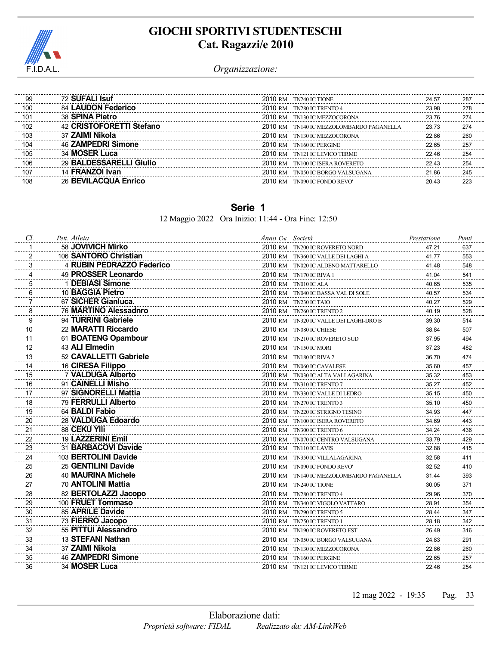

#### *Organizzazione:*

| o٢  | 72 SUFALI Isuf           | 2010 RM TN240 IC TIONE                   | 24.57 |  |
|-----|--------------------------|------------------------------------------|-------|--|
| 100 | 84 LAUDON Federico       | 2010 RM TN280 IC TRENTO 4                |       |  |
|     | 38 SPINA Pietro          | 2010 RM TN130 IC MEZZOCORONA             |       |  |
| 102 | 42 CRISTOFORETTI Stefano | 2010 RM TN140 IC MEZZOLOMBARDO PAGANELLA |       |  |
|     | 37 ZAIMI Nikola          | 2010 RM TN130 IC MEZZOCORONA             |       |  |
|     | 46 ZAMPEDRI Simone       | 2010 RM TN160 IC PERGINE                 |       |  |
|     | 34 MOSER Luca            | 2010 RM TN121 IC LEVICO TERME            |       |  |
|     | 29 BALDESSARELLI Giulio  | 2010 RM TN100 IC ISERA ROVERETO          |       |  |
|     | 14 FRANZOI Ivan          | 2010 RM TN050 IC BORGO VALSUGANA         | 21.86 |  |
|     | 26 BEVILACOUA Enrico     | RM TN090 IC FONDO REVO                   |       |  |

**Serie 1**

12 Maggio 2022 Ora Inizio: 11:44 - Ora Fine: 12:50

| Cl.            | Pett. Atleta              | Anno Cat. Società                     | Prestazione                                       | Punti |
|----------------|---------------------------|---------------------------------------|---------------------------------------------------|-------|
| 1              | 58 JOVIVICH Mirko         | 2010 RM TN200 IC ROVERETO NORD        | 47.21                                             | 637   |
| 2              | 106 SANTORO Christian     | 2010 RM TN360 IC VALLE DEI LAGHI A    | 41.77                                             | 553   |
| 3              | 4 RUBIN PEDRAZZO Federico | 2010 RM TN020 IC ALDENO MATTARELLO    | 41.48                                             | 548   |
| 4              | 49 PROSSER Leonardo       | 2010 RM TN170 IC RIVA 1               | 41.04                                             | 541   |
| 5              | 1 DEBIASI Simone          | 2010 RM TN010 IC ALA                  | 40.65                                             | 535   |
| 6              | 10 BAGGIA Pietro          | 2010 RM TN040 IC BASSA VAL DI SOLE    | 40.57                                             | 534   |
| 7              | 67 SICHER Gianluca.       | 2010 RM TN230 IC TAIO                 | 40.27                                             | 529   |
| $rac{8}{2}$    | 76 MARTINO Alessadnro     | 2010 RM TN260 IC TRENTO 2             | 40.19                                             | 528   |
| $rac{9}{2}$    | 94 TURRINI Gabriele       | 2010 RM TN320 IC VALLE DEI LAGHI-DROB | 39.30                                             | 514   |
| 10             | 22 MARATTI Riccardo       | 2010 RM TN080 IC CHIESE               | 38.84                                             | 507   |
| 11             | 61 BOATENG Opambour       | 2010 RM TN210 IC ROVERETO SUD         | 37.95                                             | 494   |
| 12             | 43 ALI Elmedin            | 2010 RM TN150 IC MORI                 | 37.23                                             | 482   |
| 13             | 52 CAVALLETTI Gabriele    | 2010 RM TN180 IC RIVA 2               | 36.70                                             | 474   |
| 14             | 16 CIRESA Filippo         | 2010 RM TN060 IC CAVALESE             | 35.60                                             | 457   |
| 15             | 7 VALDUGA Alberto         | 2010 RM TN030 IC ALTA VALLAGARINA     | 35.32                                             | 453   |
| 16             | 91 CAINELLI Misho         | 2010 RM TN310 IC TRENTO 7             | 35.27                                             | 452   |
| 17             | 97 SIGNORELLI Mattia      | 2010 RM TN330 IC VALLE DI LEDRO       | 35.15                                             | 450   |
| 18             | 79 FERRULLI Alberto       | 2010 RM TN270 IC TRENTO 3             | 35.10                                             | 450   |
| 19             | 64 BALDI Fabio            | 2010 RM TN220 IC STRIGNO TESINO       | 34.93                                             | 447   |
| 20             | 28 VALDUGA Edoardo        | 2010 RM TN100 IC ISERA ROVERETO       | 34.69                                             | 443   |
| 21             | 88 CEKU YIII              | 2010 RM TN300 IC TRENTO 6             | 34.24                                             | 436   |
| 22             | 19 LAZZERINI Emil         | 2010 RM TN070 IC CENTRO VALSUGANA     | 33.79                                             | 429   |
| 23             | 31 BARBACOVI Davide       | 2010 RM TN110 IC LAVIS                | 32.88                                             | 415   |
| 24             | 103 BERTOLINI Davide      | 2010 RM TN350 IC VILLALAGARINA        | 32.58                                             | 411   |
| 25             | 25 GENTILINI Davide       | 2010 RM TN090 IC FONDO REVO'          | 32.52                                             | 410   |
| 26             | 40 MAURINA Michele        |                                       | 2010 RM TN140 IC MEZZOLOMBARDO PAGANELLA<br>31.44 | 393   |
| 27             | 70 ANTOLINI Mattia        | 2010 RM TN240 IC TIONE                | 30.05                                             | 371   |
| 28             | 82 BERTOLAZZI Jacopo      | 2010 RM TN280 IC TRENTO 4             | 29.96                                             | 370   |
| 29             | 100 FRUET Tommaso         | 2010 RM TN340 IC VIGOLO VATTARO       | 28.91                                             | 354   |
| $\frac{30}{2}$ | 85 APRILE Davide          | 2010 RM TN290 IC TRENTO 5             | 28.44                                             | 347   |
| 31             | 73 FIERRO Jacopo          | 2010 RM TN250 IC TRENTO 1             | 28.18                                             | 342   |
| 32             | 55 PITTUI Alessandro      | 2010 RM TN190 IC ROVERETO EST         | 26.49                                             | 316   |
| 33             | 13 STEFANI Nathan         | 2010 RM TN050 IC BORGO VALSUGANA      | 24.83                                             | 291   |
| 34             | 37 ZAIMI Nikola           | 2010 RM TN130 IC MEZZOCORONA          | 22.86                                             | 260   |
| 35             | <b>46 ZAMPEDRI Simone</b> | 2010 RM TN160 IC PERGINE              | 22.65                                             | 257   |
| 36             | 34 MOSER Luca             | 2010 RM TN121 IC LEVICO TERME         | 22.46                                             | 254   |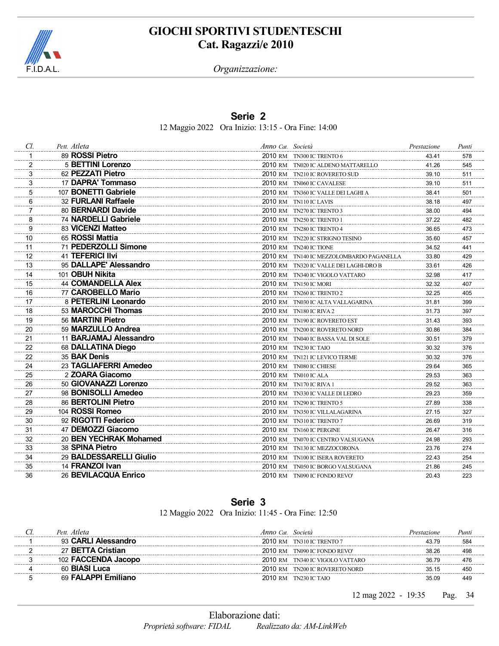

*Organizzazione:* 

## **Serie 2**

12 Maggio 2022 Ora Inizio: 13:15 - Ora Fine: 14:00

| Cl.                 | Pett. Atleta                  | Anno Cat. Società |                                          | Prestazione | Punti |
|---------------------|-------------------------------|-------------------|------------------------------------------|-------------|-------|
| $\mathbf 1$<br>.    | 89 ROSSI Pietro               |                   | 2010 RM TN300 IC TRENTO 6                | 43.41       | 578   |
| $\frac{2}{2}$       | 5 BETTINI Lorenzo             |                   | 2010 RM TN020 IC ALDENO MATTARELLO       | 41.26       | 545   |
| $\overline{3}$      | 62 PEZZATI Pietro             |                   | 2010 RM TN210 IC ROVERETO SUD            | 39.10       | 511   |
| $\overline{3}$      | 17 DAPRA' Tommaso             |                   | 2010 RM TN060 IC CAVALESE                | 39.10       | 511   |
| 5                   | 107 BONETTI Gabriele          |                   | 2010 RM TN360 IC VALLE DEI LAGHI A       | 38.41       | 501   |
| 6                   | 32 FURLANI Raffaele           |                   | 2010 RM TN110 IC LAVIS                   | 38.18       | 497   |
| $\overline{7}$<br>. | 80 BERNARDI Davide            |                   | 2010 RM TN270 IC TRENTO 3                | 38.00       | 494   |
| 8                   | 74 NARDELLI Gabriele          |                   | 2010 RM TN250 IC TRENTO 1                | 37.22       | 482   |
| 9                   | 83 VICENZI Matteo             |                   | 2010 RM TN280 IC TRENTO 4                | 36.65       | 473   |
| 10                  | 65 ROSSI Mattia               |                   | 2010 RM TN220 IC STRIGNO TESINO          | 35.60       | 457   |
| 11                  | 71 PEDERZOLLI Simone          |                   | 2010 RM TN240 IC TIONE                   | 34.52       | 441   |
| 12                  | 41 TEFERICI IIvi              |                   | 2010 RM TN140 IC MEZZOLOMBARDO PAGANELLA | 33.80       | 429   |
| 13                  | 95 DALLAPE' Alessandro        |                   | 2010 RM TN320 IC VALLE DEI LAGHI-DRO B   | 33.61       | 426   |
| 14                  | 101 OBUH Nikita               |                   | 2010 RM TN340 IC VIGOLO VATTARO          | 32.98       | 417   |
| 15                  | 44 COMANDELLA Alex            |                   | 2010 RM TN150 IC MORI                    | 32.32       | 407   |
| 16                  | 77 CAROBELLO Mario            |                   | 2010 RM TN260 IC TRENTO 2                | 32.25       | 405   |
| 17                  | 8 PETERLINI Leonardo          |                   | 2010 RM TN030 IC ALTA VALLAGARINA        | 31.81       | 399   |
| 18                  | 53 MAROCCHI Thomas            |                   | 2010 RM TN180 IC RIVA 2                  | 31.73       | 397   |
| 19                  | 56 MARTINI Pietro             |                   | 2010 RM TN190 IC ROVERETO EST            | 31.43       | 393   |
| 20                  | 59 MARZULLO Andrea            |                   | 2010 RM TN200 IC ROVERETO NORD           | 30.86       | 384   |
| 21                  | 11 <b>BARJAMAJ Alessandro</b> |                   | 2010 RM TN040 IC BASSA VAL DI SOLE       | 30.51       | 379   |
| 22                  | 68 DALLATINA Diego            |                   | 2010 RM TN230 IC TAIO                    | 30.32       | 376   |
| 22                  | 35 BAK Denis                  |                   | 2010 RM TN121 IC LEVICO TERME            | 30.32       | 376   |
| 24                  | 23 TAGLIAFERRI Amedeo         |                   | 2010 RM TN080 IC CHIESE                  | 29.64       | 365   |
| 25                  | 2 ZOARA Giacomo               |                   | 2010 RM TN010 IC ALA                     | 29.53       | 363   |
| 26                  | 50 GIOVANAZZI Lorenzo         |                   | 2010 RM TN170 IC RIVA 1                  | 29.52       | 363   |
| 27                  | 98 BONISOLLI Amedeo           |                   | 2010 RM TN330 IC VALLE DI LEDRO          | 29.23       | 359   |
| 28                  | 86 BERTOLINI Pietro           |                   | 2010 RM TN290 IC TRENTO 5                | 27.89       | 338   |
| 29                  | 104 ROSSI Romeo               |                   | 2010 RM TN350 IC VILLALAGARINA           | 27.15       | 327   |
| 30                  | 92 RIGOTTI Federico           |                   | 2010 RM TN310 IC TRENTO 7                | 26.69       | 319   |
| 31                  | 47 DEMOZZI Giacomo            |                   | 2010 RM TN160 IC PERGINE                 | 26.47       | 316   |
| 32                  | 20 BEN YECHRAK Mohamed        |                   | 2010 RM TN070 IC CENTRO VALSUGANA        | 24.98       | 293   |
| 33                  | 38 SPINA Pietro               |                   | 2010 RM TN130 IC MEZZOCORONA             | 23.76       | 274   |
| 34                  | 29 BALDESSARELLI Giulio       |                   | 2010 RM TN100 IC ISERA ROVERETO          | 22.43       | 254   |
| 35                  | 14 FRANZOI Ivan               |                   | 2010 RM TN050 IC BORGO VALSUGANA         | 21.86       | 245   |
| 36                  | 26 BEVILACQUA Enrico          |                   | 2010 RM TN090 IC FONDO REVO'             | 20.43       | 223   |

### **Serie 3**

12 Maggio 2022 Ora Inizio: 11:45 - Ora Fine: 12:50

| Pett<br>Atleta         | Anno Cat.<br>Società                     | zion       | Punti |
|------------------------|------------------------------------------|------------|-------|
| CARI I Alessan         | 2010 RM<br>TN310 IC TRENTO 7             |            | 584   |
| 27 BETTA Cristian      | 2010 RM<br>TN090 IC FONDO REVO'          |            | 49٤   |
| <b>FACCENDA Jacopo</b> | 2010 RM<br>TN340 IC VIGOLO VATTARO       |            |       |
| Luca                   | 2010 RM<br><b>IN200 IC ROVERETO NORD</b> |            | 450   |
| 69 FALAPPI Emiliano    | 2010 RM<br>TN <sub>230</sub> IC TAIO     | 35.09      |       |
|                        | $\sim$<br>$\sim$ $\sim$ $\sim$           | 1022<br>т. |       |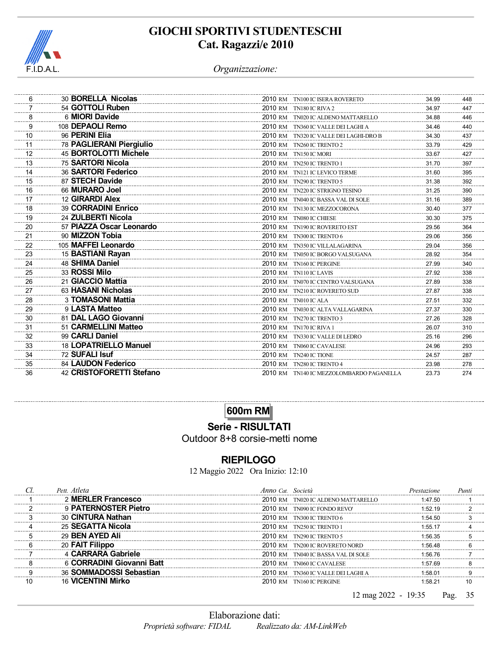

*Organizzazione:* 

| 6                     | 30 BORELLA Nicolas       | 2010 RM TN100 IC ISERA ROVERETO          | 34.99 | 448 |
|-----------------------|--------------------------|------------------------------------------|-------|-----|
| $\overline{7}$        | 54 GOTTOLI Ruben         | 2010 RM TN180 IC RIVA 2                  | 34.97 | 447 |
| 8<br>. <del>. .</del> | 6 MIORI Davide           | 2010 RM TN020 IC ALDENO MATTARELLO       | 34.88 | 446 |
| 9<br>.                | 108 DEPAOLI Remo         | 2010 RM TN360 IC VALLE DEI LAGHI A       | 34.46 | 440 |
| $\frac{10}{2}$        | 96 PERINI Elia           | 2010 RM TN320 IC VALLE DEI LAGHI-DROB    | 34.30 | 437 |
| 11                    | 78 PAGLIERANI Piergiulio | 2010 RM TN260 IC TRENTO 2                | 33.79 | 429 |
| 12                    | 45 BORTOLOTTI Michele    | 2010 RM TN150 IC MORI                    | 33.67 | 427 |
| 13                    | 75 SARTORI Nicola        | 2010 RM TN250 IC TRENTO 1                | 31.70 | 397 |
| 14<br>.               | 36 SARTORI Federico      | 2010 RM TN121 IC LEVICO TERME            | 31.60 | 395 |
| 15                    | 87 STECH Davide          | 2010 RM TN290 IC TRENTO 5                | 31.38 | 392 |
| 16                    | 66 MURARO Joel           | 2010 RM TN220 IC STRIGNO TESINO          | 31.25 | 390 |
| 17                    | 12 GIRARDI Alex          | 2010 RM TN040 IC BASSA VAL DI SOLE       | 31.16 | 389 |
| 18                    | 39 CORRADINI Enrico      | 2010 RM TN130 IC MEZZOCORONA             | 30.40 | 377 |
| 19<br>.               | 24 ZULBERTI Nicola       | 2010 RM TN080 IC CHIESE                  | 30.30 | 375 |
| 20                    | 57 PIAZZA Oscar Leonardo | 2010 RM TN190 IC ROVERETO EST            | 29.56 | 364 |
| 21                    | 90 MIZZON Tobia          | 2010 RM TN300 IC TRENTO 6                | 29.06 | 356 |
| 22                    | 105 MAFFEI Leonardo      | 2010 RM TN350 IC VILLALAGARINA           | 29.04 | 356 |
| 23<br>. <del>.</del>  | 15 BASTIANI Rayan        | 2010 RM TN050 IC BORGO VALSUGANA         | 28.92 | 354 |
| 24                    | 48 SHIMA Daniel          | 2010 RM TN160 IC PERGINE                 | 27.99 | 340 |
| 25                    | 33 ROSSI Milo            | 2010 RM TN110 IC LAVIS                   | 27.92 | 338 |
| 26                    | 21 GIACCIO Mattia        | 2010 RM TN070 IC CENTRO VALSUGANA        | 27.89 | 338 |
| 27                    | 63 HASANI Nicholas       | 2010 RM TN210 IC ROVERETO SUD            | 27.87 | 338 |
| 28                    | 3 TOMASONI Mattia        | 2010 RM TN010 IC ALA                     | 27.51 | 332 |
| 29                    | 9 LASTA Matteo           | 2010 RM TN030 IC ALTA VALLAGARINA        | 27.37 | 330 |
| 30                    | 81 DAL LAGO Giovanni     | 2010 RM TN270 IC TRENTO 3                | 27.26 | 328 |
| 31                    | 51 CARMELLINI Matteo     | 2010 RM TN170 IC RIVA 1                  | 26.07 | 310 |
| 32                    | 99 CARLI Daniel          | 2010 RM TN330 IC VALLE DI LEDRO          | 25.16 | 296 |
| 33                    | 18 LOPATRIELLO Manuel    | 2010 RM TN060 IC CAVALESE                | 24.96 | 293 |
| 34                    | 72 SUFALI Isuf           | 2010 RM TN240 IC TIONE                   | 24.57 | 287 |
| 35                    | 84 LAUDON Federico       | 2010 RM TN280 IC TRENTO 4                | 23.98 | 278 |
| 36                    | 42 CRISTOFORETTI Stefano | 2010 RM TN140 IC MEZZOLOMBARDO PAGANELLA | 23.73 | 274 |

**600m RM**

**Serie - RISULTATI**

Outdoor 8+8 corsie-metti nome

#### **RIEPILOGO**

12 Maggio 2022 Ora Inizio: 12:10

| <b>MERLER Francesco</b>        | 2010 RM TN020 IC ALDENO MATTARELLO  | 1.47.50 |  |
|--------------------------------|-------------------------------------|---------|--|
| <br>9 PATERNOSTER Pietro       | 2010 RM TN090 IC FONDO REVO'        | 1:52 19 |  |
| 30 CINTURA Nathan              | 2010 RM TN300 IC TRENTO 6           | 1.54.50 |  |
| 25 SEGATTA Nicola              | ) RM<br>TN250 IC TRENTO 1           | -55 17  |  |
| <b>REN AYED Ali</b><br>29.     | RM<br>TN290 IC TRENTO 5             | .56 35  |  |
| 20 FAIT Filippo                | EN TN200 IC ROVERETO NORD           | .56 48  |  |
| <b>CARRARA Gabriele</b>        | 2010 RM TN040 IC BASSA VAL DI SOLE  | 1.56.76 |  |
| <b>CORRADINI Giovanni Batt</b> | 2010 RM TN060 IC CAVALESE           | 1:57 69 |  |
| OMMADOSSI Sebasi<br>36.        | 2010 RM<br>TN360 IC VALLE DELLAGHLA | I 58 01 |  |
| ICENTINI Mirko                 | 2010 RM TN160 IC PERGINE            | . 58.21 |  |
|                                |                                     |         |  |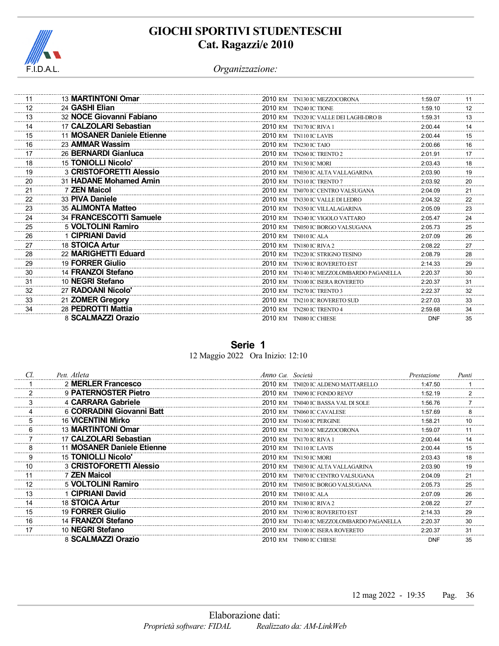

#### *Organizzazione:*

| 11<br>. | 13 MARTINTONI Omar         | 2010 RM TN130 IC MEZZOCORONA             | 1:59.07    | 11 |
|---------|----------------------------|------------------------------------------|------------|----|
| 12<br>. | 24 GASHI Elian             | 2010 RM TN240 IC TIONE                   | 1:59.10    | 12 |
| 13<br>. | 32 NOCE Giovanni Fabiano   | 2010 RM TN320 IC VALLE DEI LAGHI-DRO B   | 1:59.31    | 13 |
| 14      | 17 CALZOLARI Sebastian     | 2010 RM TN170 IC RIVA 1                  | 2:00.44    | 14 |
| 15      | 11 MOSANER Daniele Etienne | 2010 RM TN110 IC LAVIS                   | 2:00.44    | 15 |
| 16      | 23 AMMAR Wassim            | 2010 RM TN230 IC TAIO                    | 2:00.66    | 16 |
| 17      | 26 BERNARDI Gianluca       | 2010 RM TN260 IC TRENTO 2                | 2:01.91    | 17 |
| 18<br>. | 15 TONIOLLI Nicolo'        | 2010 RM TN150 IC MORI                    | 2:03.43    | 18 |
| 19<br>. | 3 CRISTOFORETTI Alessio    | 2010 RM TN030 IC ALTA VALLAGARINA        | 2:03.90    | 19 |
| 20<br>. | 31 HADANE Mohamed Amin     | 2010 RM TN310 IC TRENTO 7                | 2:03.92    | 20 |
| 21      | 7 ZEN Maicol               | 2010 RM TN070 IC CENTRO VALSUGANA        | 2:04.09    | 21 |
| 22      | 33 PIVA Daniele            | 2010 RM TN330 IC VALLE DI LEDRO          | 2:04.32    | 22 |
| 23      | 35 ALIMONTA Matteo         | 2010 RM TN350 IC VILLALAGARINA           | 2:05.09    | 23 |
| 24      | 34 FRANCESCOTTI Samuele    | 2010 RM TN340 IC VIGOLO VATTARO          | 2:05.47    | 24 |
| 25      | 5 VOLTOLINI Ramiro         | 2010 RM TN050 IC BORGO VALSUGANA         | 2:05.73    | 25 |
| 26      | 1 CIPRIANI David           | 2010 RM TN010 IC ALA                     | 2:07.09    | 26 |
| 27      | 18 STOICA Artur            | 2010 RM TN180 IC RIVA 2                  | 2:08.22    | 27 |
| 28      | 22 MARIGHETTI Eduard       | 2010 RM TN220 IC STRIGNO TESINO          | 2:08.79    | 28 |
| 29<br>. | 19 FORRER Giulio           | 2010 RM TN190 IC ROVERETO EST            | 2:14.33    | 29 |
| 30      | 14 FRANZOI Stefano         | 2010 RM TN140 IC MEZZOLOMBARDO PAGANELLA | 2:20.37    | 30 |
| 31      | 10 NEGRI Stefano           | 2010 RM TN100 IC ISERA ROVERETO          | 2:20.37    | 31 |
| 32      | 27 RADOANI Nicolo'         | 2010 RM TN270 IC TRENTO 3                | 2:22.37    | 32 |
| 33      | 21 ZOMER Gregory           | 2010 RM TN210 IC ROVERETO SUD            | 2:27.03    | 33 |
| 34      | 28 PEDROTTI Mattia         | 2010 RM TN280 IC TRENTO 4                | 2:59.68    | 34 |
|         | 8 SCALMAZZI Orazio         | 2010 RM TN080 IC CHIESE                  | <b>DNF</b> | 35 |

#### **Serie 1** 12 Maggio 2022 Ora Inizio: 12:10

|        | Pett. Atleta               | Anno Cat. Società                        | Prestazione | Punti |
|--------|----------------------------|------------------------------------------|-------------|-------|
|        | 2 MERLER Francesco         | 2010 RM<br>TN020 IC ALDENO MATTARELLO    | 1:47.50     |       |
|        | 9 PATERNOSTER Pietro       | 2010 RM<br><b>TN090 IC FONDO REVO'</b>   | 1:52.19     |       |
|        | 4 CARRARA Gabriele         | 2010 RM<br>TN040 IC BASSA VAL DI SOLE    | 1:56.76     |       |
|        | 6 CORRADINI Giovanni Batt  | 2010 RM TN060 IC CAVALESE                | 1:57.69     |       |
|        | <b>16 VICENTINI Mirko</b>  | 2010 RM TN160 IC PERGINE                 | 1:58.21     |       |
|        | 13 MARTINTONI Omar         | 2010 RM TN130 IC MEZZOCORONA             | 1:59.07     |       |
|        | 17 CALZOLARI Sebastian     | 2010 RM TN170 IC RIVA 1                  | 2:00.44     |       |
|        | 11 MOSANER Daniele Etienne | 2010 RM TN110 IC LAVIS                   | 2:00.44     |       |
|        | <b>15 TONIOLLI Nicolo'</b> | 2010 RM TN150 IC MORI                    | 2:03.43     |       |
| 10     | 3 CRISTOFORETTI Alessio    | 2010 RM TN030 IC ALTA VALLAGARINA        | 2:03.90     | 19    |
| 11     | 7 ZEN Maicol               | 2010 RM TN070 IC CENTRO VALSUGANA        | 2:04.09     | 21    |
| 12     | 5 VOLTOLINI Ramiro         | 2010 RM TN050 IC BORGO VALSUGANA         | 2:05.73     | 25    |
| 13     | 1 CIPRIANI David           | 2010 RM TN010 IC ALA                     | 2:07.09     | 26    |
| 14     | 18 STOICA Artur            | 2010 RM TN180 IC RIVA 2                  | 2:08.22     | 27    |
| 15     | 19 <b>FORRER Giulio</b>    | 2010 RM TN190 IC ROVERETO EST            | 2:14.33     | 29    |
| 16<br> | 14 FRANZOI Stefano         | 2010 RM TN140 IC MEZZOLOMBARDO PAGANELLA | 2:20.37     | 30    |
| 17     | 10 <b>NEGRI Stefano</b>    | 2010 RM<br>TN100 IC ISERA ROVERETO       | 2:20.37     | 31    |
|        | 8 SCALMAZZI Orazio         | 2010 RM TN080 IC CHIESE                  | DNF         | 35    |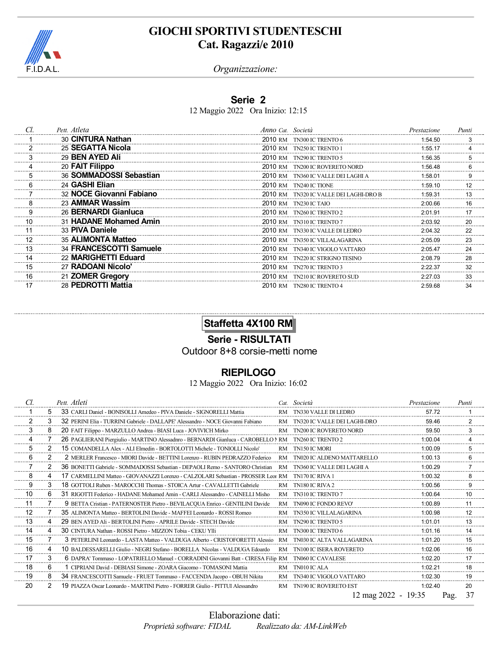

*Organizzazione:* 

**Serie 2**

12 Maggio 2022 Ora Inizio: 12:15

|    | Pett. Atleta             | Anno Cat. Società                      | Prestazione | Punti |
|----|--------------------------|----------------------------------------|-------------|-------|
|    | 30 CINTURA Nathan        | 2010 RM TN300 IC TRENTO 6              | 1:54.50     |       |
|    | 25 SEGATTA Nicola        | 2010 RM TN250 IC TRENTO 1              | 1:55.17     |       |
|    | 29 BEN AYED Ali          | 2010 RM<br>TN290 IC TRENTO 5           | 1:56.35     |       |
|    | 20 FAIT Filippo          | 2010 RM<br>TN200 IC ROVERETO NORD      | 1:56.48     |       |
|    | 36 SOMMADOSSI Sebastian  | 2010 RM<br>TN360 IC VALLE DEI LAGHI A  | 1.5801      |       |
|    | 24 GASHI Elian           | 2010 RM TN240 IC TIONE                 | 1.5910      |       |
|    | 32 NOCE Giovanni Fabiano | 2010 RM TN320 IC VALLE DEI LAGHI-DRO B | 1:59.31     |       |
|    | 23 AMMAR Wassim          | 2010 RM TN230 IC TAIO                  | 2:00.66     |       |
|    | 26 BERNARDI Gianluca     | 2010 RM TN260 IC TRENTO 2              | 2.0191      |       |
| 10 | 31 HADANE Mohamed Amin   | 2010 RM TN310 IC TRENTO 7              | 2:03.92     | 20    |
|    | 33 PIVA Daniele          | 2010 RM TN330 IC VALLE DI LEDRO        | 2.04.32     |       |
|    | 35 ALIMONTA Matteo       | 2010 RM TN350 IC VILLALAGARINA         | 2.0509      | 23    |
|    | 34 FRANCESCOTTI Samuele  | 2010 RM TN340 IC VIGOLO VATTARO        | 2.0547      | 24    |
|    | 22 MARIGHETTI Eduard     | 2010 RM<br>TN220 IC STRIGNO TESINO     | 2.0879      |       |
| 15 | 27 RADOANI Nicolo'       | 2010 RM<br>TN270 IC TRENTO 3           | 2:22.37     |       |
| 16 | 21 ZOMER Gregory         | 2010 RM<br>TN210 IC ROVERETO SUD       | 2:27.03     | 33    |
|    | 28 PEDROTTI Mattia       | 2010 RM TN280 IC TRENTO 4              | 2:59.68     |       |

### **Staffetta 4X100 RM**

### **Serie - RISULTATI** Outdoor 8+8 corsie-metti nome

### **RIEPILOGO**

12 Maggio 2022 Ora Inizio: 16:02

| Cl      |   | Pett. Atleti                                                                       |           | Cat. Società                   | Prestazione | Punti |
|---------|---|------------------------------------------------------------------------------------|-----------|--------------------------------|-------------|-------|
|         |   | 33 CARLI Daniel - BONISOLLI Amedeo - PIVA Daniele - SIGNORELLI Mattia              | <b>RM</b> | TN330 VALLE DI LEDRO           | 57.72       |       |
|         |   | 32 PERINI Elia - TURRINI Gabriele - DALLAPE' Alessandro - NOCE Giovanni Fabiano    | <b>RM</b> | TN320 IC VALLE DELLAGHI-DRO    | 59.46       |       |
|         |   | 20 FAIT Filippo - MARZULLO Andrea - BIASI Luca - JOVIVICH Mirko                    | RM        | <b>TN200 IC ROVERETO NORD</b>  | 59.50       |       |
|         |   | 26 PAGLIERANI Piergiulio - MARTINO Alessadnro - BERNARDI Gianluca - CAROBELLO I RM |           | <b>TN260 IC TRENTO 2</b>       | 1:00.04     |       |
|         |   | 15 COMANDELLA Alex - ALI Elmedin - BORTOLOTTI Michele - TONIOLLI Nicolo'           | RM        | TN150 IC MORI                  | 1:00.09     |       |
|         |   | 2 MERLER Francesco - MIORI Davide - BETTINI Lorenzo - RUBIN PEDRAZZO Federico      | RM        | TN020 IC ALDENO MATTARELLO     | 1:00.13     |       |
|         |   | 36 BONETTI Gabriele - SOMMADOSSI Sebastian - DEPAOLI Remo - SANTORO Christian      | RM        | TN360 IC VALLE DEI LAGHI A     | 1:00.29     |       |
|         |   | 17 CARMELLINI Matteo - GIOVANAZZI Lorenzo - CALZOLARI Sebastian - PROSSER Leor RM  |           | TN170 IC RIVA 1                | 1:00.32     |       |
| 9       |   | 18 GOTTOLI Ruben - MAROCCHI Thomas - STOICA Artur - CAVALLETTI Gabriele            | <b>RM</b> | TN180 IC RIVA 2                | 1:00.56     | a     |
| 10<br>. | 6 | 31 RIGOTTI Federico - HADANE Mohamed Amin - CARLI Alessandro - CAINELLI Misho      |           | RM TN310 IC TRENTO 7           | 1:00.64     | 10    |
| 11      |   | 9 BETTA Cristian - PATERNOSTER Pietro - BEVILACQUA Enrico - GENTILINI Davide       | <b>RM</b> | TN090 IC FONDO REVO            | 1:00.89     |       |
| 12      |   | 35 ALIMONTA Matteo - BERTOLINI Davide - MAFFEI Leonardo - ROSSI Romeo              | <b>RM</b> | TN350 IC VILLALAGARINA         | 1:00.98     | 12    |
| 13      |   | 29 BEN AYED Ali - BERTOLINI Pietro - APRILE Davide - STECH Davide                  | <b>RM</b> | TN290 IC TRENTO 5              | 1:01.01     | 13    |
| 14<br>. |   | 30 CINTURA Nathan - ROSSI Pietro - MIZZON Tobia - CEKU Ylli                        | <b>RM</b> | TN300 IC TRENTO 6              | 1:01.16     | 14    |
| 15      |   | 3 PETERLINI Leonardo - LASTA Matteo - VALDUGA Alberto - CRISTOFORETTI Alessio      | RM        | TN030 IC ALTA VALLAGARINA      | 1:01.20     | 15    |
| 16      |   | 10 BALDESSARELLI Giulio - NEGRI Stefano - BORELLA Nicolas - VALDUGA Edoardo        | RM        | <b>TN100 IC ISERA ROVERETO</b> | 1:02.06     | 16    |
| 17      |   | 6 DAPRA' Tommaso - LOPATRIELLO Manuel - CORRADINI Giovanni Batt - CIRESA Filip RM  |           | TN060 IC CAVALESE              | 1:02.20     | 17    |
| 18      |   | 1 CIPRIANI David - DEBIASI Simone - ZOARA Giacomo - TOMASONI Mattia                | RM        | TN010 IC ALA                   | 1:02.21     | 18    |
| 19      |   | 34 FRANCESCOTTI Samuele - FRUET Tommaso - FACCENDA Jacopo - OBUH Nikita            | RM        | <b>TN340 IC VIGOLO VATTARO</b> | 1:02.30     | 19    |
| 20      |   | 19 PIAZZA Oscar Leonardo - MARTINI Pietro - FORRER Giulio - PITTUI Alessandro      | <b>RM</b> | <b>TN190 IC ROVERETO EST</b>   | 1:02.40     | 20    |
|         |   |                                                                                    |           | $12 \text{ mag } 2022 - 19:35$ | Pag.        | 37    |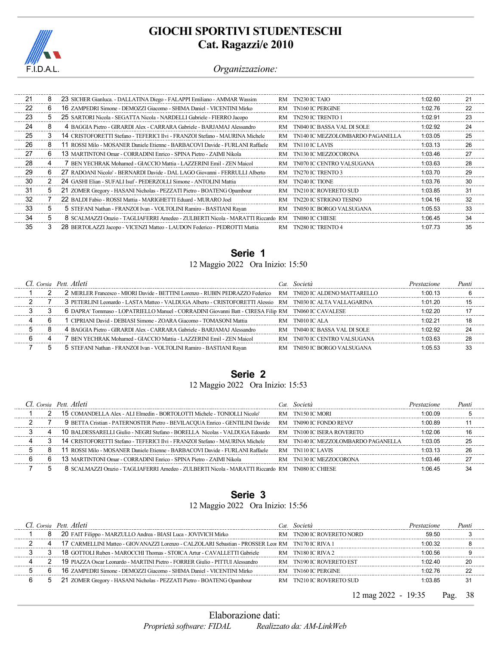

#### *Organizzazione:*

| 21 |    | 23 SICHER Gianluca. - DALLATINA Diego - FALAPPI Emiliano - AMMAR Wassim                         | RM | TN230 IC TAIO                    | 1:02.60 | 21 |
|----|----|-------------------------------------------------------------------------------------------------|----|----------------------------------|---------|----|
| 22 | რ  | 16 ZAMPEDRI Simone - DEMOZZI Giacomo - SHIMA Daniel - VICENTINI Mirko                           | RM | <b>TN160 IC PERGINE</b>          | 1:02.76 | 22 |
| 23 | 5  | 25 SARTORI Nicola - SEGATTA Nicola - NARDELLI Gabriele - FIERRO Jacopo                          | RM | TN250 IC TRENTO 1                | 1.0291  | 23 |
| 24 |    | 4 BAGGIA Pietro - GIRARDI Alex - CARRARA Gabriele - BARJAMAJ Alessandro                         |    | TN040 IC BASSA VAL DI SOLE       | 1:02.92 | 24 |
| 25 |    | <b>14 CRISTOFORETTI Stefano - TEFERICI Ilvi - FRANZOI Stefano - MAURINA Michele</b>             | RM | TN140 IC MEZZOLOMBARDO PAGANELLA | 1:03.05 | 25 |
| 26 |    | 11 ROSSI Milo - MOSANER Daniele Etienne - BARBACOVI Davide - FURLANI Raffaele                   | RM | TN110 IC LAVIS                   | 1:03.13 | 26 |
| 27 | 6  | 13 MARTINTONI Omar - CORRADINI Enrico - SPINA Pietro - ZAIMI Nikola                             | RM | TN130 IC MEZZOCORONA             | 1:03.46 | 27 |
| 28 |    | BEN YECHRAK Mohamed - GIACCIO Mattia - LAZZERINI Emil - ZEN Maicol                              |    | TN070 IC CENTRO VALSUGANA        | 1:0363  | 28 |
| 29 | n. | 27 RADOANI Nicolo' - BERNARDI Davide - DAL LAGO Giovanni - FERRULLI Alberto                     | RM | TN270 IC TRENTO 3                | 1:03.70 | 29 |
| 30 |    | 24 GASHI Elian - SUFALI Isuf - PEDERZOLLI Simone - ANTOLINI Mattia                              | RM | <b>TN240 IC TIONE</b>            | 1:03.76 | 30 |
| 31 |    | 21 ZOMER Gregory - HASANI Nicholas - PEZZATI Pietro - BOATENG Opambour                          | RM | TN210 IC ROVERETO SUD            | 1:03.85 | 31 |
| 32 |    | 22 BALDI Fabio - ROSSI Mattia - MARIGHETTI Eduard - MURARO Joel                                 | RM | <b>TN220 IC STRIGNO TESINO</b>   | 1:04.16 | 32 |
| 33 |    | 5 STEFANI Nathan - FRANZOI Ivan - VOLTOLINI Ramiro - BASTIANI Rayan                             | RM | TN050 IC BORGO VALSUGANA         | 1:05.53 | 33 |
| 34 | 5  | 8 SCALMAZZI Orazio - TAGLIAFERRI Amedeo - ZULBERTI Nicola - MARATTI Riccardo RM TN080 IC CHIESE |    |                                  | 1.0645  | 34 |
|    |    | 28 BERTOLAZZI Jacopo - VICENZI Matteo - LAUDON Federico - PEDROTTI Mattia                       | RM | <b>TN280 IC TRENTO 4</b>         | 1:07 73 | 35 |

#### **Serie 1** 12 Maggio 2022 Ora Inizio: 15:50

|  | CI Corsia Pett Atleti                                                                                       |    |                              | Prestazione | Punti |
|--|-------------------------------------------------------------------------------------------------------------|----|------------------------------|-------------|-------|
|  | 2 MERLER Francesco - MIORI Davide - BETTINI Lorenzo - RUBIN PEDRAZZO Federico RM TN020 IC ALDENO MATTARELLO |    |                              | 1:0013      |       |
|  | 3 PETERLINI Leonardo - LASTA Matteo - VALDUGA Alberto - CRISTOFORETTI Alessio RM TN030 IC ALTA VALLAGARINA  |    |                              | 1.01.20     |       |
|  | 6 DAPRA' Tommaso - LOPATRIELLO Manuel - CORRADINI Giovanni Batt - CIRESA Filip RM TN060 IC CAVALESE         |    |                              |             |       |
|  | CIPRIANI David - DEBIASI Simone - ZOARA Giacomo - TOMASONI Mattia                                           |    | TN010 IC ALA                 | 1.N2 21     |       |
|  | 4 BAGGIA Pietro - GIRARDI Alex - CARRARA Gabriele - BARJAMAJ Alessandro                                     | RM | TN040 IC BASSA VAL DI SOLE   | 1.N2 92     |       |
|  | 7 BEN YECHRAK Mohamed - GIACCIO Mattia - LAZZERINI Emil - ZEN Maicol                                        |    | RM TN070 IC CENTRO VALSUGANA | 1 በ3 63     |       |
|  | 5 STEFANI Nathan - FRANZOI Ivan - VOLTOLINI Ramiro - BASTIANI Ravan                                         |    | TN050 IC BORGO VALSUGANA     |             |       |

#### **Serie 2** 12 Maggio 2022 Ora Inizio: 15:53

|                | Corsia Pett Atleti                                                                                   |    |                                   |         | Punti |
|----------------|------------------------------------------------------------------------------------------------------|----|-----------------------------------|---------|-------|
| 2              | 15 COMANDELLA Alex - ALI Elmedin - BORTOLOTTI Michele - TONIOLLI Nicolo'                             | RM | TN150 IC MORI                     | 1.NU UJ |       |
|                | 9 BETTA Cristian - PATERNOSTER Pietro - BEVILACOUA Enrico - GENTILINI Davide RM TN090 IC FONDO REVO' |    |                                   | 1.00.89 |       |
| $\overline{4}$ | 10 BALDESSARELLI Giulio - NEGRI Stefano - BORELLA Nicolas - VALDUGA Edoardo                          |    | RM TN100 IC ISERA ROVERETO        |         |       |
| $\mathbf{3}$   | 14 CRISTOFORETTI Stefano - TEFERICI Ilvi - FRANZOI Stefano - MAURINA Michele                         | RM | TN140 IC MEZZOI OMBARDO PAGANELLA | 1 በ3 በ5 |       |
|                | 11 ROSSI Milo - MOSANER Daniele Etienne - BARBACOVI Davide - FURLANI Raffaele                        | RM | TN110 IC LAVIS                    |         |       |
|                | 13 MARTINTONI Omar - CORRADINI Enrico - SPINA Pietro - ZAIMI Nikola                                  |    | TN130 IC MEZZOCORONA              | 1 03 46 |       |
|                | 8 SCALMAZZI Orazio - TAGLIAFERRI Amedeo - ZULBERTI Nicola - MARATTI Riccardo RM TN080 IC CHIESE      |    |                                   |         |       |

# **Serie 3**

12 Maggio 2022 Ora Inizio: 15:56

|   | CI Corsia Pett Atleti                                                                             |    | Società                  |         | Punti |
|---|---------------------------------------------------------------------------------------------------|----|--------------------------|---------|-------|
| 8 | 20 FAIT Filippo - MARZULLO Andrea - BIASI Luca - JOVIVICH Mirko                                   | RM | TN200 IC ROVERETO NORD   | 59.50   |       |
|   | 17 CARMELLINI Matteo - GIOVANAZZI Lorenzo - CALZOLARI Sebastian - PROSSER Leor RM TN170 IC RIVA 1 |    |                          | 1:00.32 |       |
|   | 18 GOTTOLI Ruben - MAROCCHI Thomas - STOICA Artur - CAVALLETTI Gabriele                           |    | RM TN180 IC RIVA 2       | 1:00.56 |       |
|   | 19 PIAZZA Oscar Leonardo - MARTINI Pietro - FORRER Giulio - PITTUI Alessandro                     |    | TN190 IC ROVERETO EST    | 1.02.40 |       |
|   | 16 ZAMPEDRI Simone - DEMOZZI Giacomo - SHIMA Daniel - VICENTINI Mirko                             |    | TN160 IC PERGINE         | 1.02.76 |       |
|   | 5 21 ZOMER Gregory - HASANI Nicholas - PEZZATI Pietro - BOATENG Opambour                          |    | RM TN210 IC ROVERETO SUD | 1.03.85 |       |
|   |                                                                                                   |    | 12 mag 2022 - 19:35      |         |       |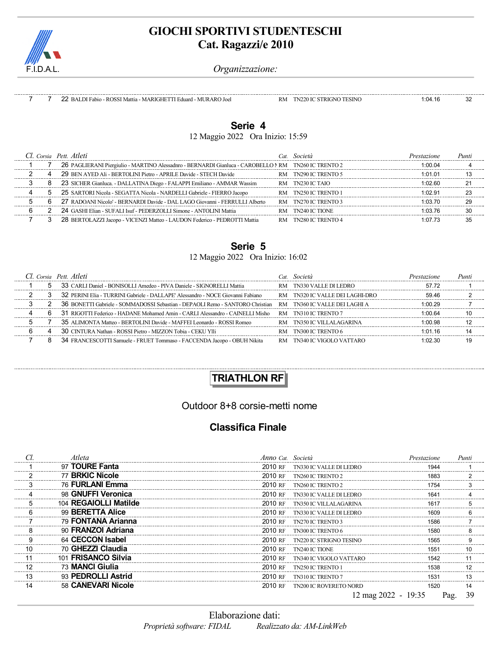

*Organizzazione:* 

7 7 22 BALDI Fabio - ROSSI Mattia - MARIGHETTI Eduard - MURARO Joel RM TN220 IC STRIGNO TESINO 1:04.16 32

#### **Serie 4**

12 Maggio 2022 Ora Inizio: 15:59

|  | Cl. Corsia Pett. Atleti                                                                              |    | Società              |           | Punti |
|--|------------------------------------------------------------------------------------------------------|----|----------------------|-----------|-------|
|  | 26 PAGLIERANI Piergiulio - MARTINO Alessadnro - BERNARDI Gianluca - CAROBELLO I RM TN260 IC TRENTO 2 |    |                      | 1:00 $04$ |       |
|  | 29 BEN AYED Ali - BERTOLINI Pietro - APRILE Davide - STECH Davide                                    |    | RM TN290 IC TRENTO 5 | 1.01.01   |       |
|  | 8 23 SICHER Gianluca. - DALLATINA Diego - FALAPPI Emiliano - AMMAR Wassim                            |    | RM TN230 IC TAIO     |           |       |
|  | 5 25 SARTORI Nicola - SEGATTA Nicola - NARDELLI Gabriele - FIERRO Jacopo                             | RM | TN250 IC TRENTO 1    | 1.N2 91   |       |
|  | 6 27 RADOANI Nicolo' - BERNARDI Davide - DAL LAGO Giovanni - FERRULLI Alberto                        |    | RM TN270 IC TRENTO 3 | 1·በ3 7በ   |       |
|  | 24 GASHI Elian - SUFALI Isuf - PEDERZOLLI Simone - ANTOLINI Mattia                                   |    | TN240 IC TIONE       | 1·กา 76   |       |
|  | 28 BERTOLAZZI Jacopo - VICENZI Matteo - LAUDON Federico - PEDROTTI Mattia                            |    | RM TN280 IC TRENTO 4 |           |       |

# **Serie 5**

12 Maggio 2022 Ora Inizio: 16:02

|    | ! Corsia Pett Atleti                                                                                        | 'at Società                     |          | Punti |
|----|-------------------------------------------------------------------------------------------------------------|---------------------------------|----------|-------|
| 5. | 33 CARLI Daniel - BONISOLLI Amedeo - PIVA Daniele - SIGNORELLI Mattia                                       | RM TN330 VALLE DI LEDRO         | 57.72    |       |
|    | 3 32 PERINI Elia - TURRINI Gabriele - DALLAPE' Alessandro - NOCE Giovanni Fabiano                           | RM TN320 IC VALLE DEI LAGHI-DRO | 59.46    |       |
| 2  | 36 BONETTI Gabriele - SOMMADOSSI Sebastian - DEPAOLI Remo - SANTORO Christian RM TN360 IC VALLE DEI LAGHI A |                                 | 1.00.29  |       |
|    | 31 RIGOTTI Federico - HADANE Mohamed Amin - CARLI Alessandro - CAINELLI Misho                               | RM TN310 IC TRENTO 7            | 1·በበ 64  |       |
|    | 35 ALIMONTA Matteo - BERTOLINI Davide - MAFFEI Leonardo - ROSSI Romeo                                       | - TN350 IC VILLALAGARINA        | 1.NO 98. |       |
|    | 30 CINTURA Nathan - ROSSI Pietro - MIZZON Tobia - CEKU Ylli                                                 | TN300 IC TRENTO 6               | 10116    |       |
|    | 34 FRANCESCOTTI Samuele - FRUET Tommaso - FACCENDA Jacopo - OBUH Nikita                                     | RM TN340 IC VIGOLO VATTARO      |          |       |

## **TRIATHLON RF**

#### Outdoor 8+8 corsie-metti nome

### **Classifica Finale**

|        |                            | no Cat  |                                |      |  |
|--------|----------------------------|---------|--------------------------------|------|--|
|        | <b>TOURE Fanta</b><br>97   | 2010 RF | TN330 IC VALLE DI LEDRO        | 1944 |  |
|        | 77 BRKIC Nicole            | 2010 RF | TN <sub>260</sub> IC TRENTO 2  |      |  |
|        | 76 <b>FURLANI Emma</b>     | 2010 RF | TN <sub>260</sub> IC TRENTO 2  | 1754 |  |
|        | 98 GNUFFI Veronica         | 2010 RF | TN330 IC VALLE DI LEDRO        | 164' |  |
|        | 104 REGAIOLLI Matilde      | 2010 RF | TN350 IC VILLALAGARINA<br>.    | 1617 |  |
|        | 99 BERETTA Alice           | 2010 RF | TN330 IC VALLE DI LEDRO        | 1609 |  |
|        | 79 <b>FONTANA Arianna</b>  | 2010 RF | <b>TN270 IC TRENTO 3</b>       | 1586 |  |
|        | 90 FRANZOI Adriana         | 2010 RF | TN300 IC TRENTO 6              | 1580 |  |
|        | <b>CECCON Isabel</b><br>64 | 2010 RF | <b>TN220 IC STRIGNO TESINO</b> |      |  |
| 10<br> | 70 GHEZZI Claudia          | 2010 RF | <b>TN240 IC TIONE</b>          | 155' |  |
|        | 101 <b>FRISANCO Silvia</b> | 2010 RF | <b>TN340 IC VIGOLO VATTARO</b> | 1542 |  |
|        | 73 MANCI Giulia            | 2010 RF | <b>TN250 IC TRENTO 1</b>       |      |  |
|        | 93 PEDROLLI Astrid         | 2010 RF | <b>TN310 IC TRENTO 7</b>       | 153' |  |
|        | 58 CANEVARI Nicole         | 2010 RF | TN200 IC ROVERETO NORD         | 1520 |  |
|        |                            |         | 12 mag 2022 - 19:35            |      |  |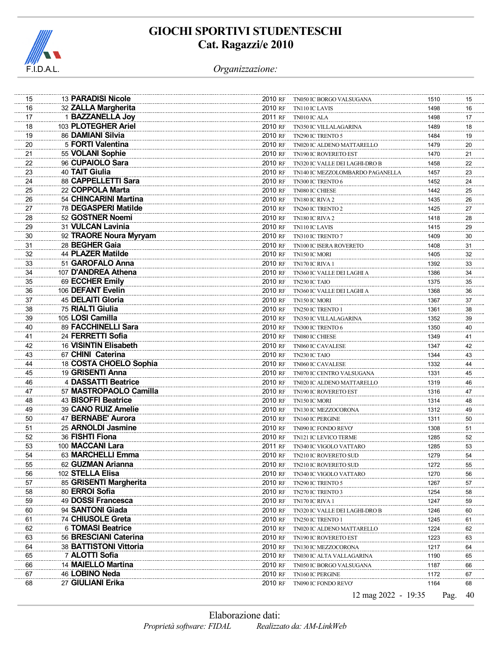

*Organizzazione:* 

| 15 | 13 PARADISI Nicole     |         | 2010 RF TN050 IC BORGO VALSUGANA | 1510 | 15 |
|----|------------------------|---------|----------------------------------|------|----|
| 16 | 32 ZALLA Margherita    | 2010 RF | TN110 IC LAVIS                   | 1498 | 16 |
| 17 | 1 BAZZANELLA Joy       | 2011 RF | TN010 IC ALA                     | 1498 | 17 |
| 18 | 103 PLOTEGHER Ariel    | 2010 RF | TN350 IC VILLALAGARINA           | 1489 | 18 |
| 19 | 86 DAMIANI Silvia      | 2010 RF | TN290 IC TRENTO 5                | 1484 | 19 |
| 20 | 5 FORTI Valentina      | 2010 RF | TN020 IC ALDENO MATTARELLO       | 1479 | 20 |
| 21 | 55 VOLANI Sophie       | 2010 RF | TN190 IC ROVERETO EST            | 1470 | 21 |
| 22 | 96 CUPAIOLO Sara       | 2010 RF | TN320 IC VALLE DEI LAGHI-DRO B   | 1458 | 22 |
| 23 | 40 TAIT Giulia         | 2010 RF | TN140 IC MEZZOLOMBARDO PAGANELLA | 1457 | 23 |
| 24 | 88 CAPPELLETTI Sara    | 2010 RF | TN300 IC TRENTO 6                | 1452 | 24 |
| 25 | 22 COPPOLA Marta       | 2010 RF | TN080 IC CHIESE                  | 1442 | 25 |
| 26 | 54 CHINCARINI Martina  | 2010 RF | TN180 IC RIVA 2                  | 1435 | 26 |
| 27 | 78 DEGASPERI Matilde   | 2010 RF | TN260 IC TRENTO 2                | 1425 | 27 |
| 28 | 52 GOSTNER Noemi       | 2010 RF | TN180 IC RIVA 2                  | 1418 | 28 |
| 29 | 31 VULCAN Lavinia      | 2010 RF | TN110 IC LAVIS                   | 1415 | 29 |
| 30 | 92 TRAORE Noura Myryam | 2010 RF | TN310 IC TRENTO 7                | 1409 | 30 |
| 31 | 28 BEGHER Gaia         | 2010 RF | TN100 IC ISERA ROVERETO          | 1408 | 31 |
| 32 | 44 PLAZER Matilde      | 2010 RF | TN150 IC MORI                    | 1405 | 32 |
| 33 | 51 GAROFALO Anna       | 2010 RF | TN170 IC RIVA 1                  | 1392 | 33 |
| 34 | 107 D'ANDREA Athena    | 2010 RF | TN360 IC VALLE DEI LAGHI A       | 1386 | 34 |
| 35 | 69 ECCHER Emily        | 2010 RF | TN230 IC TAIO                    | 1375 | 35 |
| 36 | 106 DEFANT Evelin      | 2010 RF | TN360 IC VALLE DEI LAGHI A       | 1368 | 36 |
| 37 | 45 DELAITI Gloria      | 2010 RF | TN150 IC MORI                    | 1367 | 37 |
| 38 | 75 RIALTI Giulia       | 2010 RF | TN250 IC TRENTO 1                | 1361 | 38 |
| 39 | 105 LOSI Camilla       | 2010 RF | TN350 IC VILLALAGARINA           | 1352 | 39 |
| 40 | 89 FACCHINELLI Sara    | 2010 RF | TN300 IC TRENTO 6                | 1350 | 40 |
| 41 | 24 FERRETTI Sofia      | 2010 RF | TN080 IC CHIESE                  | 1349 | 41 |
| 42 | 16 VISINTIN Elisabeth  | 2010 RF | TN060 IC CAVALESE                | 1347 | 42 |
| 43 | 67 CHINI Caterina      | 2010 RF | TN230 IC TAIO                    | 1344 | 43 |
| 44 | 18 COSTA CHOELO Sophia | 2010 RF | TN060 IC CAVALESE                | 1332 | 44 |
| 45 | 19 GRISENTI Anna       | 2010 RF | TN070 IC CENTRO VALSUGANA        | 1331 | 45 |
| 46 | 4 DASSATTI Beatrice    | 2010 RF | TN020 IC ALDENO MATTARELLO       | 1319 | 46 |
| 47 | 57 MASTROPAOLO Camilla | 2010 RF | TN190 IC ROVERETO EST            | 1316 | 47 |
| 48 | 43 BISOFFI Beatrice    | 2010 RF | TN150 IC MORI                    | 1314 | 48 |
| 49 | 39 CANO RUIZ Amelie    | 2010 RF | TN130 IC MEZZOCORONA             | 1312 | 49 |
| 50 | 47 BERNABE' Aurora     | 2010 RF | TN160 IC PERGINE                 | 1311 | 50 |
| 51 | 25 ARNOLDI Jasmine     | 2010 RF | TN090 IC FONDO REVO'             | 1308 | 51 |
| 52 | 36 FISHTI Fiona        | 2010 RF | TN121 IC LEVICO TERME            | 1285 | 52 |
| 53 | 100 MACCANI Lara       |         | 2011 RF TN340 IC VIGOLO VATTARO  | 1285 | 53 |
| 54 | 63 MARCHELLI Emma      | 2010 RF | TN210 IC ROVERETO SUD            | 1279 | 54 |
| 55 | 62 GUZMAN Arianna      | 2010 RF | TN210 IC ROVERETO SUD            | 1272 | 55 |
| 56 | 102 STELLA Elisa       | 2010 RF | TN340 IC VIGOLO VATTARC          | 1270 | 56 |
| 57 | 85 GRISENTI Margherita | 2010 RF | TN290 IC TRENTO 5                | 1267 | 57 |
| 58 | 80 ERROI Sofia         | 2010 RF | TN270 IC TRENTO 3                | 1254 | 58 |
| 59 | 49 DOSSI Francesca     | 2010 RF | TN170 IC RIVA 1                  | 1247 | 59 |
| 60 | 94 SANTONI Giada       | 2010 RF | TN320 IC VALLE DEI LAGHI-DRO B   | 1246 | 60 |
| 61 | 74 CHIUSOLE Greta      | 2010 RF | TN250 IC TRENTO 1                | 1245 | 61 |
| 62 | 6 TOMASI Beatrice      | 2010 RF | TN020 IC ALDENO MATTARELLO       | 1224 | 62 |
| 63 | 56 BRESCIANI Caterina  | 2010 RF | TN190 IC ROVERETO EST            | 1223 | 63 |
| 64 | 38 BATTISTONI Vittoria | 2010 RF | TN130 IC MEZZOCORONA             | 1217 | 64 |
| 65 | 7 ALOTTI Sofia         | 2010 RF | TN030 IC ALTA VALLAGARINA        | 1190 | 65 |
| 66 | 14 MAIELLO Martina     | 2010 RF | TN050 IC BORGO VALSUGANA         | 1187 | 66 |
| 67 | 46 LOBINO Neda         | 2010 RF | TN160 IC PERGINE                 | 1172 | 67 |
| 68 | 27 GIULIANI Erika      | 2010 RF | TN090 IC FONDO REVO              | 1164 | 68 |
|    |                        |         | 12 mag 2022 - 19:35              | Pag. | 40 |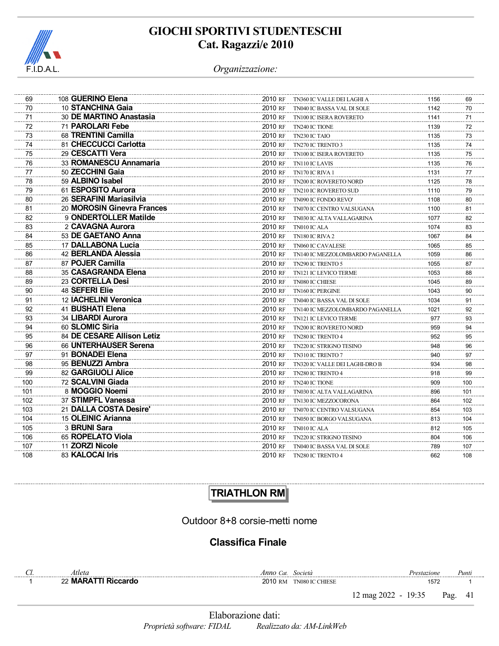

### *Organizzazione:*

| 69  | 108 GUERINO Elena            |         | 2010 RF TN360 IC VALLE DEI LAGHI A | 1156 | 69             |
|-----|------------------------------|---------|------------------------------------|------|----------------|
| 70  | 10 STANCHINA Gaia            | 2010 RF | TN040 IC BASSA VAL DI SOLE         | 1142 | 70             |
| 71  | 30 DE MARTINO Anastasia      | 2010 RF | TN100 IC ISERA ROVERETO            | 1141 | 71             |
| 72  | 71 PAROLARI Febe             | 2010 RF | TN240 IC TIONE                     | 1139 | 72             |
| 73  | 68 TRENTINI Camilla          | 2010 RF | TN230 IC TAIO                      | 1135 | 73             |
| 74  | 81 CHECCUCCI Carlotta        | 2010 RF | TN270 IC TRENTO 3                  | 1135 | $\frac{74}{2}$ |
| 75  | 29 CESCATTI Vera             | 2010 RF | TN100 IC ISERA ROVERETO            | 1135 | 75             |
| 76  | 33 ROMANESCU Annamaria       | 2010 RF | TN110 IC LAVIS                     | 1135 | 76             |
| 77  | 50 ZECCHINI Gaia             | 2010 RF | TN170 IC RIVA 1                    | 1131 | 77             |
| 78  | 59 ALBINO Isabel             | 2010 RF | TN200 IC ROVERETO NORD             | 1125 | 78             |
| 79  | 61 ESPOSITO Aurora           | 2010 RF | TN210 IC ROVERETO SUD              | 1110 | 79             |
| 80  | 26 SERAFINI Mariasilvia      | 2010 RF | TN090 IC FONDO REVO'               | 1108 | 80             |
| 81  | 20 MOROSIN Ginevra Frances   | 2010 RF | TN070 IC CENTRO VALSUGANA          | 1100 | 81             |
| 82  | 9 ONDERTOLLER Matilde        | 2010 RF | TN030 IC ALTA VALLAGARINA          | 1077 | 82             |
| 83  | 2 CAVAGNA Aurora             | 2010 RF | TN010 IC ALA                       | 1074 | 83             |
| 84  | 53 DE GAETANO Anna           | 2010 RF | TN180 IC RIVA 2                    | 1067 | 84             |
| 85  | 17 DALLABONA Lucia           | 2010 RF | TN060 IC CAVALESE                  | 1065 | 85             |
| 86  | 42 BERLANDA Alessia          | 2010 RF | TN140 IC MEZZOLOMBARDO PAGANELLA   | 1059 | 86             |
| 87  | 87 POJER Camilla             | 2010 RF | TN290 IC TRENTO 5                  | 1055 | 87             |
| 88  | 35 CASAGRANDA Elena          | 2010 RF | TN121 IC LEVICO TERME              | 1053 | 88             |
| 89  | 23 CORTELLA Desi             | 2010 RF | TN080 IC CHIESE                    | 1045 | 89             |
| 90  | 48 SEFERI Elie               | 2010 RF | TN160 IC PERGINE                   | 1043 | 90             |
| 91  | 12 <b>IACHELINI Veronica</b> | 2010 RF | TN040 IC BASSA VAL DI SOLE         | 1034 | 91             |
| 92  | 41 BUSHATI Elena             | 2010 RF | TN140 IC MEZZOLOMBARDO PAGANELLA   | 1021 | 92             |
| 93  | 34 LIBARDI Aurora            | 2010 RF | TN121 IC LEVICO TERME              | 977  | 93             |
| 94  | 60 SLOMIC Siria              | 2010 RF | TN200 IC ROVERETO NORD             | 959  | 94             |
| 95  | 84 DE CESARE Allison Letiz   | 2010 RF | TN280 IC TRENTO 4                  | 952  | 95             |
| 96  | 66 UNTERHAUSER Serena        | 2010 RF | TN220 IC STRIGNO TESINO            | 948  | 96             |
| 97  | 91 <b>BONADEI Elena</b>      | 2010 RF | TN310 IC TRENTO 7                  | 940  | 97             |
| 98  | 95 BENUZZI Ambra             | 2010 RF | TN320 IC VALLE DEI LAGHI-DRO B     | 934  | 98             |
| 99  | 82 GARGIUOLI Alice           | 2010 RF | TN280 IC TRENTO 4                  | 918  | 99             |
| 100 | 72 SCALVINI Giada            | 2010 RF | TN240 IC TIONE                     | 909  | 100            |
| 101 | 8 MOGGIO Noemi               | 2010 RF | TN030 IC ALTA VALLAGARINA          | 896  | 101            |
| 102 | 37 STIMPFL Vanessa           | 2010 RF | TN130 IC MEZZOCORONA               | 864  | 102            |
| 103 | 21 DALLA COSTA Desire'       | 2010 RF | TN070 IC CENTRO VALSUGANA          | 854  | 103            |
| 104 | 15 OLEINIC Arianna           | 2010 RF | TN050 IC BORGO VALSUGANA           | 813  | 104            |
| 105 | 3 BRUNI Sara                 | 2010 RF | TN010 IC ALA                       | 812  | 105            |
| 106 | 65 ROPELATO Viola            | 2010 RF | TN220 IC STRIGNO TESINO            | 804  | 106            |
| 107 | 11 ZORZI Nicole              |         | 2010 RF TN040 IC BASSA VAL DI SOLE | 789  | 107            |
| 108 | 83 KALOCAI Iris              | 2010 RF | <b>TN280 IC TRENTO 4</b>           | 662  | 108            |

## **TRIATHLON RM**

### Outdoor 8+8 corsie-metti nome

### **Classifica Finale**

| tleta               | Anno Cat. Società       | Prestazione                 | Punti |
|---------------------|-------------------------|-----------------------------|-------|
| 22 MARATTI Riccardo | 2010 RM TN080 IC CHIESE | 1572                        |       |
|                     |                         | 12 mag 2022 - 19:35 Pag. 41 |       |
|                     | .<br>___                |                             |       |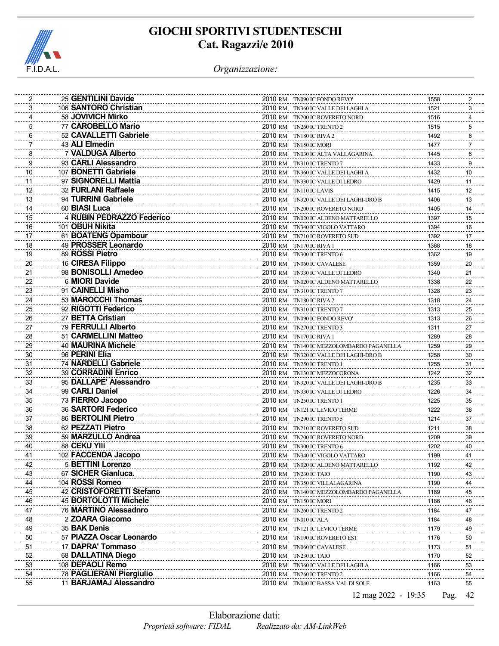

*Organizzazione:* 

|                       | 25 GENTILINI Davide       | 2010 RM TN090 IC FONDO REVO'             | 1558 | 2                    |
|-----------------------|---------------------------|------------------------------------------|------|----------------------|
| 3                     | 106 SANTORO Christian     | 2010 RM TN360 IC VALLE DEI LAGHI A       | 1521 | $\frac{3}{2}$        |
| . <del>. .</del><br>4 | 58 JOVIVICH Mirko         | 2010 RM TN200 IC ROVERETO NORD           | 1516 | $\frac{4}{2}$        |
| 5                     | 77 CAROBELLO Mario        | 2010 RM TN260 IC TRENTO 2                | 1515 | $\frac{5}{2}$        |
| 6                     | 52 CAVALLETTI Gabriele    | 2010 RM TN180 IC RIVA 2                  | 1492 | 6                    |
| 7                     | 43 ALI Elmedin            | 2010 RM TN150 IC MORI                    | 1477 | $\overline{I}$       |
| 8                     | 7 VALDUGA Alberto         | 2010 RM TN030 IC ALTA VALLAGARINA        | 1445 |                      |
| 9                     | 93 CARLI Alessandro       | <b>2010 RM TN310 IC TRENTO 7</b>         | 1433 | $\frac{8}{1}$<br>9   |
| 10                    | 107 BONETTI Gabriele      | 2010 RM TN360 IC VALLE DEI LAGHI A       | 1432 | 10                   |
| 11                    | 97 SIGNORELLI Mattia      | 2010 RM TN330 IC VALLE DI LEDRO          | 1429 |                      |
| 12                    | 32 FURLANI Raffaele       |                                          |      | 11                   |
|                       | 94 TURRINI Gabriele       | 2010 RM TN110 IC LAVIS                   | 1415 | 12                   |
| 13                    |                           | 2010 RM TN320 IC VALLE DEI LAGHI-DRO B   | 1406 | 13                   |
| 14                    | 60 BIASI Luca             | 2010 RM TN200 IC ROVERETO NORD           | 1405 | 14                   |
| 15                    | 4 RUBIN PEDRAZZO Federico | 2010 RM TN020 IC ALDENO MATTARELLO       | 1397 | 15                   |
| 16                    | 101 OBUH Nikita           | 2010 RM TN340 IC VIGOLO VATTARO          | 1394 | 16                   |
| 17                    | 61 BOATENG Opambour       | 2010 RM TN210 IC ROVERETO SUD            | 1392 | 17.                  |
| 18                    | 49 PROSSER Leonardo       | 2010 RM TN170 IC RIVA 1                  | 1368 | 18                   |
| 19                    | 89 ROSSI Pietro           | 2010 RM TN300 IC TRENTO 6                | 1362 | 19                   |
| 20                    | 16 CIRESA Filippo         | 2010 RM TN060 IC CAVALESE                | 1359 | 20                   |
| 21                    | 98 BONISOLLI Amedeo       | 2010 RM TN330 IC VALLE DI LEDRO          | 1340 | 21                   |
| 22                    | 6 MIORI Davide            | 2010 RM TN020 IC ALDENO MATTARELLO       | 1338 | 22                   |
| 23                    | 91 CAINELLI Misho         | <b>2010 RM TN310 IC TRENTO 7</b>         | 1328 | 23                   |
| 24                    | 53 MAROCCHI Thomas        | 2010 RM TN180 IC RIVA 2                  | 1318 | 24                   |
| 25                    | 92 RIGOTTI Federico       | <b>2010 RM TN310 IC TRENTO 7</b>         | 1313 | 25                   |
| 26                    | 27 BETTA Cristian         | 2010 RM TN090 IC FONDO REVO'             | 1313 | 26                   |
| 27                    | 79 FERRULLI Alberto       | 2010 RM TN270 IC TRENTO 3                | 1311 | 27                   |
| 28                    | 51 CARMELLINI Matteo      | 2010 RM TN170 IC RIVA 1                  | 1289 | 28                   |
| 29                    | 40 MAURINA Michele        | 2010 RM TN140 IC MEZZOLOMBARDO PAGANELLA | 1259 | 29                   |
| 30                    | 96 PERINI Elia            | 2010 RM TN320 IC VALLE DEI LAGHI-DRO B   | 1258 | 30                   |
| 31                    | 74 NARDELLI Gabriele      | 2010 RM TN250 IC TRENTO 1                | 1255 | 31                   |
| 32                    | 39 CORRADINI Enrico       | 2010 RM TN130 IC MEZZOCORONA             | 1242 | 32                   |
| 33                    | 95 DALLAPE' Alessandro    | 2010 RM TN320 IC VALLE DEI LAGHI-DROB    | 1235 | 33                   |
| 34                    | 99 CARLI Daniel           | 2010 RM TN330 IC VALLE DI LEDRO          | 1226 | 34                   |
| 35                    | 73 FIERRO Jacopo          | 2010 RM TN250 IC TRENTO 1                | 1225 | 35                   |
| 36                    | 36 SARTORI Federico       | 2010 RM TN121 IC LEVICO TERME            | 1222 |                      |
| 37                    | 86 BERTOLINI Pietro       | 2010 RM TN290 IC TRENTO 5                | 1214 | $\frac{36}{2}$<br>37 |
| 38                    | 62 PEZZATI Pietro         | 2010 RM TN210 IC ROVERETO SUD            | 1211 |                      |
|                       | 59 MARZULLO Andrea        |                                          |      | 38                   |
| 39                    | 88 CEKU YIIi              | 2010 RM TN200 IC ROVERETO NORD           | 1209 | 39                   |
| 40                    | 102 FACCENDA Jacopo       | 2010 RM TN300 IC TRENTO 6                | 1202 | 40                   |
| 41                    |                           | 2010 RM TN340 IC VIGOLO VATTARO          | 1199 | 41                   |
| 42                    | 5 BETTINI Lorenzo         | 2010 RM TN020 IC ALDENO MATTARELLO       | 1192 | 42                   |
| 43                    | 67 SICHER Gianluca.       | <b>2010 RM TN230 IC TAIO</b>             | 1190 | 43                   |
| 44                    | 104 ROSSI Romeo           | 2010 RM TN350 IC VILLALAGARINA           | 1190 | $\frac{44}{1}$       |
| 45                    | 42 CRISTOFORETTI Stefano  | 2010 RM TN140 IC MEZZOLOMBARDO PAGANELLA | 1189 | 45                   |
| 46                    | 45 BORTOLOTTI Michele     | 2010 RM TN150 IC MORI                    | 1186 | 46                   |
| 47                    | 76 MARTINO Alessadnro     | 2010 RM TN260 IC TRENTO 2                | 1184 | 47                   |
| 48                    | 2 ZOARA Giacomo           | 2010 RM TN010 IC ALA                     | 1184 | 48                   |
| 49                    | 35 BAK Denis              | 2010 RM TN121 IC LEVICO TERME            | 1179 | 49                   |
| 50                    | 57 PIAZZA Oscar Leonardo  | 2010 RM TN190 IC ROVERETO EST            | 1176 | 50                   |
| 51                    | 17 DAPRA' Tommaso         | 2010 RM TN060 IC CAVALESE                | 1173 | $\frac{51}{2}$       |
| 52                    | 68 DALLATINA Diego        | <b>2010 RM TN230 IC TAIO</b>             | 1170 | 52                   |
| 53                    | 108 DEPAOLI Remo          | 2010 RM TN360 IC VALLE DEI LAGHI A       | 1166 | 53                   |
| 54                    | 78 PAGLIERANI Piergiulio  | 2010 RM TN260 IC TRENTO 2                | 1166 | 54                   |
| 55                    | 11 BARJAMAJ Alessandro    | 2010 RM TN040 IC BASSA VAL DI SOLE       | 1163 | 55                   |
|                       |                           | 12 mag 2022 - 19:35                      | Pag. | 42                   |
|                       |                           |                                          |      |                      |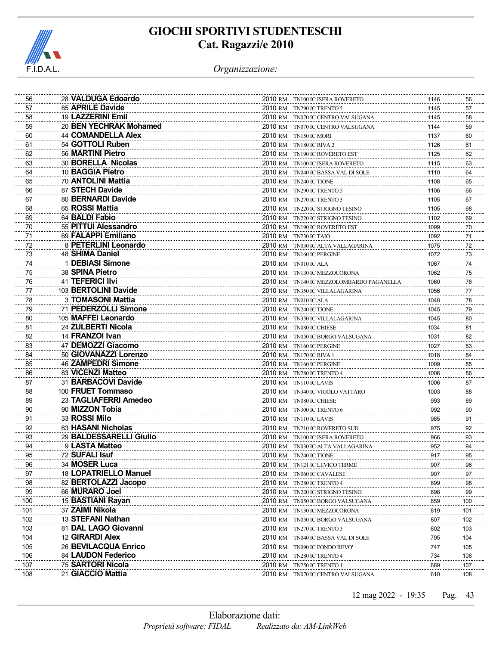

*Organizzazione:* 

| 56  | 28 VALDUGA Edoardo        | 2010 RM TN100 IC ISERA ROVERETO          | 1146 | 56         |
|-----|---------------------------|------------------------------------------|------|------------|
| 57  | 85 APRILE Davide          | 2010 RM TN290 IC TRENTO 5                | 1145 | 57         |
| 58  | 19 LAZZERINI Emil         | 2010 RM TN070 IC CENTRO VALSUGANA        | 1145 | 58         |
| 59  | 20 BEN YECHRAK Mohamed    | 2010 RM TN070 IC CENTRO VALSUGANA        | 1144 | 59         |
| 60  | <b>44 COMANDELLA Alex</b> | 2010 RM TN150 IC MORI                    | 1137 | 60         |
| 61  | 54 GOTTOLI Ruben          | 2010 RM TN180 IC RIVA 2                  | 1126 | 61         |
| 62  | 56 MARTINI Pietro         | 2010 RM TN190 IC ROVERETO EST            | 1125 | 62         |
| 63  | 30 <b>BORELLA Nicolas</b> | 2010 RM TN100 IC ISERA ROVERETO          | 1115 | 63         |
| 64  | 10 BAGGIA Pietro          | 2010 RM TN040 IC BASSA VAL DI SOLE       | 1110 | 64         |
| 65  | 70 ANTOLINI Mattia        | 2010 RM TN240 IC TIONE                   | 1108 | 65         |
| 66  | 87 STECH Davide           | <b>2010 RM TN290 IC TRENTO 5</b>         | 1106 | 66         |
| 67  | 80 BERNARDI Davide        | 2010 RM TN270 IC TRENTO 3                | 1105 | 67         |
| 68  | 65 ROSSI Mattia           | 2010 RM TN220 IC STRIGNO TESINO          | 1105 | 68         |
| 69  | 64 BALDI Fabio            | 2010 RM TN220 IC STRIGNO TESINO          | 1102 | 69         |
| 70  | 55 PITTUI Alessandro      | 2010 RM TN190 IC ROVERETO EST            | 1099 | 70         |
| 71  | 69 FALAPPI Emiliano       | <b>2010 RM TN230 IC TAIO</b>             | 1092 | 71         |
| 72  | 8 PETERLINI Leonardo      | 2010 RM TN030 IC ALTA VALLAGARINA        | 1075 | 72         |
| 73  | 48 SHIMA Daniel           | 2010 RM TN160 IC PERGINE                 | 1072 | 73         |
| 74  | 1 DEBIASI Simone          | 2010 RM TN010 IC ALA                     | 1067 | 74         |
| 75  | 38 SPINA Pietro           | 2010 RM TN130 IC MEZZOCORONA             | 1062 | ${\bf 75}$ |
| 76  | 41 TEFERICI IIvi          | 2010 RM TN140 IC MEZZOLOMBARDO PAGANELLA | 1060 | 76         |
| 77  | 103 BERTOLINI Davide      | 2010 RM TN350 IC VILLALAGARINA           | 1056 | 77         |
| 78  | 3 TOMASONI Mattia         | 2010 RM TN010 IC ALA                     | 1048 |            |
| 79  | 71 PEDERZOLLI Simone      | 2010 RM TN240 IC TIONE                   | 1045 | 78<br>79   |
|     | 105 MAFFEI Leonardo       |                                          |      |            |
| 80  | 24 ZULBERTI Nicola        | 2010 RM TN350 IC VILLALAGARINA           | 1045 | 80         |
| 81  | 14 FRANZOI Ivan           | 2010 RM TN080 IC CHIESE                  | 1034 | 81         |
| 82  | 47 DEMOZZI Giacomo        | 2010 RM TN050 IC BORGO VALSUGANA         | 1031 | 82         |
| 83  |                           | 2010 RM TN160 IC PERGINE                 | 1027 | 83         |
| 84  | 50 GIOVANAZZI Lorenzo     | 2010 RM TN170 IC RIVA 1                  | 1018 | 84         |
| 85  | 46 ZAMPEDRI Simone        | 2010 RM TN160 IC PERGINE                 | 1009 | 85         |
| 86  | 83 VICENZI Matteo         | 2010 RM TN280 IC TRENTO 4                | 1006 | 86         |
| 87  | 31 BARBACOVI Davide       | 2010 RM TN110 IC LAVIS                   | 1006 | 87         |
| 88  | 100 FRUET Tommaso         | 2010 RM TN340 IC VIGOLO VATTARO          | 1003 | 88         |
| 89  | 23 TAGLIAFERRI Amedeo     | 2010 RM TN080 IC CHIESE                  | 993  | 89         |
| 90  | 90 MIZZON Tobia           | 2010 RM TN300 IC TRENTO 6                | 992  | 90         |
| 91  | 33 ROSSI Milo             | 2010 RM TN110 IC LAVIS                   | 985  | 91         |
| 92  | 63 HASANI Nicholas        | 2010 RM TN210 IC ROVERETO SUD            | 975  | 92         |
| 93  | 29 BALDESSARELLI Giulio   | 2010 RM TN100 IC ISERA ROVERETO          | 966  | 93         |
| 94  | 9 LASTA Matteo            | 2010 RM TN030 IC ALTA VALLAGARINA        | 952  | 94         |
| 95  | 72 SUFALI Isuf            | 2010 RM TN240 IC TIONE                   | 917  | 95         |
| 96  | 34 MOSER Luca             | 2010 RM TN121 IC LEVICO TERME            | 907  | 96         |
| 97  | 18 LOPATRIELLO Manuel     | 2010 RM TN060 IC CAVALESE                | 907  | 97         |
| 98  | 82 BERTOLAZZI Jacopo      | 2010 RM TN280 IC TRENTO 4                | 899  | 98         |
| 99  | 66 MURARO Joel            | 2010 RM TN220 IC STRIGNO TESINO          | 898  | 99         |
| 100 | 15 BASTIANI Rayan         | 2010 RM TN050 IC BORGO VALSUGANA         | 859  | 100        |
| 101 | 37 ZAIMI Nikola           | 2010 RM TN130 IC MEZZOCORONA             | 819  | 101        |
| 102 | 13 STEFANI Nathan         | 2010 RM TN050 IC BORGO VALSUGANA         | 807  | 102        |
| 103 | 81 DAL LAGO Giovanni      | 2010 RM TN270 IC TRENTO 3                | 802  | 103        |
| 104 | 12 GIRARDI Alex           | 2010 RM TN040 IC BASSA VAL DI SOLE       | 795  | 104        |
| 105 | 26 BEVILACQUA Enrico      | 2010 RM TN090 IC FONDO REVO'             | 747  | 105        |
| 106 | 84 LAUDON Federico        | 2010 RM TN280 IC TRENTO 4                | 734  | 106        |
| 107 | 75 SARTORI Nicola         | 2010 RM TN250 IC TRENTO 1                | 689  | 107        |
| 108 | 21 GIACCIO Mattia         | 2010 RM TN070 IC CENTRO VALSUGANA        | 610  | 108        |

12 mag 2022 - 19:35 Pag. 43